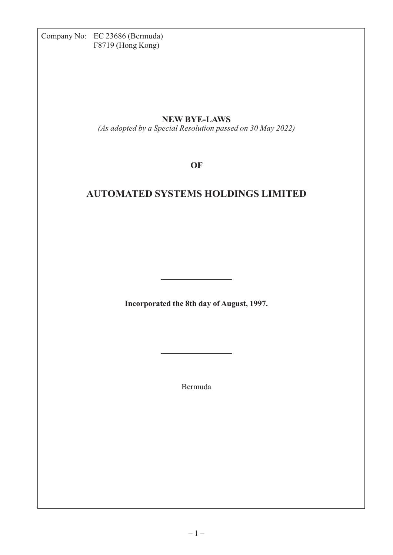Company No: EC 23686 (Bermuda) F8719 (Hong Kong)

## **NEW BYE-LAWS**

*(As adopted by a Special Resolution passed on 30 May 2022)*

**OF**

# **AUTOMATED SYSTEMS HOLDINGS LIMITED**

**Incorporated the 8th day of August, 1997.**

Bermuda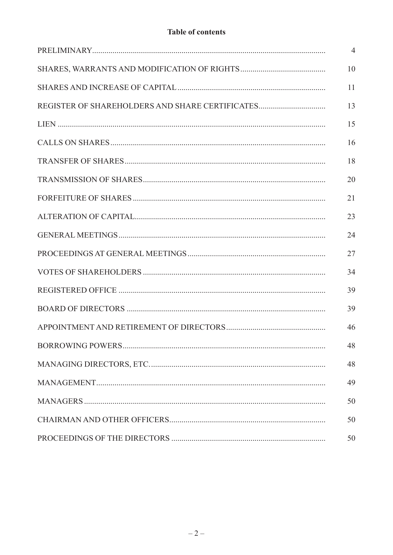## **Table of contents**

|                                                 | $\overline{4}$ |
|-------------------------------------------------|----------------|
|                                                 | 10             |
|                                                 | 11             |
| REGISTER OF SHAREHOLDERS AND SHARE CERTIFICATES | 13             |
|                                                 | 15             |
|                                                 | 16             |
|                                                 | 18             |
|                                                 | 20             |
|                                                 | 21             |
|                                                 | 23             |
|                                                 | 24             |
|                                                 | 27             |
|                                                 | 34             |
|                                                 | 39             |
|                                                 | 39             |
|                                                 | 46             |
|                                                 | 48             |
|                                                 | 48             |
|                                                 | 49             |
|                                                 | 50             |
|                                                 | 50             |
|                                                 | 50             |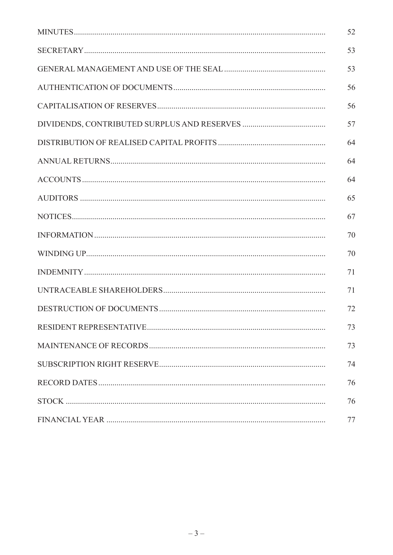| 52 |
|----|
| 53 |
| 53 |
| 56 |
| 56 |
| 57 |
| 64 |
| 64 |
| 64 |
| 65 |
| 67 |
| 70 |
| 70 |
| 71 |
| 71 |
| 72 |
| 73 |
| 73 |
| 74 |
| 76 |
| 76 |
| 77 |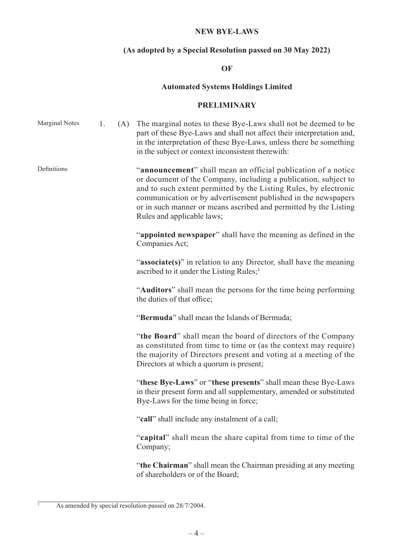## **NEW BYE-LAWS**

## **(As adopted by a Special Resolution passed on 30 May 2022)**

## **OF**

## **Automated Systems Holdings Limited**

#### **PRELIMINARY**

| <b>Marginal Notes</b> | 1. | (A) | The marginal notes to these Bye-Laws shall not be deemed to be<br>part of these Bye-Laws and shall not affect their interpretation and,<br>in the interpretation of these Bye-Laws, unless there be something<br>in the subject or context inconsistent therewith:                                                                                                      |
|-----------------------|----|-----|-------------------------------------------------------------------------------------------------------------------------------------------------------------------------------------------------------------------------------------------------------------------------------------------------------------------------------------------------------------------------|
| Definitions           |    |     | "announcement" shall mean an official publication of a notice<br>or document of the Company, including a publication, subject to<br>and to such extent permitted by the Listing Rules, by electronic<br>communication or by advertisement published in the newspapers<br>or in such manner or means ascribed and permitted by the Listing<br>Rules and applicable laws; |
|                       |    |     | "appointed newspaper" shall have the meaning as defined in the<br>Companies Act;                                                                                                                                                                                                                                                                                        |
|                       |    |     | "associate(s)" in relation to any Director, shall have the meaning<br>ascribed to it under the Listing Rules; <sup>1</sup>                                                                                                                                                                                                                                              |
|                       |    |     | "Auditors" shall mean the persons for the time being performing<br>the duties of that office;                                                                                                                                                                                                                                                                           |
|                       |    |     | "Bermuda" shall mean the Islands of Bermuda;                                                                                                                                                                                                                                                                                                                            |
|                       |    |     | "the Board" shall mean the board of directors of the Company<br>as constituted from time to time or (as the context may require)<br>the majority of Directors present and voting at a meeting of the<br>Directors at which a quorum is present;                                                                                                                         |
|                       |    |     | "these Bye-Laws" or "these presents" shall mean these Bye-Laws<br>in their present form and all supplementary, amended or substituted<br>Bye-Laws for the time being in force;                                                                                                                                                                                          |
|                       |    |     | "call" shall include any instalment of a call;                                                                                                                                                                                                                                                                                                                          |
|                       |    |     | "capital" shall mean the share capital from time to time of the<br>Company;                                                                                                                                                                                                                                                                                             |
|                       |    |     | "the Chairman" shall mean the Chairman presiding at any meeting<br>of shareholders or of the Board;                                                                                                                                                                                                                                                                     |

<sup>&</sup>lt;sup>1</sup> As amended by special resolution passed on 28/7/2004.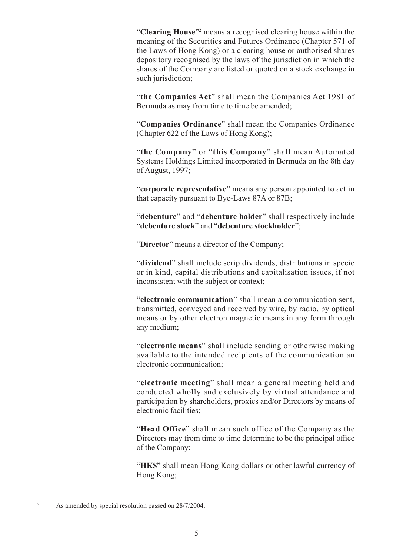"Clearing House"<sup>2</sup> means a recognised clearing house within the meaning of the Securities and Futures Ordinance (Chapter 571 of the Laws of Hong Kong) or a clearing house or authorised shares depository recognised by the laws of the jurisdiction in which the shares of the Company are listed or quoted on a stock exchange in such jurisdiction:

"**the Companies Act**" shall mean the Companies Act 1981 of Bermuda as may from time to time be amended;

"**Companies Ordinance**" shall mean the Companies Ordinance (Chapter 622 of the Laws of Hong Kong);

"**the Company**" or "**this Company**" shall mean Automated Systems Holdings Limited incorporated in Bermuda on the 8th day of August, 1997;

"corporate representative" means any person appointed to act in that capacity pursuant to Bye-Laws 87A or 87B;

"**debenture**" and "**debenture holder**" shall respectively include "**debenture stock**" and "**debenture stockholder**";

"**Director**" means a director of the Company;

"**dividend**" shall include scrip dividends, distributions in specie or in kind, capital distributions and capitalisation issues, if not inconsistent with the subject or context;

"**electronic communication**" shall mean a communication sent, transmitted, conveyed and received by wire, by radio, by optical means or by other electron magnetic means in any form through any medium;

"**electronic means**" shall include sending or otherwise making available to the intended recipients of the communication an electronic communication;

"**electronic meeting**" shall mean a general meeting held and conducted wholly and exclusively by virtual attendance and participation by shareholders, proxies and/or Directors by means of electronic facilities;

"**Head Office**" shall mean such office of the Company as the Directors may from time to time determine to be the principal office of the Company;

"**HK\$**" shall mean Hong Kong dollars or other lawful currency of Hong Kong;

 $\frac{2}{2}$  As amended by special resolution passed on 28/7/2004.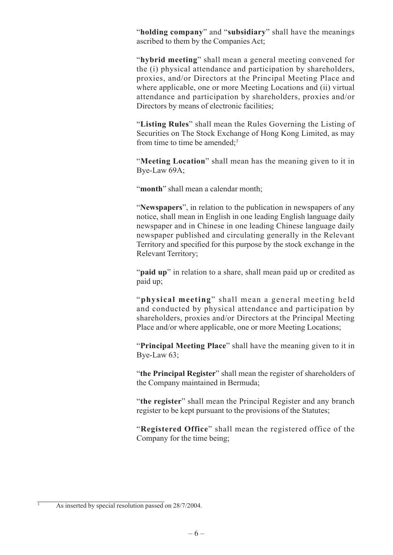"**holding company**" and "**subsidiary**" shall have the meanings ascribed to them by the Companies Act;

"**hybrid meeting**" shall mean a general meeting convened for the (i) physical attendance and participation by shareholders, proxies, and/or Directors at the Principal Meeting Place and where applicable, one or more Meeting Locations and (ii) virtual attendance and participation by shareholders, proxies and/or Directors by means of electronic facilities;

"**Listing Rules**" shall mean the Rules Governing the Listing of Securities on The Stock Exchange of Hong Kong Limited, as may from time to time be amended;<sup>3</sup>

"**Meeting Location**" shall mean has the meaning given to it in Bye-Law 69A;

"month" shall mean a calendar month;

"**Newspapers**", in relation to the publication in newspapers of any notice, shall mean in English in one leading English language daily newspaper and in Chinese in one leading Chinese language daily newspaper published and circulating generally in the Relevant Territory and specified for this purpose by the stock exchange in the Relevant Territory;

"paid up" in relation to a share, shall mean paid up or credited as paid up;

"**physical meeting**" shall mean a general meeting held and conducted by physical attendance and participation by shareholders, proxies and/or Directors at the Principal Meeting Place and/or where applicable, one or more Meeting Locations;

"**Principal Meeting Place**" shall have the meaning given to it in Bye-Law 63;

"**the Principal Register**" shall mean the register of shareholders of the Company maintained in Bermuda;

"**the register**" shall mean the Principal Register and any branch register to be kept pursuant to the provisions of the Statutes;

"**Registered Office**" shall mean the registered office of the Company for the time being;

As inserted by special resolution passed on 28/7/2004.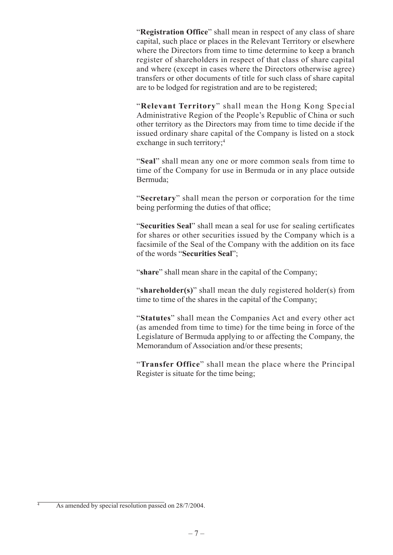"**Registration Office**" shall mean in respect of any class of share capital, such place or places in the Relevant Territory or elsewhere where the Directors from time to time determine to keep a branch register of shareholders in respect of that class of share capital and where (except in cases where the Directors otherwise agree) transfers or other documents of title for such class of share capital are to be lodged for registration and are to be registered;

"**Relevant Territory**" shall mean the Hong Kong Special Administrative Region of the People's Republic of China or such other territory as the Directors may from time to time decide if the issued ordinary share capital of the Company is listed on a stock exchange in such territory;<sup>4</sup>

"**Seal**" shall mean any one or more common seals from time to time of the Company for use in Bermuda or in any place outside Bermuda;

"**Secretary**" shall mean the person or corporation for the time being performing the duties of that office;

"**Securities Seal**" shall mean a seal for use for sealing certificates for shares or other securities issued by the Company which is a facsimile of the Seal of the Company with the addition on its face of the words "**Securities Seal**";

"**share**" shall mean share in the capital of the Company;

"**shareholder(s)**" shall mean the duly registered holder(s) from time to time of the shares in the capital of the Company;

"**Statutes**" shall mean the Companies Act and every other act (as amended from time to time) for the time being in force of the Legislature of Bermuda applying to or affecting the Company, the Memorandum of Association and/or these presents;

"**Transfer Office**" shall mean the place where the Principal Register is situate for the time being;

As amended by special resolution passed on 28/7/2004.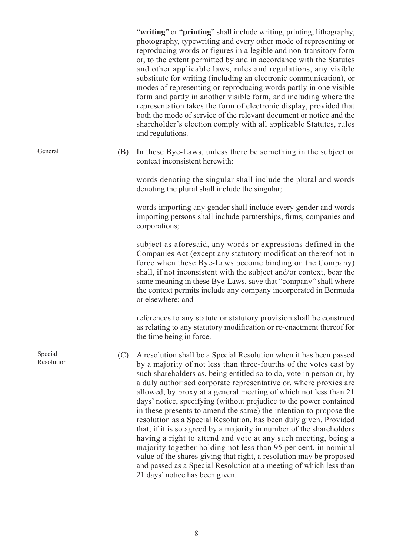"**writing**" or "**printing**" shall include writing, printing, lithography, photography, typewriting and every other mode of representing or reproducing words or figures in a legible and non-transitory form or, to the extent permitted by and in accordance with the Statutes and other applicable laws, rules and regulations, any visible substitute for writing (including an electronic communication), or modes of representing or reproducing words partly in one visible form and partly in another visible form, and including where the representation takes the form of electronic display, provided that both the mode of service of the relevant document or notice and the shareholder's election comply with all applicable Statutes, rules and regulations.

(B) In these Bye-Laws, unless there be something in the subject or context inconsistent herewith:

words denoting the singular shall include the plural and words denoting the plural shall include the singular;

words importing any gender shall include every gender and words importing persons shall include partnerships, firms, companies and corporations;

subject as aforesaid, any words or expressions defined in the Companies Act (except any statutory modification thereof not in force when these Bye-Laws become binding on the Company) shall, if not inconsistent with the subject and/or context, bear the same meaning in these Bye-Laws, save that "company" shall where the context permits include any company incorporated in Bermuda or elsewhere; and

references to any statute or statutory provision shall be construed as relating to any statutory modification or re-enactment thereof for the time being in force.

- (C) A resolution shall be a Special Resolution when it has been passed by a majority of not less than three-fourths of the votes cast by such shareholders as, being entitled so to do, vote in person or, by a duly authorised corporate representative or, where proxies are allowed, by proxy at a general meeting of which not less than 21 days' notice, specifying (without prejudice to the power contained in these presents to amend the same) the intention to propose the resolution as a Special Resolution, has been duly given. Provided that, if it is so agreed by a majority in number of the shareholders having a right to attend and vote at any such meeting, being a majority together holding not less than 95 per cent. in nominal value of the shares giving that right, a resolution may be proposed and passed as a Special Resolution at a meeting of which less than 21 days' notice has been given.
	-

Special Resolution

General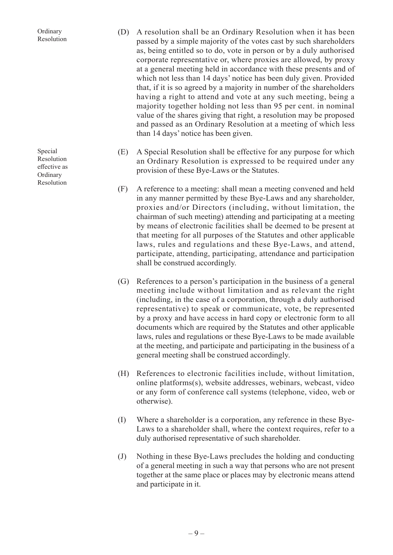| A resolution shall be an Ordinary Resolution when it has been        |
|----------------------------------------------------------------------|
| passed by a simple majority of the votes cast by such shareholders   |
| as, being entitled so to do, vote in person or by a duly authorised  |
| corporate representative or, where proxies are allowed, by proxy     |
| at a general meeting held in accordance with these presents and of   |
| which not less than 14 days' notice has been duly given. Provided    |
| that, if it is so agreed by a majority in number of the shareholders |
| having a right to attend and vote at any such meeting, being a       |
| majority together holding not less than 95 per cent. in nominal      |
| value of the shares giving that right, a resolution may be proposed  |
| and passed as an Ordinary Resolution at a meeting of which less      |
| than 14 days' notice has been given.                                 |
|                                                                      |

- (E) A Special Resolution shall be effective for any purpose for which an Ordinary Resolution is expressed to be required under any provision of these Bye-Laws or the Statutes.
- (F) A reference to a meeting: shall mean a meeting convened and held in any manner permitted by these Bye-Laws and any shareholder, proxies and/or Directors (including, without limitation, the chairman of such meeting) attending and participating at a meeting by means of electronic facilities shall be deemed to be present at that meeting for all purposes of the Statutes and other applicable laws, rules and regulations and these Bye-Laws, and attend, participate, attending, participating, attendance and participation shall be construed accordingly.
- (G) References to a person's participation in the business of a general meeting include without limitation and as relevant the right (including, in the case of a corporation, through a duly authorised representative) to speak or communicate, vote, be represented by a proxy and have access in hard copy or electronic form to all documents which are required by the Statutes and other applicable laws, rules and regulations or these Bye-Laws to be made available at the meeting, and participate and participating in the business of a general meeting shall be construed accordingly.
- (H) References to electronic facilities include, without limitation, online platforms(s), website addresses, webinars, webcast, video or any form of conference call systems (telephone, video, web or otherwise).
- (I) Where a shareholder is a corporation, any reference in these Bye-Laws to a shareholder shall, where the context requires, refer to a duly authorised representative of such shareholder.
- (J) Nothing in these Bye-Laws precludes the holding and conducting of a general meeting in such a way that persons who are not present together at the same place or places may by electronic means attend and participate in it.

Special Resolution effective as Ordinary Resolution

Ordinary Resolution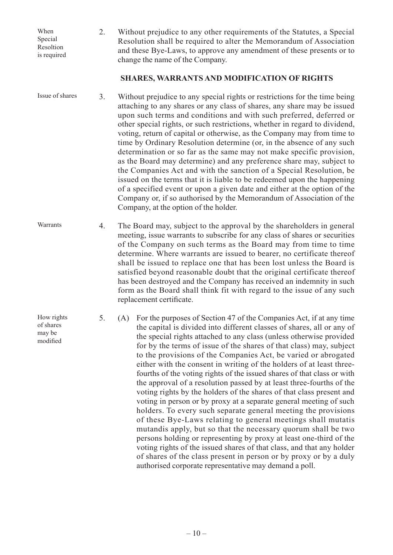When Special Resoltion is required

How rights of shares may be modified

2. Without prejudice to any other requirements of the Statutes, a Special Resolution shall be required to alter the Memorandum of Association and these Bye-Laws, to approve any amendment of these presents or to change the name of the Company.

#### **SHARES, WARRANTS AND MODIFICATION OF RIGHTS**

3. Without prejudice to any special rights or restrictions for the time being attaching to any shares or any class of shares, any share may be issued upon such terms and conditions and with such preferred, deferred or other special rights, or such restrictions, whether in regard to dividend, voting, return of capital or otherwise, as the Company may from time to time by Ordinary Resolution determine (or, in the absence of any such determination or so far as the same may not make specific provision, as the Board may determine) and any preference share may, subject to the Companies Act and with the sanction of a Special Resolution, be issued on the terms that it is liable to be redeemed upon the happening of a specified event or upon a given date and either at the option of the Company or, if so authorised by the Memorandum of Association of the Company, at the option of the holder. Issue of shares

4. The Board may, subject to the approval by the shareholders in general meeting, issue warrants to subscribe for any class of shares or securities of the Company on such terms as the Board may from time to time determine. Where warrants are issued to bearer, no certificate thereof shall be issued to replace one that has been lost unless the Board is satisfied beyond reasonable doubt that the original certificate thereof has been destroyed and the Company has received an indemnity in such form as the Board shall think fit with regard to the issue of any such replacement certificate. Warrants

> 5. (A) For the purposes of Section 47 of the Companies Act, if at any time the capital is divided into different classes of shares, all or any of the special rights attached to any class (unless otherwise provided for by the terms of issue of the shares of that class) may, subject to the provisions of the Companies Act, be varied or abrogated either with the consent in writing of the holders of at least threefourths of the voting rights of the issued shares of that class or with the approval of a resolution passed by at least three-fourths of the voting rights by the holders of the shares of that class present and voting in person or by proxy at a separate general meeting of such holders. To every such separate general meeting the provisions of these Bye-Laws relating to general meetings shall mutatis mutandis apply, but so that the necessary quorum shall be two persons holding or representing by proxy at least one-third of the voting rights of the issued shares of that class, and that any holder of shares of the class present in person or by proxy or by a duly authorised corporate representative may demand a poll.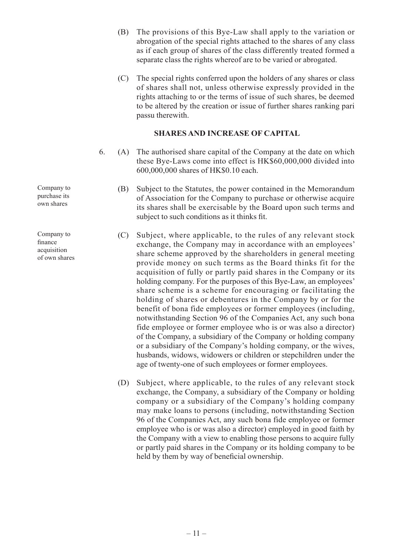- (B) The provisions of this Bye-Law shall apply to the variation or abrogation of the special rights attached to the shares of any class as if each group of shares of the class differently treated formed a separate class the rights whereof are to be varied or abrogated.
- (C) The special rights conferred upon the holders of any shares or class of shares shall not, unless otherwise expressly provided in the rights attaching to or the terms of issue of such shares, be deemed to be altered by the creation or issue of further shares ranking pari passu therewith.

#### **SHARES AND INCREASE OF CAPITAL**

- 6. (A) The authorised share capital of the Company at the date on which these Bye-Laws come into effect is HK\$60,000,000 divided into 600,000,000 shares of HK\$0.10 each.
	- (B) Subject to the Statutes, the power contained in the Memorandum of Association for the Company to purchase or otherwise acquire its shares shall be exercisable by the Board upon such terms and subject to such conditions as it thinks fit.
	- (C) Subject, where applicable, to the rules of any relevant stock exchange, the Company may in accordance with an employees' share scheme approved by the shareholders in general meeting provide money on such terms as the Board thinks fit for the acquisition of fully or partly paid shares in the Company or its holding company. For the purposes of this Bye-Law, an employees' share scheme is a scheme for encouraging or facilitating the holding of shares or debentures in the Company by or for the benefit of bona fide employees or former employees (including, notwithstanding Section 96 of the Companies Act, any such bona fide employee or former employee who is or was also a director) of the Company, a subsidiary of the Company or holding company or a subsidiary of the Company's holding company, or the wives, husbands, widows, widowers or children or stepchildren under the age of twenty-one of such employees or former employees.
	- (D) Subject, where applicable, to the rules of any relevant stock exchange, the Company, a subsidiary of the Company or holding company or a subsidiary of the Company's holding company may make loans to persons (including, notwithstanding Section 96 of the Companies Act, any such bona fide employee or former employee who is or was also a director) employed in good faith by the Company with a view to enabling those persons to acquire fully or partly paid shares in the Company or its holding company to be held by them by way of beneficial ownership.

Company to purchase its own shares

Company to finance acquisition of own shares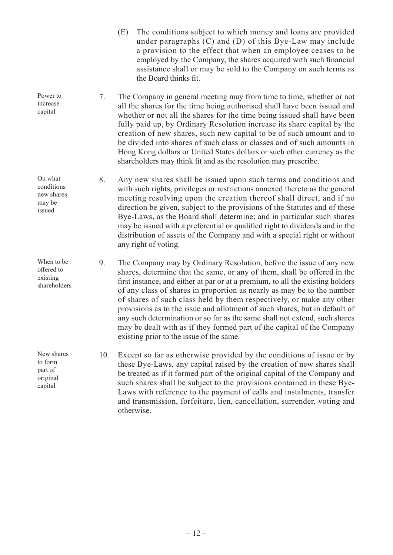- (E) The conditions subject to which money and loans are provided under paragraphs (C) and (D) of this Bye-Law may include a provision to the effect that when an employee ceases to be employed by the Company, the shares acquired with such financial assistance shall or may be sold to the Company on such terms as the Board thinks fit.
- 7. The Company in general meeting may from time to time, whether or not all the shares for the time being authorised shall have been issued and whether or not all the shares for the time being issued shall have been fully paid up, by Ordinary Resolution increase its share capital by the creation of new shares, such new capital to be of such amount and to be divided into shares of such class or classes and of such amounts in Hong Kong dollars or United States dollars or such other currency as the shareholders may think fit and as the resolution may prescribe.
- 8. Any new shares shall be issued upon such terms and conditions and with such rights, privileges or restrictions annexed thereto as the general meeting resolving upon the creation thereof shall direct, and if no direction be given, subject to the provisions of the Statutes and of these Bye-Laws, as the Board shall determine; and in particular such shares may be issued with a preferential or qualified right to dividends and in the distribution of assets of the Company and with a special right or without any right of voting.
- 9. The Company may by Ordinary Resolution, before the issue of any new shares, determine that the same, or any of them, shall be offered in the first instance, and either at par or at a premium, to all the existing holders of any class of shares in proportion as nearly as may be to the number of shares of such class held by them respectively, or make any other provisions as to the issue and allotment of such shares, but in default of any such determination or so far as the same shall not extend, such shares may be dealt with as if they formed part of the capital of the Company existing prior to the issue of the same.
	- 10. Except so far as otherwise provided by the conditions of issue or by these Bye-Laws, any capital raised by the creation of new shares shall be treated as if it formed part of the original capital of the Company and such shares shall be subject to the provisions contained in these Bye-Laws with reference to the payment of calls and instalments, transfer and transmission, forfeiture, lien, cancellation, surrender, voting and otherwise.

Power to increase capital

On what conditions new shares may be issued

When to be offered to existing shareholders

New shares to form part of original capital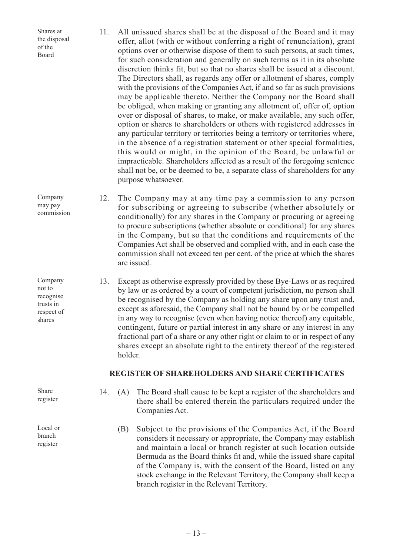Shares at the disposal of the Board

11. All unissued shares shall be at the disposal of the Board and it may offer, allot (with or without conferring a right of renunciation), grant options over or otherwise dispose of them to such persons, at such times, for such consideration and generally on such terms as it in its absolute discretion thinks fit, but so that no shares shall be issued at a discount. The Directors shall, as regards any offer or allotment of shares, comply with the provisions of the Companies Act, if and so far as such provisions may be applicable thereto. Neither the Company nor the Board shall be obliged, when making or granting any allotment of, offer of, option over or disposal of shares, to make, or make available, any such offer, option or shares to shareholders or others with registered addresses in any particular territory or territories being a territory or territories where, in the absence of a registration statement or other special formalities, this would or might, in the opinion of the Board, be unlawful or impracticable. Shareholders affected as a result of the foregoing sentence shall not be, or be deemed to be, a separate class of shareholders for any purpose whatsoever.

12. The Company may at any time pay a commission to any person for subscribing or agreeing to subscribe (whether absolutely or conditionally) for any shares in the Company or procuring or agreeing to procure subscriptions (whether absolute or conditional) for any shares in the Company, but so that the conditions and requirements of the Companies Act shall be observed and complied with, and in each case the commission shall not exceed ten per cent. of the price at which the shares are issued.

13. Except as otherwise expressly provided by these Bye-Laws or as required by law or as ordered by a court of competent jurisdiction, no person shall be recognised by the Company as holding any share upon any trust and, except as aforesaid, the Company shall not be bound by or be compelled in any way to recognise (even when having notice thereof) any equitable, contingent, future or partial interest in any share or any interest in any fractional part of a share or any other right or claim to or in respect of any shares except an absolute right to the entirety thereof of the registered holder.

#### **REGISTER OF SHAREHOLDERS AND SHARE CERTIFICATES**

14. (A) The Board shall cause to be kept a register of the shareholders and there shall be entered therein the particulars required under the Companies Act.

(B) Subject to the provisions of the Companies Act, if the Board considers it necessary or appropriate, the Company may establish and maintain a local or branch register at such location outside Bermuda as the Board thinks fit and, while the issued share capital of the Company is, with the consent of the Board, listed on any stock exchange in the Relevant Territory, the Company shall keep a branch register in the Relevant Territory.

Company may pay commission

Company not to recognise trusts in respect of shares

Share register

Local or branch register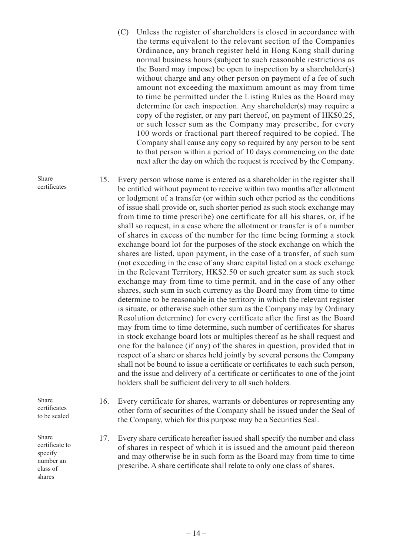- (C) Unless the register of shareholders is closed in accordance with the terms equivalent to the relevant section of the Companies Ordinance, any branch register held in Hong Kong shall during normal business hours (subject to such reasonable restrictions as the Board may impose) be open to inspection by a shareholder(s) without charge and any other person on payment of a fee of such amount not exceeding the maximum amount as may from time to time be permitted under the Listing Rules as the Board may determine for each inspection. Any shareholder(s) may require a copy of the register, or any part thereof, on payment of HK\$0.25, or such lesser sum as the Company may prescribe, for every 100 words or fractional part thereof required to be copied. The Company shall cause any copy so required by any person to be sent to that person within a period of 10 days commencing on the date next after the day on which the request is received by the Company.
- 15. Every person whose name is entered as a shareholder in the register shall be entitled without payment to receive within two months after allotment or lodgment of a transfer (or within such other period as the conditions of issue shall provide or, such shorter period as such stock exchange may from time to time prescribe) one certificate for all his shares, or, if he shall so request, in a case where the allotment or transfer is of a number of shares in excess of the number for the time being forming a stock exchange board lot for the purposes of the stock exchange on which the shares are listed, upon payment, in the case of a transfer, of such sum (not exceeding in the case of any share capital listed on a stock exchange in the Relevant Territory, HK\$2.50 or such greater sum as such stock exchange may from time to time permit, and in the case of any other shares, such sum in such currency as the Board may from time to time determine to be reasonable in the territory in which the relevant register is situate, or otherwise such other sum as the Company may by Ordinary Resolution determine) for every certificate after the first as the Board may from time to time determine, such number of certificates for shares in stock exchange board lots or multiples thereof as he shall request and one for the balance (if any) of the shares in question, provided that in respect of a share or shares held jointly by several persons the Company shall not be bound to issue a certificate or certificates to each such person, and the issue and delivery of a certificate or certificates to one of the joint holders shall be sufficient delivery to all such holders.
- Share certificates to be sealed
- Share certificate to specify number an class of shares
- 16. Every certificate for shares, warrants or debentures or representing any other form of securities of the Company shall be issued under the Seal of the Company, which for this purpose may be a Securities Seal.
- 17. Every share certificate hereafter issued shall specify the number and class of shares in respect of which it is issued and the amount paid thereon and may otherwise be in such form as the Board may from time to time prescribe. A share certificate shall relate to only one class of shares.

Share certificates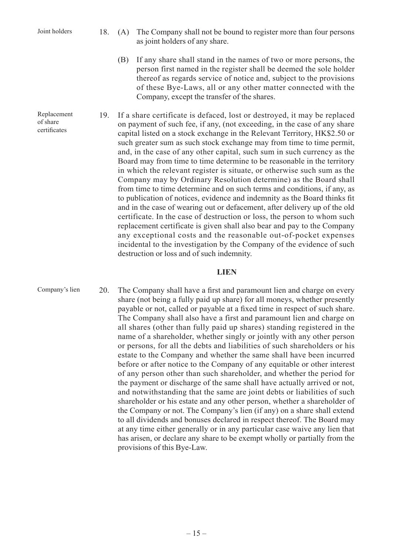Replacement of share certificates

- 18. (A) The Company shall not be bound to register more than four persons as joint holders of any share.
	- (B) If any share shall stand in the names of two or more persons, the person first named in the register shall be deemed the sole holder thereof as regards service of notice and, subject to the provisions of these Bye-Laws, all or any other matter connected with the Company, except the transfer of the shares.
- 19. If a share certificate is defaced, lost or destroyed, it may be replaced on payment of such fee, if any, (not exceeding, in the case of any share capital listed on a stock exchange in the Relevant Territory, HK\$2.50 or such greater sum as such stock exchange may from time to time permit, and, in the case of any other capital, such sum in such currency as the Board may from time to time determine to be reasonable in the territory in which the relevant register is situate, or otherwise such sum as the Company may by Ordinary Resolution determine) as the Board shall from time to time determine and on such terms and conditions, if any, as to publication of notices, evidence and indemnity as the Board thinks fit and in the case of wearing out or defacement, after delivery up of the old certificate. In the case of destruction or loss, the person to whom such replacement certificate is given shall also bear and pay to the Company any exceptional costs and the reasonable out-of-pocket expenses incidental to the investigation by the Company of the evidence of such destruction or loss and of such indemnity.

#### **LIEN**

Company's lien

20. The Company shall have a first and paramount lien and charge on every share (not being a fully paid up share) for all moneys, whether presently payable or not, called or payable at a fixed time in respect of such share. The Company shall also have a first and paramount lien and charge on all shares (other than fully paid up shares) standing registered in the name of a shareholder, whether singly or jointly with any other person or persons, for all the debts and liabilities of such shareholders or his estate to the Company and whether the same shall have been incurred before or after notice to the Company of any equitable or other interest of any person other than such shareholder, and whether the period for the payment or discharge of the same shall have actually arrived or not, and notwithstanding that the same are joint debts or liabilities of such shareholder or his estate and any other person, whether a shareholder of the Company or not. The Company's lien (if any) on a share shall extend to all dividends and bonuses declared in respect thereof. The Board may at any time either generally or in any particular case waive any lien that has arisen, or declare any share to be exempt wholly or partially from the provisions of this Bye-Law.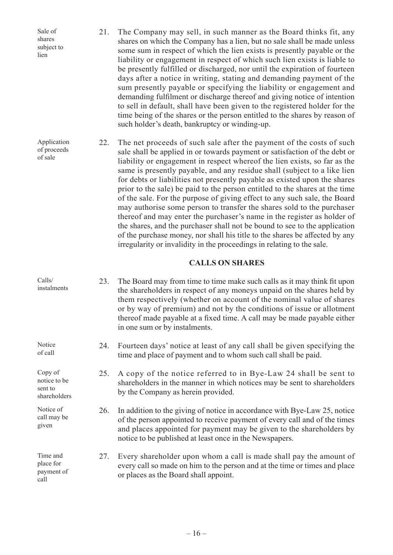| Sale of<br>shares<br>subject to<br>lien            | 21. | The Company may sell, in such manner as the Board thinks fit, any<br>shares on which the Company has a lien, but no sale shall be made unless<br>some sum in respect of which the lien exists is presently payable or the<br>liability or engagement in respect of which such lien exists is liable to<br>be presently fulfilled or discharged, nor until the expiration of fourteen<br>days after a notice in writing, stating and demanding payment of the<br>sum presently payable or specifying the liability or engagement and<br>demanding fulfilment or discharge thereof and giving notice of intention<br>to sell in default, shall have been given to the registered holder for the<br>time being of the shares or the person entitled to the shares by reason of<br>such holder's death, bankruptcy or winding-up.                                                                                                                    |
|----------------------------------------------------|-----|--------------------------------------------------------------------------------------------------------------------------------------------------------------------------------------------------------------------------------------------------------------------------------------------------------------------------------------------------------------------------------------------------------------------------------------------------------------------------------------------------------------------------------------------------------------------------------------------------------------------------------------------------------------------------------------------------------------------------------------------------------------------------------------------------------------------------------------------------------------------------------------------------------------------------------------------------|
| Application<br>of proceeds<br>of sale              | 22. | The net proceeds of such sale after the payment of the costs of such<br>sale shall be applied in or towards payment or satisfaction of the debt or<br>liability or engagement in respect whereof the lien exists, so far as the<br>same is presently payable, and any residue shall (subject to a like lien<br>for debts or liabilities not presently payable as existed upon the shares<br>prior to the sale) be paid to the person entitled to the shares at the time<br>of the sale. For the purpose of giving effect to any such sale, the Board<br>may authorise some person to transfer the shares sold to the purchaser<br>thereof and may enter the purchaser's name in the register as holder of<br>the shares, and the purchaser shall not be bound to see to the application<br>of the purchase money, nor shall his title to the shares be affected by any<br>irregularity or invalidity in the proceedings in relating to the sale. |
|                                                    |     | <b>CALLS ON SHARES</b>                                                                                                                                                                                                                                                                                                                                                                                                                                                                                                                                                                                                                                                                                                                                                                                                                                                                                                                           |
| Calls/<br>instalments                              | 23. | The Board may from time to time make such calls as it may think fit upon<br>the shareholders in respect of any moneys unpaid on the shares held by<br>them respectively (whether on account of the nominal value of shares<br>or by way of premium) and not by the conditions of issue or allotment<br>thereof made payable at a fixed time. A call may be made payable either<br>in one sum or by instalments.                                                                                                                                                                                                                                                                                                                                                                                                                                                                                                                                  |
| Notice<br>of call                                  | 24. | Fourteen days' notice at least of any call shall be given specifying the<br>time and place of payment and to whom such call shall be paid.                                                                                                                                                                                                                                                                                                                                                                                                                                                                                                                                                                                                                                                                                                                                                                                                       |
| Copy of<br>notice to be<br>sent to<br>shareholders | 25. | A copy of the notice referred to in Bye-Law 24 shall be sent to<br>shareholders in the manner in which notices may be sent to shareholders<br>by the Company as herein provided.                                                                                                                                                                                                                                                                                                                                                                                                                                                                                                                                                                                                                                                                                                                                                                 |
| Notice of<br>call may be<br>given                  | 26. | In addition to the giving of notice in accordance with Bye-Law 25, notice<br>of the person appointed to receive payment of every call and of the times<br>and places appointed for payment may be given to the shareholders by                                                                                                                                                                                                                                                                                                                                                                                                                                                                                                                                                                                                                                                                                                                   |

27. Every shareholder upon whom a call is made shall pay the amount of every call so made on him to the person and at the time or times and place or places as the Board shall appoint.

notice to be published at least once in the Newspapers.

Time and place for payment of

call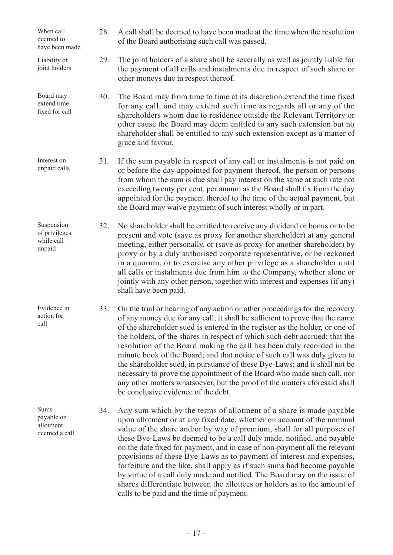28. A call shall be deemed to have been made at the time when the resolution of the Board authorising such call was passed. 29. The joint holders of a share shall be severally as well as jointly liable for the payment of all calls and instalments due in respect of such share or other moneys due in respect thereof. 30. The Board may from time to time at its discretion extend the time fixed for any call, and may extend such time as regards all or any of the shareholders whom due to residence outside the Relevant Territory or other cause the Board may deem entitled to any such extension but no shareholder shall be entitled to any such extension except as a matter of grace and favour. 31. If the sum payable in respect of any call or instalments is not paid on or before the day appointed for payment thereof, the person or persons from whom the sum is due shall pay interest on the same at such rate not exceeding twenty per cent. per annum as the Board shall fix from the day appointed for the payment thereof to the time of the actual payment, but the Board may waive payment of such interest wholly or in part. 32. No shareholder shall be entitled to receive any dividend or bonus or to be present and vote (save as proxy for another shareholder) at any general meeting, either personally, or (save as proxy for another shareholder) by proxy or by a duly authorised corporate representative, or be reckoned in a quorum, or to exercise any other privilege as a shareholder until all calls or instalments due from him to the Company, whether alone or jointly with any other person, together with interest and expenses (if any) shall have been paid. 33. On the trial or hearing of any action or other proceedings for the recovery of any money due for any call, it shall be sufficient to prove that the name of the shareholder sued is entered in the register as the holder, or one of the holders, of the shares in respect of which such debt accrued; that the resolution of the Board making the call has been duly recorded in the minute book of the Board; and that notice of such call was duly given to the shareholder sued, in pursuance of these Bye-Laws; and it shall not be necessary to prove the appointment of the Board who made such call, nor any other matters whatsoever, but the proof of the matters aforesaid shall be conclusive evidence of the debt. 34. Any sum which by the terms of allotment of a share is made payable upon allotment or at any fixed date, whether on account of the nominal value of the share and/or by way of premium, shall for all purposes of these Bye-Laws be deemed to be a call duly made, notified, and payable on the date fixed for payment, and in case of non-payment all the relevant provisions of these Bye-Laws as to payment of interest and expenses, forfeiture and the like, shall apply as if such sums had become payable by virtue of a call duly made and notified. The Board may on the issue of When call deemed to have been made Liability of joint holders Board may extend time fixed for call Interest on unpaid calls Suspension of privileges while call unpaid Evidence in action for call Sums payable on allotment deemed a call

calls to be paid and the time of payment.

shares differentiate between the allottees or holders as to the amount of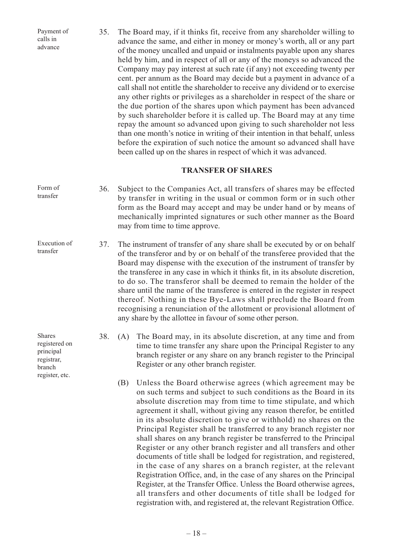35. The Board may, if it thinks fit, receive from any shareholder willing to advance the same, and either in money or money's worth, all or any part of the money uncalled and unpaid or instalments payable upon any shares held by him, and in respect of all or any of the moneys so advanced the Company may pay interest at such rate (if any) not exceeding twenty per cent. per annum as the Board may decide but a payment in advance of a call shall not entitle the shareholder to receive any dividend or to exercise any other rights or privileges as a shareholder in respect of the share or the due portion of the shares upon which payment has been advanced by such shareholder before it is called up. The Board may at any time repay the amount so advanced upon giving to such shareholder not less than one month's notice in writing of their intention in that behalf, unless before the expiration of such notice the amount so advanced shall have been called up on the shares in respect of which it was advanced. Payment of advance

#### **TRANSFER OF SHARES**

- 36. Subject to the Companies Act, all transfers of shares may be effected by transfer in writing in the usual or common form or in such other form as the Board may accept and may be under hand or by means of mechanically imprinted signatures or such other manner as the Board may from time to time approve. Form of transfer
- 37. The instrument of transfer of any share shall be executed by or on behalf of the transferor and by or on behalf of the transferee provided that the Board may dispense with the execution of the instrument of transfer by the transferee in any case in which it thinks fit, in its absolute discretion, to do so. The transferor shall be deemed to remain the holder of the share until the name of the transferee is entered in the register in respect thereof. Nothing in these Bye-Laws shall preclude the Board from recognising a renunciation of the allotment or provisional allotment of any share by the allottee in favour of some other person. Execution of transfer
	- 38. (A) The Board may, in its absolute discretion, at any time and from time to time transfer any share upon the Principal Register to any branch register or any share on any branch register to the Principal Register or any other branch register.
		- (B) Unless the Board otherwise agrees (which agreement may be on such terms and subject to such conditions as the Board in its absolute discretion may from time to time stipulate, and which agreement it shall, without giving any reason therefor, be entitled in its absolute discretion to give or withhold) no shares on the Principal Register shall be transferred to any branch register nor shall shares on any branch register be transferred to the Principal Register or any other branch register and all transfers and other documents of title shall be lodged for registration, and registered, in the case of any shares on a branch register, at the relevant Registration Office, and, in the case of any shares on the Principal Register, at the Transfer Office. Unless the Board otherwise agrees, all transfers and other documents of title shall be lodged for registration with, and registered at, the relevant Registration Office.

calls in

Shares registered on principal registrar, branch register, etc.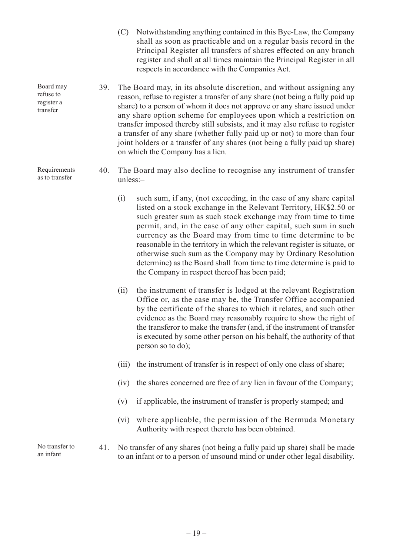- (C) Notwithstanding anything contained in this Bye-Law, the Company shall as soon as practicable and on a regular basis record in the Principal Register all transfers of shares effected on any branch register and shall at all times maintain the Principal Register in all respects in accordance with the Companies Act.
- 39. The Board may, in its absolute discretion, and without assigning any reason, refuse to register a transfer of any share (not being a fully paid up share) to a person of whom it does not approve or any share issued under any share option scheme for employees upon which a restriction on transfer imposed thereby still subsists, and it may also refuse to register a transfer of any share (whether fully paid up or not) to more than four joint holders or a transfer of any shares (not being a fully paid up share) on which the Company has a lien.
- 40. The Board may also decline to recognise any instrument of transfer unless:–
	- (i) such sum, if any, (not exceeding, in the case of any share capital listed on a stock exchange in the Relevant Territory, HK\$2.50 or such greater sum as such stock exchange may from time to time permit, and, in the case of any other capital, such sum in such currency as the Board may from time to time determine to be reasonable in the territory in which the relevant register is situate, or otherwise such sum as the Company may by Ordinary Resolution determine) as the Board shall from time to time determine is paid to the Company in respect thereof has been paid;
	- (ii) the instrument of transfer is lodged at the relevant Registration Office or, as the case may be, the Transfer Office accompanied by the certificate of the shares to which it relates, and such other evidence as the Board may reasonably require to show the right of the transferor to make the transfer (and, if the instrument of transfer is executed by some other person on his behalf, the authority of that person so to do);
	- (iii) the instrument of transfer is in respect of only one class of share;
	- (iv) the shares concerned are free of any lien in favour of the Company;
	- (v) if applicable, the instrument of transfer is properly stamped; and
	- (vi) where applicable, the permission of the Bermuda Monetary Authority with respect thereto has been obtained.
- 41. No transfer of any shares (not being a fully paid up share) shall be made to an infant or to a person of unsound mind or under other legal disability.

Board may refuse to register a transfer

Requirements as to transfer

No transfer to an infant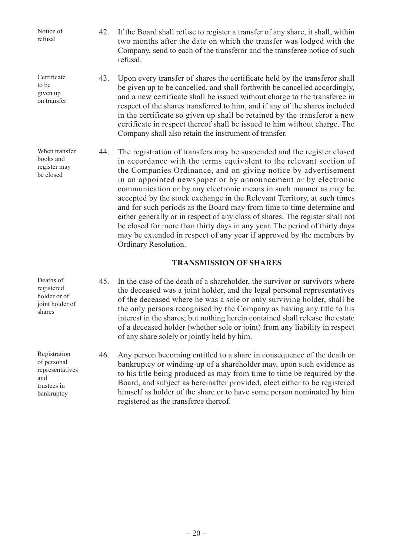Notice of refusal

to be given up on transfer

**Certificate** 

When transfer books and register may be closed

- 42. If the Board shall refuse to register a transfer of any share, it shall, within two months after the date on which the transfer was lodged with the Company, send to each of the transferor and the transferee notice of such refusal.
- 43. Upon every transfer of shares the certificate held by the transferor shall be given up to be cancelled, and shall forthwith be cancelled accordingly, and a new certificate shall be issued without charge to the transferee in respect of the shares transferred to him, and if any of the shares included in the certificate so given up shall be retained by the transferor a new certificate in respect thereof shall be issued to him without charge. The Company shall also retain the instrument of transfer.
- 44. The registration of transfers may be suspended and the register closed in accordance with the terms equivalent to the relevant section of the Companies Ordinance, and on giving notice by advertisement in an appointed newspaper or by announcement or by electronic communication or by any electronic means in such manner as may be accepted by the stock exchange in the Relevant Territory, at such times and for such periods as the Board may from time to time determine and either generally or in respect of any class of shares. The register shall not be closed for more than thirty days in any year. The period of thirty days may be extended in respect of any year if approved by the members by Ordinary Resolution.

## **TRANSMISSION OF SHARES**

- 45. In the case of the death of a shareholder, the survivor or survivors where the deceased was a joint holder, and the legal personal representatives of the deceased where he was a sole or only surviving holder, shall be the only persons recognised by the Company as having any title to his interest in the shares; but nothing herein contained shall release the estate of a deceased holder (whether sole or joint) from any liability in respect of any share solely or jointly held by him.
	- 46. Any person becoming entitled to a share in consequence of the death or bankruptcy or winding-up of a shareholder may, upon such evidence as to his title being produced as may from time to time be required by the Board, and subject as hereinafter provided, elect either to be registered himself as holder of the share or to have some person nominated by him registered as the transferee thereof.

Deaths of registered holder or of joint holder of shares

Registration of personal representatives and trustees in bankruptcy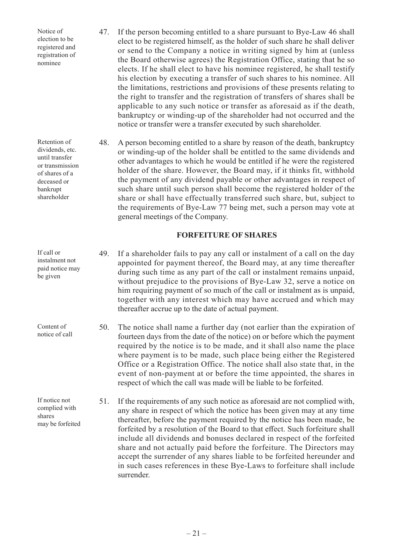Notice of election to be registered and registration of nominee

47. If the person becoming entitled to a share pursuant to Bye-Law 46 shall elect to be registered himself, as the holder of such share he shall deliver or send to the Company a notice in writing signed by him at (unless the Board otherwise agrees) the Registration Office, stating that he so elects. If he shall elect to have his nominee registered, he shall testify his election by executing a transfer of such shares to his nominee. All the limitations, restrictions and provisions of these presents relating to the right to transfer and the registration of transfers of shares shall be applicable to any such notice or transfer as aforesaid as if the death, bankruptcy or winding-up of the shareholder had not occurred and the notice or transfer were a transfer executed by such shareholder.

48. A person becoming entitled to a share by reason of the death, bankruptcy or winding-up of the holder shall be entitled to the same dividends and other advantages to which he would be entitled if he were the registered holder of the share. However, the Board may, if it thinks fit, withhold the payment of any dividend payable or other advantages in respect of such share until such person shall become the registered holder of the share or shall have effectually transferred such share, but, subject to the requirements of Bye-Law 77 being met, such a person may vote at general meetings of the Company.

#### **FORFEITURE OF SHARES**

49. If a shareholder fails to pay any call or instalment of a call on the day appointed for payment thereof, the Board may, at any time thereafter during such time as any part of the call or instalment remains unpaid, without prejudice to the provisions of Bye-Law 32, serve a notice on him requiring payment of so much of the call or instalment as is unpaid, together with any interest which may have accrued and which may thereafter accrue up to the date of actual payment.

50. The notice shall name a further day (not earlier than the expiration of fourteen days from the date of the notice) on or before which the payment required by the notice is to be made, and it shall also name the place where payment is to be made, such place being either the Registered Office or a Registration Office. The notice shall also state that, in the event of non-payment at or before the time appointed, the shares in respect of which the call was made will be liable to be forfeited.

51. If the requirements of any such notice as aforesaid are not complied with, any share in respect of which the notice has been given may at any time thereafter, before the payment required by the notice has been made, be forfeited by a resolution of the Board to that effect. Such forfeiture shall include all dividends and bonuses declared in respect of the forfeited share and not actually paid before the forfeiture. The Directors may accept the surrender of any shares liable to be forfeited hereunder and in such cases references in these Bye-Laws to forfeiture shall include surrender.

Retention of dividends, etc. until transfer or transmission of shares of a deceased or bankrupt shareholder

If call or instalment not paid notice may be given

Content of notice of call

If notice not complied with shares may be forfeited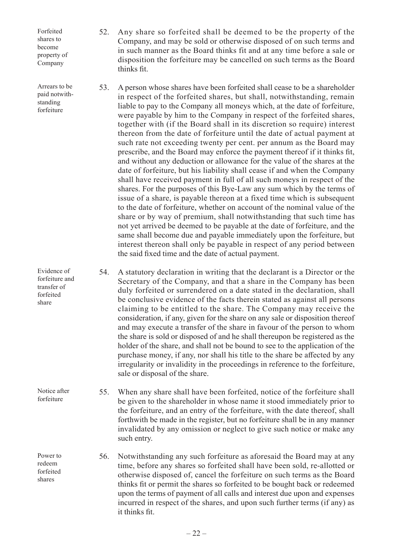Forfeited shares to become property of Company

Arrears to be paid notwithstanding forfeiture

Evidence of forfeiture and transfer of

Notice after forfeiture

forfeited share

Power to redeem forfeited shares

- 52. Any share so forfeited shall be deemed to be the property of the Company, and may be sold or otherwise disposed of on such terms and in such manner as the Board thinks fit and at any time before a sale or disposition the forfeiture may be cancelled on such terms as the Board thinks fit.
- 53. A person whose shares have been forfeited shall cease to be a shareholder in respect of the forfeited shares, but shall, notwithstanding, remain liable to pay to the Company all moneys which, at the date of forfeiture, were payable by him to the Company in respect of the forfeited shares, together with (if the Board shall in its discretion so require) interest thereon from the date of forfeiture until the date of actual payment at such rate not exceeding twenty per cent. per annum as the Board may prescribe, and the Board may enforce the payment thereof if it thinks fit, and without any deduction or allowance for the value of the shares at the date of forfeiture, but his liability shall cease if and when the Company shall have received payment in full of all such moneys in respect of the shares. For the purposes of this Bye-Law any sum which by the terms of issue of a share, is payable thereon at a fixed time which is subsequent to the date of forfeiture, whether on account of the nominal value of the share or by way of premium, shall notwithstanding that such time has not yet arrived be deemed to be payable at the date of forfeiture, and the same shall become due and payable immediately upon the forfeiture, but interest thereon shall only be payable in respect of any period between the said fixed time and the date of actual payment.

54. A statutory declaration in writing that the declarant is a Director or the Secretary of the Company, and that a share in the Company has been duly forfeited or surrendered on a date stated in the declaration, shall be conclusive evidence of the facts therein stated as against all persons claiming to be entitled to the share. The Company may receive the consideration, if any, given for the share on any sale or disposition thereof and may execute a transfer of the share in favour of the person to whom the share is sold or disposed of and he shall thereupon be registered as the holder of the share, and shall not be bound to see to the application of the purchase money, if any, nor shall his title to the share be affected by any irregularity or invalidity in the proceedings in reference to the forfeiture, sale or disposal of the share.

55. When any share shall have been forfeited, notice of the forfeiture shall be given to the shareholder in whose name it stood immediately prior to the forfeiture, and an entry of the forfeiture, with the date thereof, shall forthwith be made in the register, but no forfeiture shall be in any manner invalidated by any omission or neglect to give such notice or make any such entry.

56. Notwithstanding any such forfeiture as aforesaid the Board may at any time, before any shares so forfeited shall have been sold, re-allotted or otherwise disposed of, cancel the forfeiture on such terms as the Board thinks fit or permit the shares so forfeited to be bought back or redeemed upon the terms of payment of all calls and interest due upon and expenses incurred in respect of the shares, and upon such further terms (if any) as it thinks fit.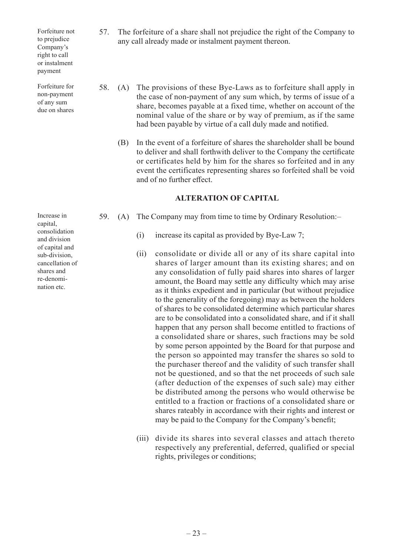Forfeiture not to prejudice Company's right to call or instalment payment

Forfeiture for non-payment of any sum due on shares

Increase in capital, consolidation and division of capital and sub-division, cancellation of shares and re-denomination etc.

- 57. The forfeiture of a share shall not prejudice the right of the Company to any call already made or instalment payment thereon.
- 58. (A) The provisions of these Bye-Laws as to forfeiture shall apply in the case of non-payment of any sum which, by terms of issue of a share, becomes payable at a fixed time, whether on account of the nominal value of the share or by way of premium, as if the same had been payable by virtue of a call duly made and notified.
	- (B) In the event of a forfeiture of shares the shareholder shall be bound to deliver and shall forthwith deliver to the Company the certificate or certificates held by him for the shares so forfeited and in any event the certificates representing shares so forfeited shall be void and of no further effect.

## **ALTERATION OF CAPITAL**

- 59. (A) The Company may from time to time by Ordinary Resolution:–
	- (i) increase its capital as provided by Bye-Law 7;
	- (ii) consolidate or divide all or any of its share capital into shares of larger amount than its existing shares; and on any consolidation of fully paid shares into shares of larger amount, the Board may settle any difficulty which may arise as it thinks expedient and in particular (but without prejudice to the generality of the foregoing) may as between the holders of shares to be consolidated determine which particular shares are to be consolidated into a consolidated share, and if it shall happen that any person shall become entitled to fractions of a consolidated share or shares, such fractions may be sold by some person appointed by the Board for that purpose and the person so appointed may transfer the shares so sold to the purchaser thereof and the validity of such transfer shall not be questioned, and so that the net proceeds of such sale (after deduction of the expenses of such sale) may either be distributed among the persons who would otherwise be entitled to a fraction or fractions of a consolidated share or shares rateably in accordance with their rights and interest or may be paid to the Company for the Company's benefit;
	- (iii) divide its shares into several classes and attach thereto respectively any preferential, deferred, qualified or special rights, privileges or conditions;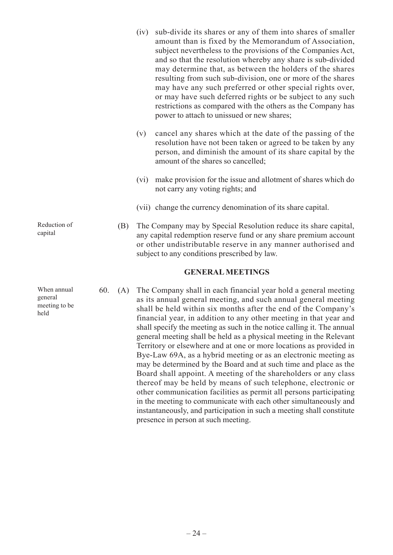- (iv) sub-divide its shares or any of them into shares of smaller amount than is fixed by the Memorandum of Association, subject nevertheless to the provisions of the Companies Act, and so that the resolution whereby any share is sub-divided may determine that, as between the holders of the shares resulting from such sub-division, one or more of the shares may have any such preferred or other special rights over, or may have such deferred rights or be subject to any such restrictions as compared with the others as the Company has power to attach to unissued or new shares;
- (v) cancel any shares which at the date of the passing of the resolution have not been taken or agreed to be taken by any person, and diminish the amount of its share capital by the amount of the shares so cancelled;
- (vi) make provision for the issue and allotment of shares which do not carry any voting rights; and
- (vii) change the currency denomination of its share capital.
- (B) The Company may by Special Resolution reduce its share capital, any capital redemption reserve fund or any share premium account or other undistributable reserve in any manner authorised and subject to any conditions prescribed by law.

#### **GENERAL MEETINGS**

60. (A) The Company shall in each financial year hold a general meeting as its annual general meeting, and such annual general meeting shall be held within six months after the end of the Company's financial year, in addition to any other meeting in that year and shall specify the meeting as such in the notice calling it. The annual general meeting shall be held as a physical meeting in the Relevant Territory or elsewhere and at one or more locations as provided in Bye-Law 69A, as a hybrid meeting or as an electronic meeting as may be determined by the Board and at such time and place as the Board shall appoint. A meeting of the shareholders or any class thereof may be held by means of such telephone, electronic or other communication facilities as permit all persons participating in the meeting to communicate with each other simultaneously and instantaneously, and participation in such a meeting shall constitute presence in person at such meeting.

Reduction of capital

When annual general meeting to be held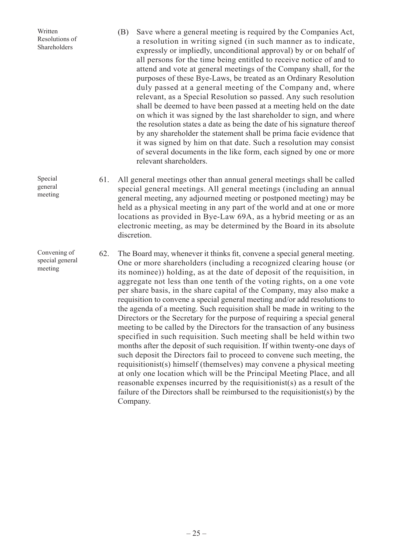| Written<br>Resolutions of<br>Shareholders  |     | Save where a general meeting is required by the Companies Act,<br>(B)<br>a resolution in writing signed (in such manner as to indicate,<br>expressly or impliedly, unconditional approval) by or on behalf of<br>all persons for the time being entitled to receive notice of and to<br>attend and vote at general meetings of the Company shall, for the<br>purposes of these Bye-Laws, be treated as an Ordinary Resolution<br>duly passed at a general meeting of the Company and, where<br>relevant, as a Special Resolution so passed. Any such resolution<br>shall be deemed to have been passed at a meeting held on the date<br>on which it was signed by the last shareholder to sign, and where<br>the resolution states a date as being the date of his signature thereof<br>by any shareholder the statement shall be prima facie evidence that<br>it was signed by him on that date. Such a resolution may consist<br>of several documents in the like form, each signed by one or more<br>relevant shareholders.                                                                                                                                                                                                                                  |
|--------------------------------------------|-----|-----------------------------------------------------------------------------------------------------------------------------------------------------------------------------------------------------------------------------------------------------------------------------------------------------------------------------------------------------------------------------------------------------------------------------------------------------------------------------------------------------------------------------------------------------------------------------------------------------------------------------------------------------------------------------------------------------------------------------------------------------------------------------------------------------------------------------------------------------------------------------------------------------------------------------------------------------------------------------------------------------------------------------------------------------------------------------------------------------------------------------------------------------------------------------------------------------------------------------------------------------------------|
| Special<br>general<br>meeting              | 61. | All general meetings other than annual general meetings shall be called<br>special general meetings. All general meetings (including an annual<br>general meeting, any adjourned meeting or postponed meeting) may be<br>held as a physical meeting in any part of the world and at one or more<br>locations as provided in Bye-Law 69A, as a hybrid meeting or as an<br>electronic meeting, as may be determined by the Board in its absolute<br>discretion.                                                                                                                                                                                                                                                                                                                                                                                                                                                                                                                                                                                                                                                                                                                                                                                                   |
| Convening of<br>special general<br>meeting | 62. | The Board may, whenever it thinks fit, convene a special general meeting.<br>One or more shareholders (including a recognized clearing house (or<br>its nominee)) holding, as at the date of deposit of the requisition, in<br>aggregate not less than one tenth of the voting rights, on a one vote<br>per share basis, in the share capital of the Company, may also make a<br>requisition to convene a special general meeting and/or add resolutions to<br>the agenda of a meeting. Such requisition shall be made in writing to the<br>Directors or the Secretary for the purpose of requiring a special general<br>meeting to be called by the Directors for the transaction of any business<br>specified in such requisition. Such meeting shall be held within two<br>months after the deposit of such requisition. If within twenty-one days of<br>such deposit the Directors fail to proceed to convene such meeting, the<br>requisitionist(s) himself (themselves) may convene a physical meeting<br>at only one location which will be the Principal Meeting Place, and all<br>reasonable expenses incurred by the requisitionist(s) as a result of the<br>failure of the Directors shall be reimbursed to the requisitionist(s) by the<br>Company. |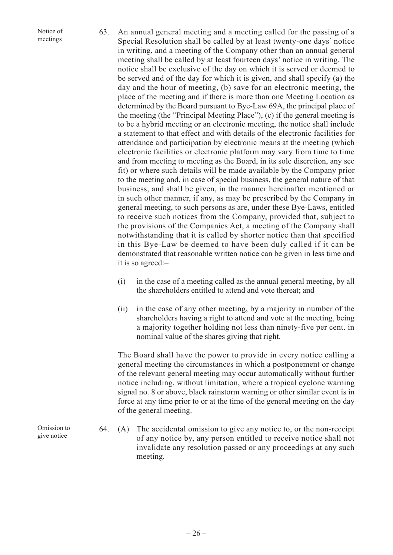Notice of meetings

- 63. An annual general meeting and a meeting called for the passing of a Special Resolution shall be called by at least twenty-one days' notice in writing, and a meeting of the Company other than an annual general meeting shall be called by at least fourteen days' notice in writing. The notice shall be exclusive of the day on which it is served or deemed to be served and of the day for which it is given, and shall specify (a) the day and the hour of meeting, (b) save for an electronic meeting, the place of the meeting and if there is more than one Meeting Location as determined by the Board pursuant to Bye-Law 69A, the principal place of the meeting (the "Principal Meeting Place"), (c) if the general meeting is to be a hybrid meeting or an electronic meeting, the notice shall include a statement to that effect and with details of the electronic facilities for attendance and participation by electronic means at the meeting (which electronic facilities or electronic platform may vary from time to time and from meeting to meeting as the Board, in its sole discretion, any see fit) or where such details will be made available by the Company prior to the meeting and, in case of special business, the general nature of that business, and shall be given, in the manner hereinafter mentioned or in such other manner, if any, as may be prescribed by the Company in general meeting, to such persons as are, under these Bye-Laws, entitled to receive such notices from the Company, provided that, subject to the provisions of the Companies Act, a meeting of the Company shall notwithstanding that it is called by shorter notice than that specified in this Bye-Law be deemed to have been duly called if it can be demonstrated that reasonable written notice can be given in less time and it is so agreed:–
	- (i) in the case of a meeting called as the annual general meeting, by all the shareholders entitled to attend and vote thereat; and
	- (ii) in the case of any other meeting, by a majority in number of the shareholders having a right to attend and vote at the meeting, being a majority together holding not less than ninety-five per cent. in nominal value of the shares giving that right.

The Board shall have the power to provide in every notice calling a general meeting the circumstances in which a postponement or change of the relevant general meeting may occur automatically without further notice including, without limitation, where a tropical cyclone warning signal no. 8 or above, black rainstorm warning or other similar event is in force at any time prior to or at the time of the general meeting on the day of the general meeting.

64. (A) The accidental omission to give any notice to, or the non-receipt of any notice by, any person entitled to receive notice shall not invalidate any resolution passed or any proceedings at any such meeting.

Omission to give notice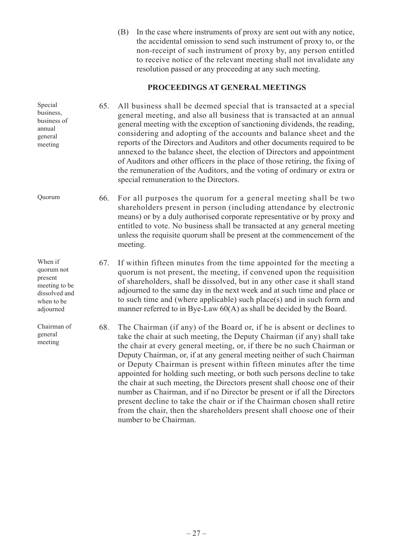(B) In the case where instruments of proxy are sent out with any notice, the accidental omission to send such instrument of proxy to, or the non-receipt of such instrument of proxy by, any person entitled to receive notice of the relevant meeting shall not invalidate any resolution passed or any proceeding at any such meeting.

## **PROCEEDINGS AT GENERAL MEETINGS**

65. All business shall be deemed special that is transacted at a special general meeting, and also all business that is transacted at an annual general meeting with the exception of sanctioning dividends, the reading, considering and adopting of the accounts and balance sheet and the reports of the Directors and Auditors and other documents required to be annexed to the balance sheet, the election of Directors and appointment of Auditors and other officers in the place of those retiring, the fixing of the remuneration of the Auditors, and the voting of ordinary or extra or special remuneration to the Directors. business of

> 66. For all purposes the quorum for a general meeting shall be two shareholders present in person (including attendance by electronic means) or by a duly authorised corporate representative or by proxy and entitled to vote. No business shall be transacted at any general meeting unless the requisite quorum shall be present at the commencement of the meeting.

67. If within fifteen minutes from the time appointed for the meeting a quorum is not present, the meeting, if convened upon the requisition of shareholders, shall be dissolved, but in any other case it shall stand adjourned to the same day in the next week and at such time and place or to such time and (where applicable) such place(s) and in such form and manner referred to in Bye-Law  $60(A)$  as shall be decided by the Board.

68. The Chairman (if any) of the Board or, if he is absent or declines to take the chair at such meeting, the Deputy Chairman (if any) shall take the chair at every general meeting, or, if there be no such Chairman or Deputy Chairman, or, if at any general meeting neither of such Chairman or Deputy Chairman is present within fifteen minutes after the time appointed for holding such meeting, or both such persons decline to take the chair at such meeting, the Directors present shall choose one of their number as Chairman, and if no Director be present or if all the Directors present decline to take the chair or if the Chairman chosen shall retire from the chair, then the shareholders present shall choose one of their number to be Chairman.

Quorum

Special business,

annual general meeting

When if quorum not present meeting to be dissolved and when to be adjourned

Chairman of general meeting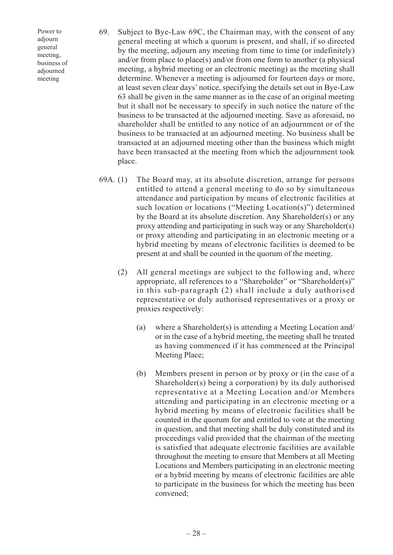Power to adjourn general meeting, business of adjourned meeting

- 69. Subject to Bye-Law 69C, the Chairman may, with the consent of any general meeting at which a quorum is present, and shall, if so directed by the meeting, adjourn any meeting from time to time (or indefinitely) and/or from place to place(s) and/or from one form to another (a physical meeting, a hybrid meeting or an electronic meeting) as the meeting shall determine. Whenever a meeting is adjourned for fourteen days or more, at least seven clear days' notice, specifying the details set out in Bye-Law 63 shall be given in the same manner as in the case of an original meeting but it shall not be necessary to specify in such notice the nature of the business to be transacted at the adjourned meeting. Save as aforesaid, no shareholder shall be entitled to any notice of an adjournment or of the business to be transacted at an adjourned meeting. No business shall be transacted at an adjourned meeting other than the business which might have been transacted at the meeting from which the adjournment took place.
- 69A. (1) The Board may, at its absolute discretion, arrange for persons entitled to attend a general meeting to do so by simultaneous attendance and participation by means of electronic facilities at such location or locations ("Meeting Location(s)") determined by the Board at its absolute discretion. Any Shareholder(s) or any proxy attending and participating in such way or any Shareholder(s) or proxy attending and participating in an electronic meeting or a hybrid meeting by means of electronic facilities is deemed to be present at and shall be counted in the quorum of the meeting.
	- (2) All general meetings are subject to the following and, where appropriate, all references to a "Shareholder" or "Shareholder(s)" in this sub-paragraph (2) shall include a duly authorised representative or duly authorised representatives or a proxy or proxies respectively:
		- (a) where a Shareholder(s) is attending a Meeting Location and/ or in the case of a hybrid meeting, the meeting shall be treated as having commenced if it has commenced at the Principal Meeting Place;
		- (b) Members present in person or by proxy or (in the case of a Shareholder(s) being a corporation) by its duly authorised representative at a Meeting Location and/or Members attending and participating in an electronic meeting or a hybrid meeting by means of electronic facilities shall be counted in the quorum for and entitled to vote at the meeting in question, and that meeting shall be duly constituted and its proceedings valid provided that the chairman of the meeting is satisfied that adequate electronic facilities are available throughout the meeting to ensure that Members at all Meeting Locations and Members participating in an electronic meeting or a hybrid meeting by means of electronic facilities are able to participate in the business for which the meeting has been convened;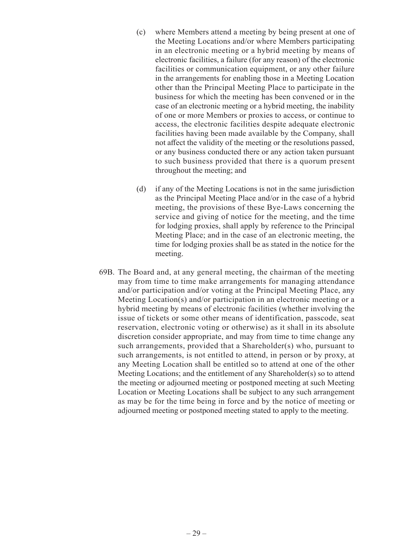- (c) where Members attend a meeting by being present at one of the Meeting Locations and/or where Members participating in an electronic meeting or a hybrid meeting by means of electronic facilities, a failure (for any reason) of the electronic facilities or communication equipment, or any other failure in the arrangements for enabling those in a Meeting Location other than the Principal Meeting Place to participate in the business for which the meeting has been convened or in the case of an electronic meeting or a hybrid meeting, the inability of one or more Members or proxies to access, or continue to access, the electronic facilities despite adequate electronic facilities having been made available by the Company, shall not affect the validity of the meeting or the resolutions passed, or any business conducted there or any action taken pursuant to such business provided that there is a quorum present throughout the meeting; and
- (d) if any of the Meeting Locations is not in the same jurisdiction as the Principal Meeting Place and/or in the case of a hybrid meeting, the provisions of these Bye-Laws concerning the service and giving of notice for the meeting, and the time for lodging proxies, shall apply by reference to the Principal Meeting Place; and in the case of an electronic meeting, the time for lodging proxies shall be as stated in the notice for the meeting.
- 69B. The Board and, at any general meeting, the chairman of the meeting may from time to time make arrangements for managing attendance and/or participation and/or voting at the Principal Meeting Place, any Meeting Location(s) and/or participation in an electronic meeting or a hybrid meeting by means of electronic facilities (whether involving the issue of tickets or some other means of identification, passcode, seat reservation, electronic voting or otherwise) as it shall in its absolute discretion consider appropriate, and may from time to time change any such arrangements, provided that a Shareholder(s) who, pursuant to such arrangements, is not entitled to attend, in person or by proxy, at any Meeting Location shall be entitled so to attend at one of the other Meeting Locations; and the entitlement of any Shareholder(s) so to attend the meeting or adjourned meeting or postponed meeting at such Meeting Location or Meeting Locations shall be subject to any such arrangement as may be for the time being in force and by the notice of meeting or adjourned meeting or postponed meeting stated to apply to the meeting.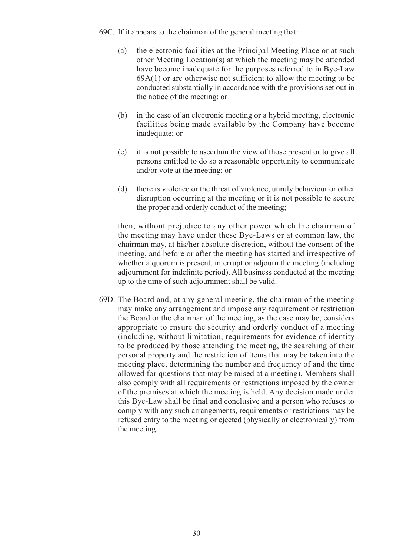69C. If it appears to the chairman of the general meeting that:

- (a) the electronic facilities at the Principal Meeting Place or at such other Meeting Location(s) at which the meeting may be attended have become inadequate for the purposes referred to in Bye-Law  $69A(1)$  or are otherwise not sufficient to allow the meeting to be conducted substantially in accordance with the provisions set out in the notice of the meeting; or
- (b) in the case of an electronic meeting or a hybrid meeting, electronic facilities being made available by the Company have become inadequate; or
- (c) it is not possible to ascertain the view of those present or to give all persons entitled to do so a reasonable opportunity to communicate and/or vote at the meeting; or
- (d) there is violence or the threat of violence, unruly behaviour or other disruption occurring at the meeting or it is not possible to secure the proper and orderly conduct of the meeting;

then, without prejudice to any other power which the chairman of the meeting may have under these Bye-Laws or at common law, the chairman may, at his/her absolute discretion, without the consent of the meeting, and before or after the meeting has started and irrespective of whether a quorum is present, interrupt or adjourn the meeting (including adjournment for indefinite period). All business conducted at the meeting up to the time of such adjournment shall be valid.

69D. The Board and, at any general meeting, the chairman of the meeting may make any arrangement and impose any requirement or restriction the Board or the chairman of the meeting, as the case may be, considers appropriate to ensure the security and orderly conduct of a meeting (including, without limitation, requirements for evidence of identity to be produced by those attending the meeting, the searching of their personal property and the restriction of items that may be taken into the meeting place, determining the number and frequency of and the time allowed for questions that may be raised at a meeting). Members shall also comply with all requirements or restrictions imposed by the owner of the premises at which the meeting is held. Any decision made under this Bye-Law shall be final and conclusive and a person who refuses to comply with any such arrangements, requirements or restrictions may be refused entry to the meeting or ejected (physically or electronically) from the meeting.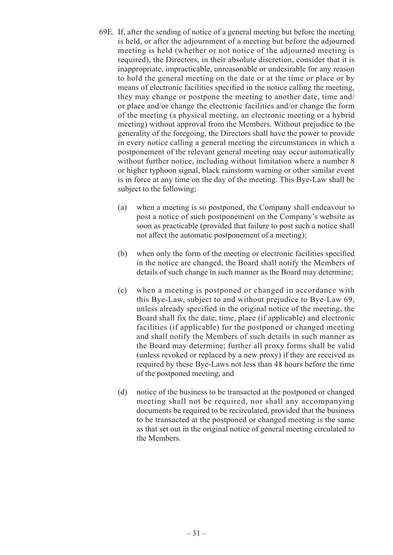- 69E. If, after the sending of notice of a general meeting but before the meeting is held, or after the adjournment of a meeting but before the adjourned meeting is held (whether or not notice of the adjourned meeting is required), the Directors, in their absolute discretion, consider that it is inappropriate, impracticable, unreasonable or undesirable for any reason to hold the general meeting on the date or at the time or place or by means of electronic facilities specified in the notice calling the meeting, they may change or postpone the meeting to another date, time and/ or place and/or change the electronic facilities and/or change the form of the meeting (a physical meeting, an electronic meeting or a hybrid meeting) without approval from the Members. Without prejudice to the generality of the foregoing, the Directors shall have the power to provide in every notice calling a general meeting the circumstances in which a postponement of the relevant general meeting may occur automatically without further notice, including without limitation where a number 8 or higher typhoon signal, black rainstorm warning or other similar event is in force at any time on the day of the meeting. This Bye-Law shall be subject to the following;
	- (a) when a meeting is so postponed, the Company shall endeavour to post a notice of such postponement on the Company's website as soon as practicable (provided that failure to post such a notice shall not affect the automatic postponement of a meeting);
	- (b) when only the form of the meeting or electronic facilities specified in the notice are changed, the Board shall notify the Members of details of such change in such manner as the Board may determine;
	- (c) when a meeting is postponed or changed in accordance with this Bye-Law, subject to and without prejudice to Bye-Law 69, unless already specified in the original notice of the meeting, the Board shall fix the date, time, place (if applicable) and electronic facilities (if applicable) for the postponed or changed meeting and shall notify the Members of such details in such manner as the Board may determine; further all proxy forms shall be valid (unless revoked or replaced by a new proxy) if they are received as required by these Bye-Laws not less than 48 hours before the time of the postponed meeting; and
	- (d) notice of the business to be transacted at the postponed or changed meeting shall not be required, nor shall any accompanying documents be required to be recirculated, provided that the business to be transacted at the postponed or changed meeting is the same as that set out in the original notice of general meeting circulated to the Members.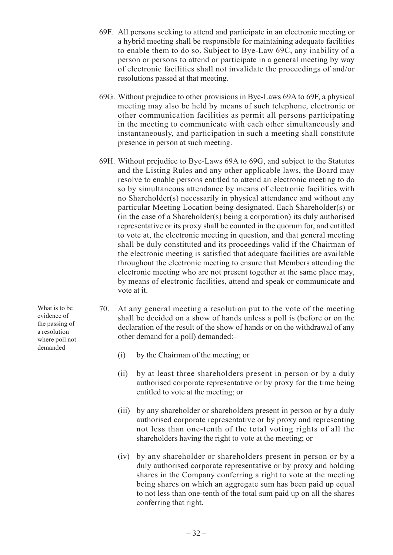- 69F. All persons seeking to attend and participate in an electronic meeting or a hybrid meeting shall be responsible for maintaining adequate facilities to enable them to do so. Subject to Bye-Law 69C, any inability of a person or persons to attend or participate in a general meeting by way of electronic facilities shall not invalidate the proceedings of and/or resolutions passed at that meeting.
- 69G. Without prejudice to other provisions in Bye-Laws 69A to 69F, a physical meeting may also be held by means of such telephone, electronic or other communication facilities as permit all persons participating in the meeting to communicate with each other simultaneously and instantaneously, and participation in such a meeting shall constitute presence in person at such meeting.
- 69H. Without prejudice to Bye-Laws 69A to 69G, and subject to the Statutes and the Listing Rules and any other applicable laws, the Board may resolve to enable persons entitled to attend an electronic meeting to do so by simultaneous attendance by means of electronic facilities with no Shareholder(s) necessarily in physical attendance and without any particular Meeting Location being designated. Each Shareholder(s) or (in the case of a Shareholder(s) being a corporation) its duly authorised representative or its proxy shall be counted in the quorum for, and entitled to vote at, the electronic meeting in question, and that general meeting shall be duly constituted and its proceedings valid if the Chairman of the electronic meeting is satisfied that adequate facilities are available throughout the electronic meeting to ensure that Members attending the electronic meeting who are not present together at the same place may, by means of electronic facilities, attend and speak or communicate and vote at it.
- 70. At any general meeting a resolution put to the vote of the meeting shall be decided on a show of hands unless a poll is (before or on the declaration of the result of the show of hands or on the withdrawal of any other demand for a poll) demanded:–
	- (i) by the Chairman of the meeting; or
	- (ii) by at least three shareholders present in person or by a duly authorised corporate representative or by proxy for the time being entitled to vote at the meeting; or
	- (iii) by any shareholder or shareholders present in person or by a duly authorised corporate representative or by proxy and representing not less than one-tenth of the total voting rights of all the shareholders having the right to vote at the meeting; or
	- (iv) by any shareholder or shareholders present in person or by a duly authorised corporate representative or by proxy and holding shares in the Company conferring a right to vote at the meeting being shares on which an aggregate sum has been paid up equal to not less than one-tenth of the total sum paid up on all the shares conferring that right.

What is to be evidence of the passing of a resolution where poll not demanded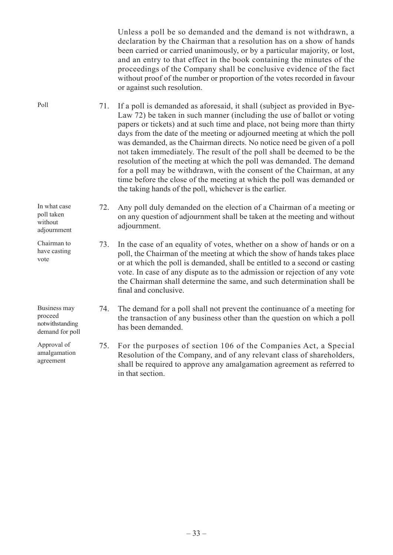Unless a poll be so demanded and the demand is not withdrawn, a declaration by the Chairman that a resolution has on a show of hands been carried or carried unanimously, or by a particular majority, or lost, and an entry to that effect in the book containing the minutes of the proceedings of the Company shall be conclusive evidence of the fact without proof of the number or proportion of the votes recorded in favour or against such resolution.

71. If a poll is demanded as aforesaid, it shall (subject as provided in Bye-Law 72) be taken in such manner (including the use of ballot or voting papers or tickets) and at such time and place, not being more than thirty days from the date of the meeting or adjourned meeting at which the poll was demanded, as the Chairman directs. No notice need be given of a poll not taken immediately. The result of the poll shall be deemed to be the resolution of the meeting at which the poll was demanded. The demand for a poll may be withdrawn, with the consent of the Chairman, at any time before the close of the meeting at which the poll was demanded or the taking hands of the poll, whichever is the earlier.

72. Any poll duly demanded on the election of a Chairman of a meeting or on any question of adjournment shall be taken at the meeting and without adjournment.

73. In the case of an equality of votes, whether on a show of hands or on a poll, the Chairman of the meeting at which the show of hands takes place or at which the poll is demanded, shall be entitled to a second or casting vote. In case of any dispute as to the admission or rejection of any vote the Chairman shall determine the same, and such determination shall be final and conclusive.

74. The demand for a poll shall not prevent the continuance of a meeting for the transaction of any business other than the question on which a poll has been demanded.

75. For the purposes of section 106 of the Companies Act, a Special Resolution of the Company, and of any relevant class of shareholders, shall be required to approve any amalgamation agreement as referred to in that section.

Poll

poll taken without adjournment

Chairman to have casting vote

In what case

Business may proceed notwithstanding demand for poll

Approval of amalgamation agreement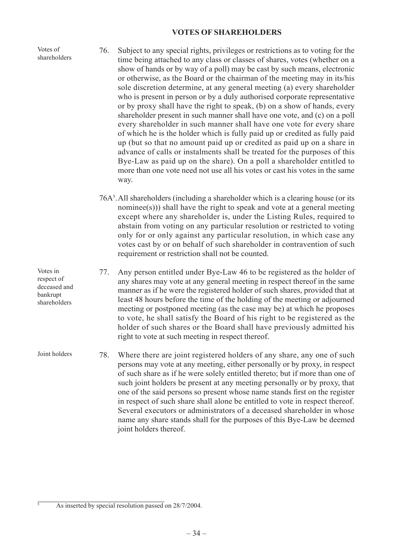## **VOTES OF SHAREHOLDERS**

Votes of shareholders

Votes in respect of deceased and bankrupt shareholders

- 76. Subject to any special rights, privileges or restrictions as to voting for the time being attached to any class or classes of shares, votes (whether on a show of hands or by way of a poll) may be cast by such means, electronic or otherwise, as the Board or the chairman of the meeting may in its/his sole discretion determine, at any general meeting (a) every shareholder who is present in person or by a duly authorised corporate representative or by proxy shall have the right to speak, (b) on a show of hands, every shareholder present in such manner shall have one vote, and (c) on a poll every shareholder in such manner shall have one vote for every share of which he is the holder which is fully paid up or credited as fully paid up (but so that no amount paid up or credited as paid up on a share in advance of calls or instalments shall be treated for the purposes of this Bye-Law as paid up on the share). On a poll a shareholder entitled to more than one vote need not use all his votes or cast his votes in the same way.
- 76A5 .All shareholders (including a shareholder which is a clearing house (or its nominee(s))) shall have the right to speak and vote at a general meeting except where any shareholder is, under the Listing Rules, required to abstain from voting on any particular resolution or restricted to voting only for or only against any particular resolution, in which case any votes cast by or on behalf of such shareholder in contravention of such requirement or restriction shall not be counted.
- 77. Any person entitled under Bye-Law 46 to be registered as the holder of any shares may vote at any general meeting in respect thereof in the same manner as if he were the registered holder of such shares, provided that at least 48 hours before the time of the holding of the meeting or adjourned meeting or postponed meeting (as the case may be) at which he proposes to vote, he shall satisfy the Board of his right to be registered as the holder of such shares or the Board shall have previously admitted his right to vote at such meeting in respect thereof.
- 78. Where there are joint registered holders of any share, any one of such persons may vote at any meeting, either personally or by proxy, in respect of such share as if he were solely entitled thereto; but if more than one of such joint holders be present at any meeting personally or by proxy, that one of the said persons so present whose name stands first on the register in respect of such share shall alone be entitled to vote in respect thereof. Several executors or administrators of a deceased shareholder in whose name any share stands shall for the purposes of this Bye-Law be deemed joint holders thereof. Joint holders

As inserted by special resolution passed on 28/7/2004.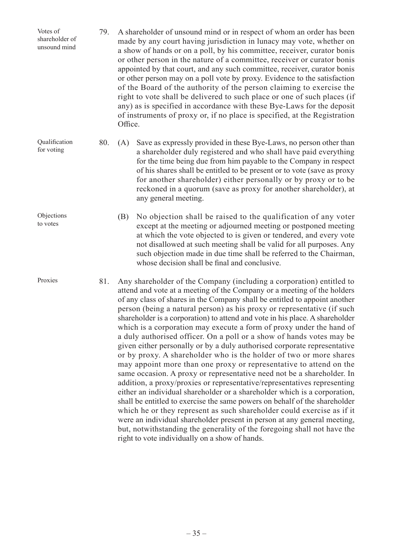| Votes of<br>shareholder of<br>unsound mind | 79. | A shareholder of unsound mind or in respect of whom an order has been<br>made by any court having jurisdiction in lunacy may vote, whether on<br>a show of hands or on a poll, by his committee, receiver, curator bonis<br>or other person in the nature of a committee, receiver or curator bonis<br>appointed by that court, and any such committee, receiver, curator bonis<br>or other person may on a poll vote by proxy. Evidence to the satisfaction<br>of the Board of the authority of the person claiming to exercise the<br>right to vote shall be delivered to such place or one of such places (if<br>any) as is specified in accordance with these Bye-Laws for the deposit<br>of instruments of proxy or, if no place is specified, at the Registration<br>Office.                                                                                                                                                                                                                                                                                                                                                                          |  |
|--------------------------------------------|-----|-------------------------------------------------------------------------------------------------------------------------------------------------------------------------------------------------------------------------------------------------------------------------------------------------------------------------------------------------------------------------------------------------------------------------------------------------------------------------------------------------------------------------------------------------------------------------------------------------------------------------------------------------------------------------------------------------------------------------------------------------------------------------------------------------------------------------------------------------------------------------------------------------------------------------------------------------------------------------------------------------------------------------------------------------------------------------------------------------------------------------------------------------------------|--|
| Qualification<br>for voting                | 80. | Save as expressly provided in these Bye-Laws, no person other than<br>(A)<br>a shareholder duly registered and who shall have paid everything<br>for the time being due from him payable to the Company in respect<br>of his shares shall be entitled to be present or to vote (save as proxy<br>for another shareholder) either personally or by proxy or to be<br>reckoned in a quorum (save as proxy for another shareholder), at<br>any general meeting.                                                                                                                                                                                                                                                                                                                                                                                                                                                                                                                                                                                                                                                                                                |  |
| Objections<br>to votes                     |     | No objection shall be raised to the qualification of any voter<br>(B)<br>except at the meeting or adjourned meeting or postponed meeting<br>at which the vote objected to is given or tendered, and every vote<br>not disallowed at such meeting shall be valid for all purposes. Any<br>such objection made in due time shall be referred to the Chairman,<br>whose decision shall be final and conclusive.                                                                                                                                                                                                                                                                                                                                                                                                                                                                                                                                                                                                                                                                                                                                                |  |
| Proxies                                    | 81. | Any shareholder of the Company (including a corporation) entitled to<br>attend and vote at a meeting of the Company or a meeting of the holders<br>of any class of shares in the Company shall be entitled to appoint another<br>person (being a natural person) as his proxy or representative (if such<br>shareholder is a corporation) to attend and vote in his place. A shareholder<br>which is a corporation may execute a form of proxy under the hand of<br>a duly authorised officer. On a poll or a show of hands votes may be<br>given either personally or by a duly authorised corporate representative<br>or by proxy. A shareholder who is the holder of two or more shares<br>may appoint more than one proxy or representative to attend on the<br>same occasion. A proxy or representative need not be a shareholder. In<br>addition, a proxy/proxies or representative/representatives representing<br>either an individual shareholder or a shareholder which is a corporation,<br>shall be entitled to exercise the same powers on behalf of the shareholder<br>which he or they represent as such shareholder could exercise as if it |  |

right to vote individually on a show of hands.

were an individual shareholder present in person at any general meeting, but, notwithstanding the generality of the foregoing shall not have the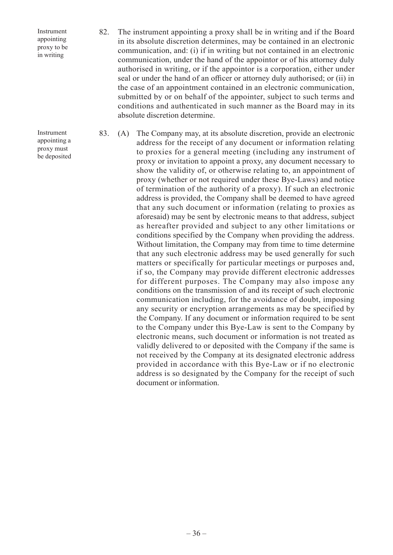Instrument appointing proxy to be in writing

Instrument appointing a proxy must be deposited

- 82. The instrument appointing a proxy shall be in writing and if the Board in its absolute discretion determines, may be contained in an electronic communication, and: (i) if in writing but not contained in an electronic communication, under the hand of the appointor or of his attorney duly authorised in writing, or if the appointor is a corporation, either under seal or under the hand of an officer or attorney duly authorised; or (ii) in the case of an appointment contained in an electronic communication, submitted by or on behalf of the appointer, subject to such terms and conditions and authenticated in such manner as the Board may in its absolute discretion determine.
- 83. (A) The Company may, at its absolute discretion, provide an electronic address for the receipt of any document or information relating to proxies for a general meeting (including any instrument of proxy or invitation to appoint a proxy, any document necessary to show the validity of, or otherwise relating to, an appointment of proxy (whether or not required under these Bye-Laws) and notice of termination of the authority of a proxy). If such an electronic address is provided, the Company shall be deemed to have agreed that any such document or information (relating to proxies as aforesaid) may be sent by electronic means to that address, subject as hereafter provided and subject to any other limitations or conditions specified by the Company when providing the address. Without limitation, the Company may from time to time determine that any such electronic address may be used generally for such matters or specifically for particular meetings or purposes and, if so, the Company may provide different electronic addresses for different purposes. The Company may also impose any conditions on the transmission of and its receipt of such electronic communication including, for the avoidance of doubt, imposing any security or encryption arrangements as may be specified by the Company. If any document or information required to be sent to the Company under this Bye-Law is sent to the Company by electronic means, such document or information is not treated as validly delivered to or deposited with the Company if the same is not received by the Company at its designated electronic address provided in accordance with this Bye-Law or if no electronic address is so designated by the Company for the receipt of such document or information.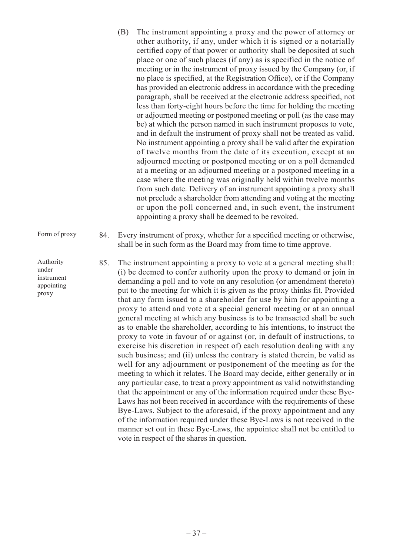- (B) The instrument appointing a proxy and the power of attorney or other authority, if any, under which it is signed or a notarially certified copy of that power or authority shall be deposited at such place or one of such places (if any) as is specified in the notice of meeting or in the instrument of proxy issued by the Company (or, if no place is specified, at the Registration Office), or if the Company has provided an electronic address in accordance with the preceding paragraph, shall be received at the electronic address specified, not less than forty-eight hours before the time for holding the meeting or adjourned meeting or postponed meeting or poll (as the case may be) at which the person named in such instrument proposes to vote, and in default the instrument of proxy shall not be treated as valid. No instrument appointing a proxy shall be valid after the expiration of twelve months from the date of its execution, except at an adjourned meeting or postponed meeting or on a poll demanded at a meeting or an adjourned meeting or a postponed meeting in a case where the meeting was originally held within twelve months from such date. Delivery of an instrument appointing a proxy shall not preclude a shareholder from attending and voting at the meeting or upon the poll concerned and, in such event, the instrument appointing a proxy shall be deemed to be revoked.
- 84. Every instrument of proxy, whether for a specified meeting or otherwise, shall be in such form as the Board may from time to time approve.
	- 85. The instrument appointing a proxy to vote at a general meeting shall: (i) be deemed to confer authority upon the proxy to demand or join in demanding a poll and to vote on any resolution (or amendment thereto) put to the meeting for which it is given as the proxy thinks fit. Provided that any form issued to a shareholder for use by him for appointing a proxy to attend and vote at a special general meeting or at an annual general meeting at which any business is to be transacted shall be such as to enable the shareholder, according to his intentions, to instruct the proxy to vote in favour of or against (or, in default of instructions, to exercise his discretion in respect of) each resolution dealing with any such business; and (ii) unless the contrary is stated therein, be valid as well for any adjournment or postponement of the meeting as for the meeting to which it relates. The Board may decide, either generally or in any particular case, to treat a proxy appointment as valid notwithstanding that the appointment or any of the information required under these Bye-Laws has not been received in accordance with the requirements of these Bye-Laws. Subject to the aforesaid, if the proxy appointment and any of the information required under these Bye-Laws is not received in the manner set out in these Bye-Laws, the appointee shall not be entitled to vote in respect of the shares in question.

Authority under instrument appointing proxy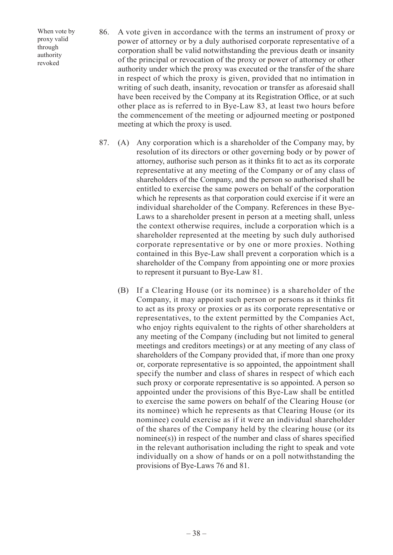When vote by proxy valid through authority revoked

- 86. A vote given in accordance with the terms an instrument of proxy or power of attorney or by a duly authorised corporate representative of a corporation shall be valid notwithstanding the previous death or insanity of the principal or revocation of the proxy or power of attorney or other authority under which the proxy was executed or the transfer of the share in respect of which the proxy is given, provided that no intimation in writing of such death, insanity, revocation or transfer as aforesaid shall have been received by the Company at its Registration Office, or at such other place as is referred to in Bye-Law 83, at least two hours before the commencement of the meeting or adjourned meeting or postponed meeting at which the proxy is used.
- 87. (A) Any corporation which is a shareholder of the Company may, by resolution of its directors or other governing body or by power of attorney, authorise such person as it thinks fit to act as its corporate representative at any meeting of the Company or of any class of shareholders of the Company, and the person so authorised shall be entitled to exercise the same powers on behalf of the corporation which he represents as that corporation could exercise if it were an individual shareholder of the Company. References in these Bye-Laws to a shareholder present in person at a meeting shall, unless the context otherwise requires, include a corporation which is a shareholder represented at the meeting by such duly authorised corporate representative or by one or more proxies. Nothing contained in this Bye-Law shall prevent a corporation which is a shareholder of the Company from appointing one or more proxies to represent it pursuant to Bye-Law 81.
	- (B) If a Clearing House (or its nominee) is a shareholder of the Company, it may appoint such person or persons as it thinks fit to act as its proxy or proxies or as its corporate representative or representatives, to the extent permitted by the Companies Act, who enjoy rights equivalent to the rights of other shareholders at any meeting of the Company (including but not limited to general meetings and creditors meetings) or at any meeting of any class of shareholders of the Company provided that, if more than one proxy or, corporate representative is so appointed, the appointment shall specify the number and class of shares in respect of which each such proxy or corporate representative is so appointed. A person so appointed under the provisions of this Bye-Law shall be entitled to exercise the same powers on behalf of the Clearing House (or its nominee) which he represents as that Clearing House (or its nominee) could exercise as if it were an individual shareholder of the shares of the Company held by the clearing house (or its nominee(s)) in respect of the number and class of shares specified in the relevant authorisation including the right to speak and vote individually on a show of hands or on a poll notwithstanding the provisions of Bye-Laws 76 and 81.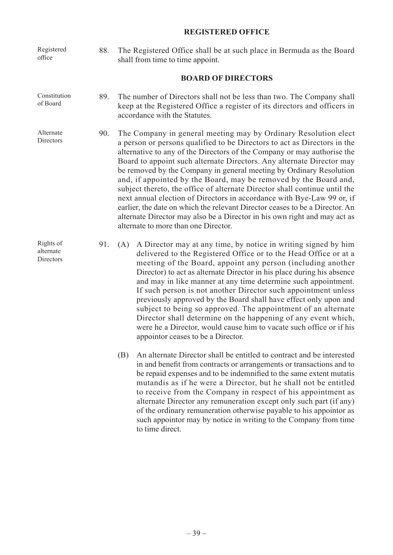## **REGISTERED OFFICE**

88. The Registered Office shall be at such place in Bermuda as the Board shall from time to time appoint. Registered office

## **BOARD OF DIRECTORS**

- 89. The number of Directors shall not be less than two. The Company shall keep at the Registered Office a register of its directors and officers in accordance with the Statutes. Constitution of Board
- 90. The Company in general meeting may by Ordinary Resolution elect a person or persons qualified to be Directors to act as Directors in the alternative to any of the Directors of the Company or may authorise the Board to appoint such alternate Directors. Any alternate Director may be removed by the Company in general meeting by Ordinary Resolution and, if appointed by the Board, may be removed by the Board and, subject thereto, the office of alternate Director shall continue until the next annual election of Directors in accordance with Bye-Law 99 or, if earlier, the date on which the relevant Director ceases to be a Director. An alternate Director may also be a Director in his own right and may act as alternate to more than one Director. Alternate **Directors**

Rights of alternate Directors

- 91. (A) A Director may at any time, by notice in writing signed by him delivered to the Registered Office or to the Head Office or at a meeting of the Board, appoint any person (including another Director) to act as alternate Director in his place during his absence and may in like manner at any time determine such appointment. If such person is not another Director such appointment unless previously approved by the Board shall have effect only upon and subject to being so approved. The appointment of an alternate Director shall determine on the happening of any event which, were he a Director, would cause him to vacate such office or if his appointor ceases to be a Director.
	- (B) An alternate Director shall be entitled to contract and be interested in and benefit from contracts or arrangements or transactions and to be repaid expenses and to be indemnified to the same extent mutatis mutandis as if he were a Director, but he shall not be entitled to receive from the Company in respect of his appointment as alternate Director any remuneration except only such part (if any) of the ordinary remuneration otherwise payable to his appointor as such appointor may by notice in writing to the Company from time to time direct.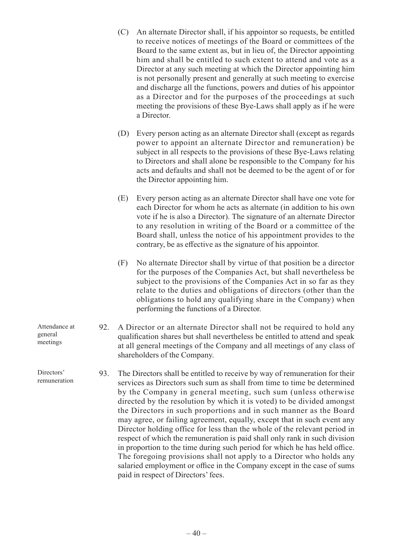- (C) An alternate Director shall, if his appointor so requests, be entitled to receive notices of meetings of the Board or committees of the Board to the same extent as, but in lieu of, the Director appointing him and shall be entitled to such extent to attend and vote as a Director at any such meeting at which the Director appointing him is not personally present and generally at such meeting to exercise and discharge all the functions, powers and duties of his appointor as a Director and for the purposes of the proceedings at such meeting the provisions of these Bye-Laws shall apply as if he were a Director.
- (D) Every person acting as an alternate Director shall (except as regards power to appoint an alternate Director and remuneration) be subject in all respects to the provisions of these Bye-Laws relating to Directors and shall alone be responsible to the Company for his acts and defaults and shall not be deemed to be the agent of or for the Director appointing him.
- (E) Every person acting as an alternate Director shall have one vote for each Director for whom he acts as alternate (in addition to his own vote if he is also a Director). The signature of an alternate Director to any resolution in writing of the Board or a committee of the Board shall, unless the notice of his appointment provides to the contrary, be as effective as the signature of his appointor.
- (F) No alternate Director shall by virtue of that position be a director for the purposes of the Companies Act, but shall nevertheless be subject to the provisions of the Companies Act in so far as they relate to the duties and obligations of directors (other than the obligations to hold any qualifying share in the Company) when performing the functions of a Director.
- 92. A Director or an alternate Director shall not be required to hold any qualification shares but shall nevertheless be entitled to attend and speak at all general meetings of the Company and all meetings of any class of shareholders of the Company.
- 93. The Directors shall be entitled to receive by way of remuneration for their services as Directors such sum as shall from time to time be determined by the Company in general meeting, such sum (unless otherwise directed by the resolution by which it is voted) to be divided amongst the Directors in such proportions and in such manner as the Board may agree, or failing agreement, equally, except that in such event any Director holding office for less than the whole of the relevant period in respect of which the remuneration is paid shall only rank in such division in proportion to the time during such period for which he has held office. The foregoing provisions shall not apply to a Director who holds any salaried employment or office in the Company except in the case of sums paid in respect of Directors' fees.

Attendance at general meetings

Directors' remuneration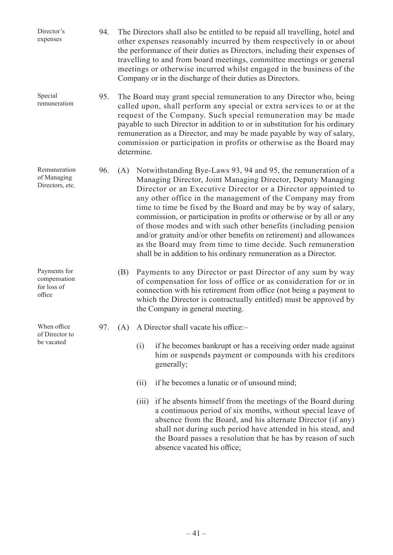| Director's<br>expenses                                | 94. |                                                                                                                                                                                                                                                                                                                                                                                                                                                             |       | The Directors shall also be entitled to be repaid all travelling, hotel and<br>other expenses reasonably incurred by them respectively in or about<br>the performance of their duties as Directors, including their expenses of<br>travelling to and from board meetings, committee meetings or general<br>meetings or otherwise incurred whilst engaged in the business of the<br>Company or in the discharge of their duties as Directors.                                                                                                                                                                                                                                        |
|-------------------------------------------------------|-----|-------------------------------------------------------------------------------------------------------------------------------------------------------------------------------------------------------------------------------------------------------------------------------------------------------------------------------------------------------------------------------------------------------------------------------------------------------------|-------|-------------------------------------------------------------------------------------------------------------------------------------------------------------------------------------------------------------------------------------------------------------------------------------------------------------------------------------------------------------------------------------------------------------------------------------------------------------------------------------------------------------------------------------------------------------------------------------------------------------------------------------------------------------------------------------|
| Special<br>remuneration                               | 95. | The Board may grant special remuneration to any Director who, being<br>called upon, shall perform any special or extra services to or at the<br>request of the Company. Such special remuneration may be made<br>payable to such Director in addition to or in substitution for his ordinary<br>remuneration as a Director, and may be made payable by way of salary,<br>commission or participation in profits or otherwise as the Board may<br>determine. |       |                                                                                                                                                                                                                                                                                                                                                                                                                                                                                                                                                                                                                                                                                     |
| Remuneration<br>of Managing<br>Directors, etc.        | 96. | (A)                                                                                                                                                                                                                                                                                                                                                                                                                                                         |       | Notwithstanding Bye-Laws 93, 94 and 95, the remuneration of a<br>Managing Director, Joint Managing Director, Deputy Managing<br>Director or an Executive Director or a Director appointed to<br>any other office in the management of the Company may from<br>time to time be fixed by the Board and may be by way of salary,<br>commission, or participation in profits or otherwise or by all or any<br>of those modes and with such other benefits (including pension<br>and/or gratuity and/or other benefits on retirement) and allowances<br>as the Board may from time to time decide. Such remuneration<br>shall be in addition to his ordinary remuneration as a Director. |
| Payments for<br>compensation<br>for loss of<br>office |     | (B)                                                                                                                                                                                                                                                                                                                                                                                                                                                         |       | Payments to any Director or past Director of any sum by way<br>of compensation for loss of office or as consideration for or in<br>connection with his retirement from office (not being a payment to<br>which the Director is contractually entitled) must be approved by<br>the Company in general meeting.                                                                                                                                                                                                                                                                                                                                                                       |
| When office<br>of Director to<br>be vacated           | 97. | (A)                                                                                                                                                                                                                                                                                                                                                                                                                                                         |       | A Director shall vacate his office:-                                                                                                                                                                                                                                                                                                                                                                                                                                                                                                                                                                                                                                                |
|                                                       |     |                                                                                                                                                                                                                                                                                                                                                                                                                                                             | (i)   | if he becomes bankrupt or has a receiving order made against<br>him or suspends payment or compounds with his creditors<br>generally;                                                                                                                                                                                                                                                                                                                                                                                                                                                                                                                                               |
|                                                       |     |                                                                                                                                                                                                                                                                                                                                                                                                                                                             | (i)   | if he becomes a lunatic or of unsound mind;                                                                                                                                                                                                                                                                                                                                                                                                                                                                                                                                                                                                                                         |
|                                                       |     |                                                                                                                                                                                                                                                                                                                                                                                                                                                             | (iii) | if he absents himself from the meetings of the Board during<br>a continuous period of six months, without special leave of<br>absence from the Board, and his alternate Director (if any)<br>shall not during such period have attended in his stead, and<br>the Board passes a resolution that he has by reason of such<br>absence vacated his office;                                                                                                                                                                                                                                                                                                                             |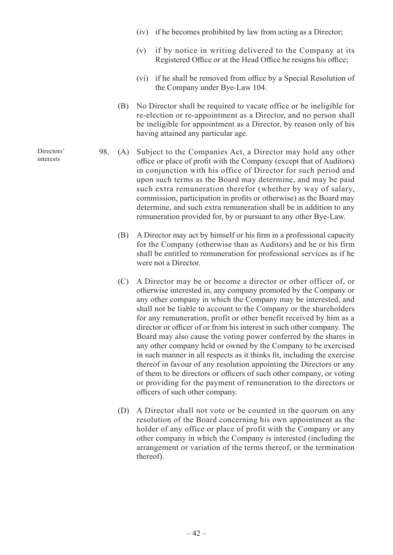- (iv) if he becomes prohibited by law from acting as a Director;
- (v) if by notice in writing delivered to the Company at its Registered Office or at the Head Office he resigns his office;
- (vi) if he shall be removed from office by a Special Resolution of the Company under Bye-Law 104.
- (B) No Director shall be required to vacate office or be ineligible for re-election or re-appointment as a Director, and no person shall be ineligible for appointment as a Director, by reason only of his having attained any particular age.
- 98. (A) Subject to the Companies Act, a Director may hold any other office or place of profit with the Company (except that of Auditors) in conjunction with his office of Director for such period and upon such terms as the Board may determine, and may be paid such extra remuneration therefor (whether by way of salary, commission, participation in profits or otherwise) as the Board may determine, and such extra remuneration shall be in addition to any remuneration provided for, by or pursuant to any other Bye-Law.
	- (B) A Director may act by himself or his firm in a professional capacity for the Company (otherwise than as Auditors) and he or his firm shall be entitled to remuneration for professional services as if he were not a Director.
	- (C) A Director may be or become a director or other officer of, or otherwise interested in, any company promoted by the Company or any other company in which the Company may be interested, and shall not be liable to account to the Company or the shareholders for any remuneration, profit or other benefit received by him as a director or officer of or from his interest in such other company. The Board may also cause the voting power conferred by the shares in any other company held or owned by the Company to be exercised in such manner in all respects as it thinks fit, including the exercise thereof in favour of any resolution appointing the Directors or any of them to be directors or officers of such other company, or voting or providing for the payment of remuneration to the directors or officers of such other company.
	- (D) A Director shall not vote or be counted in the quorum on any resolution of the Board concerning his own appointment as the holder of any office or place of profit with the Company or any other company in which the Company is interested (including the arrangement or variation of the terms thereof, or the termination thereof).

Directors' interests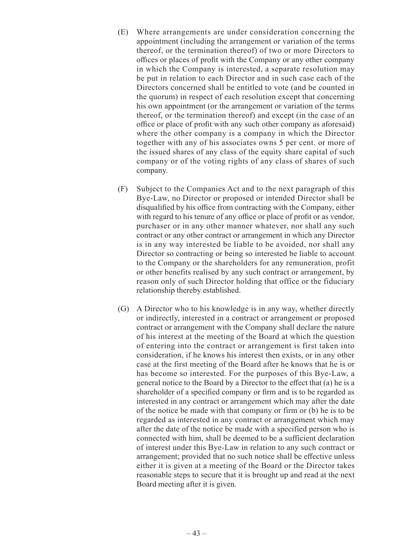- (E) Where arrangements are under consideration concerning the appointment (including the arrangement or variation of the terms thereof, or the termination thereof) of two or more Directors to offices or places of profit with the Company or any other company in which the Company is interested, a separate resolution may be put in relation to each Director and in such case each of the Directors concerned shall be entitled to vote (and be counted in the quorum) in respect of each resolution except that concerning his own appointment (or the arrangement or variation of the terms thereof, or the termination thereof) and except (in the case of an office or place of profit with any such other company as aforesaid) where the other company is a company in which the Director together with any of his associates owns 5 per cent. or more of the issued shares of any class of the equity share capital of such company or of the voting rights of any class of shares of such company.
- (F) Subject to the Companies Act and to the next paragraph of this Bye-Law, no Director or proposed or intended Director shall be disqualified by his office from contracting with the Company, either with regard to his tenure of any office or place of profit or as vendor, purchaser or in any other manner whatever, nor shall any such contract or any other contract or arrangement in which any Director is in any way interested be liable to be avoided, nor shall any Director so contracting or being so interested be liable to account to the Company or the shareholders for any remuneration, profit or other benefits realised by any such contract or arrangement, by reason only of such Director holding that office or the fiduciary relationship thereby established.
- (G) A Director who to his knowledge is in any way, whether directly or indirectly, interested in a contract or arrangement or proposed contract or arrangement with the Company shall declare the nature of his interest at the meeting of the Board at which the question of entering into the contract or arrangement is first taken into consideration, if he knows his interest then exists, or in any other case at the first meeting of the Board after he knows that he is or has become so interested. For the purposes of this Bye-Law, a general notice to the Board by a Director to the effect that (a) he is a shareholder of a specified company or firm and is to be regarded as interested in any contract or arrangement which may after the date of the notice be made with that company or firm or (b) he is to be regarded as interested in any contract or arrangement which may after the date of the notice be made with a specified person who is connected with him, shall be deemed to be a sufficient declaration of interest under this Bye-Law in relation to any such contract or arrangement; provided that no such notice shall be effective unless either it is given at a meeting of the Board or the Director takes reasonable steps to secure that it is brought up and read at the next Board meeting after it is given.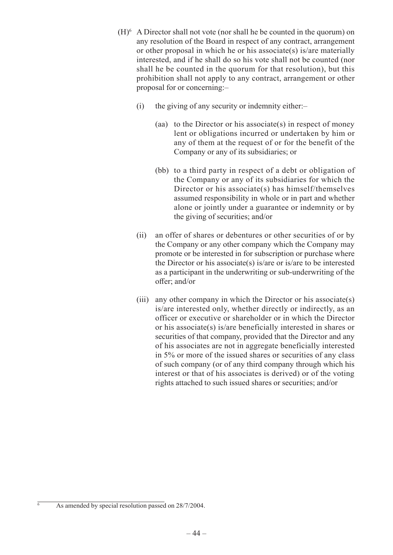- $(H)$ <sup>6</sup> A Director shall not vote (nor shall he be counted in the quorum) on any resolution of the Board in respect of any contract, arrangement or other proposal in which he or his associate(s) is/are materially interested, and if he shall do so his vote shall not be counted (nor shall he be counted in the quorum for that resolution), but this prohibition shall not apply to any contract, arrangement or other proposal for or concerning:–
	- (i) the giving of any security or indemnity either:–
		- (aa) to the Director or his associate(s) in respect of money lent or obligations incurred or undertaken by him or any of them at the request of or for the benefit of the Company or any of its subsidiaries; or
		- (bb) to a third party in respect of a debt or obligation of the Company or any of its subsidiaries for which the Director or his associate(s) has himself/themselves assumed responsibility in whole or in part and whether alone or jointly under a guarantee or indemnity or by the giving of securities; and/or
	- (ii) an offer of shares or debentures or other securities of or by the Company or any other company which the Company may promote or be interested in for subscription or purchase where the Director or his associate(s) is/are or is/are to be interested as a participant in the underwriting or sub-underwriting of the offer; and/or
	- (iii) any other company in which the Director or his associate(s) is/are interested only, whether directly or indirectly, as an officer or executive or shareholder or in which the Director or his associate(s) is/are beneficially interested in shares or securities of that company, provided that the Director and any of his associates are not in aggregate beneficially interested in 5% or more of the issued shares or securities of any class of such company (or of any third company through which his interest or that of his associates is derived) or of the voting rights attached to such issued shares or securities; and/or

As amended by special resolution passed on 28/7/2004.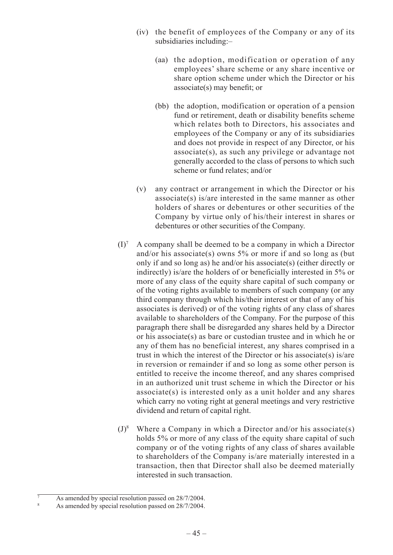- (iv) the benefit of employees of the Company or any of its subsidiaries including:–
	- (aa) the adoption, modification or operation of any employees' share scheme or any share incentive or share option scheme under which the Director or his associate(s) may benefit; or
	- (bb) the adoption, modification or operation of a pension fund or retirement, death or disability benefits scheme which relates both to Directors, his associates and employees of the Company or any of its subsidiaries and does not provide in respect of any Director, or his associate(s), as such any privilege or advantage not generally accorded to the class of persons to which such scheme or fund relates; and/or
- (v) any contract or arrangement in which the Director or his associate(s) is/are interested in the same manner as other holders of shares or debentures or other securities of the Company by virtue only of his/their interest in shares or debentures or other securities of the Company.
- $(I)^7$  A company shall be deemed to be a company in which a Director and/or his associate(s) owns 5% or more if and so long as (but only if and so long as) he and/or his associate(s) (either directly or indirectly) is/are the holders of or beneficially interested in 5% or more of any class of the equity share capital of such company or of the voting rights available to members of such company (or any third company through which his/their interest or that of any of his associates is derived) or of the voting rights of any class of shares available to shareholders of the Company. For the purpose of this paragraph there shall be disregarded any shares held by a Director or his associate(s) as bare or custodian trustee and in which he or any of them has no beneficial interest, any shares comprised in a trust in which the interest of the Director or his associate(s) is/are in reversion or remainder if and so long as some other person is entitled to receive the income thereof, and any shares comprised in an authorized unit trust scheme in which the Director or his associate(s) is interested only as a unit holder and any shares which carry no voting right at general meetings and very restrictive dividend and return of capital right.
- $(J)^8$  Where a Company in which a Director and/or his associate(s) holds 5% or more of any class of the equity share capital of such company or of the voting rights of any class of shares available to shareholders of the Company is/are materially interested in a transaction, then that Director shall also be deemed materially interested in such transaction.

As amended by special resolution passed on 28/7/2004.

As amended by special resolution passed on 28/7/2004.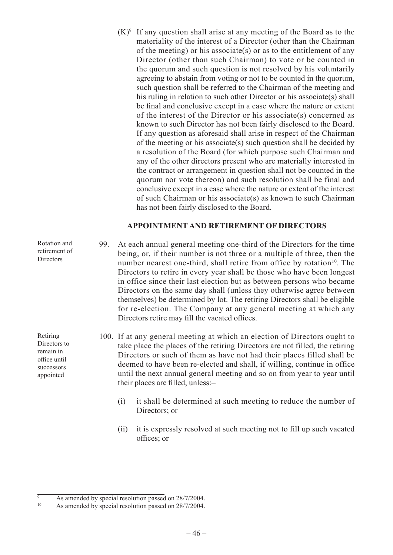$(K)^9$  If any question shall arise at any meeting of the Board as to the materiality of the interest of a Director (other than the Chairman of the meeting) or his associate(s) or as to the entitlement of any Director (other than such Chairman) to vote or be counted in the quorum and such question is not resolved by his voluntarily agreeing to abstain from voting or not to be counted in the quorum, such question shall be referred to the Chairman of the meeting and his ruling in relation to such other Director or his associate(s) shall be final and conclusive except in a case where the nature or extent of the interest of the Director or his associate(s) concerned as known to such Director has not been fairly disclosed to the Board. If any question as aforesaid shall arise in respect of the Chairman of the meeting or his associate(s) such question shall be decided by a resolution of the Board (for which purpose such Chairman and any of the other directors present who are materially interested in the contract or arrangement in question shall not be counted in the quorum nor vote thereon) and such resolution shall be final and conclusive except in a case where the nature or extent of the interest of such Chairman or his associate(s) as known to such Chairman has not been fairly disclosed to the Board.

## **APPOINTMENT AND RETIREMENT OF DIRECTORS**

99. At each annual general meeting one-third of the Directors for the time being, or, if their number is not three or a multiple of three, then the number nearest one-third, shall retire from office by rotation<sup>10</sup>. The Directors to retire in every year shall be those who have been longest in office since their last election but as between persons who became Directors on the same day shall (unless they otherwise agree between themselves) be determined by lot. The retiring Directors shall be eligible for re-election. The Company at any general meeting at which any Directors retire may fill the vacated offices.

100. If at any general meeting at which an election of Directors ought to take place the places of the retiring Directors are not filled, the retiring Directors or such of them as have not had their places filled shall be deemed to have been re-elected and shall, if willing, continue in office until the next annual general meeting and so on from year to year until their places are filled, unless:–

- (i) it shall be determined at such meeting to reduce the number of Directors; or
- (ii) it is expressly resolved at such meeting not to fill up such vacated offices; or

 $-46-$ 

Retiring Directors to remain in office until successors appointed

Rotation and retirement of **Directors** 

 $\frac{9}{9}$  As amended by special resolution passed on 28/7/2004.

As amended by special resolution passed on 28/7/2004.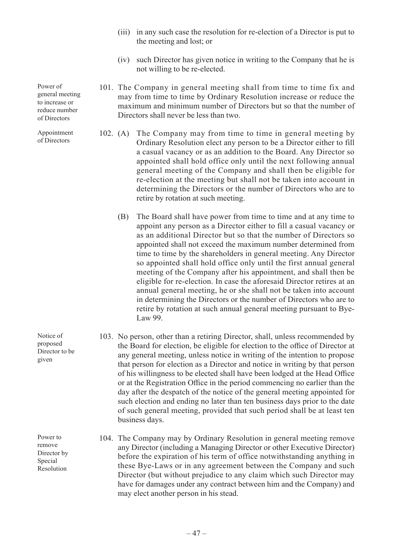- (iii) in any such case the resolution for re-election of a Director is put to the meeting and lost; or
- (iv) such Director has given notice in writing to the Company that he is not willing to be re-elected.
- 101. The Company in general meeting shall from time to time fix and may from time to time by Ordinary Resolution increase or reduce the maximum and minimum number of Directors but so that the number of Directors shall never be less than two.
- 102. (A) The Company may from time to time in general meeting by Ordinary Resolution elect any person to be a Director either to fill a casual vacancy or as an addition to the Board. Any Director so appointed shall hold office only until the next following annual general meeting of the Company and shall then be eligible for re-election at the meeting but shall not be taken into account in determining the Directors or the number of Directors who are to retire by rotation at such meeting.
	- (B) The Board shall have power from time to time and at any time to appoint any person as a Director either to fill a casual vacancy or as an additional Director but so that the number of Directors so appointed shall not exceed the maximum number determined from time to time by the shareholders in general meeting. Any Director so appointed shall hold office only until the first annual general meeting of the Company after his appointment, and shall then be eligible for re-election. In case the aforesaid Director retires at an annual general meeting, he or she shall not be taken into account in determining the Directors or the number of Directors who are to retire by rotation at such annual general meeting pursuant to Bye-Law 99.
- 103. No person, other than a retiring Director, shall, unless recommended by the Board for election, be eligible for election to the office of Director at any general meeting, unless notice in writing of the intention to propose that person for election as a Director and notice in writing by that person of his willingness to be elected shall have been lodged at the Head Office or at the Registration Office in the period commencing no earlier than the day after the despatch of the notice of the general meeting appointed for such election and ending no later than ten business days prior to the date of such general meeting, provided that such period shall be at least ten business days.
- 104. The Company may by Ordinary Resolution in general meeting remove any Director (including a Managing Director or other Executive Director) before the expiration of his term of office notwithstanding anything in these Bye-Laws or in any agreement between the Company and such Director (but without prejudice to any claim which such Director may have for damages under any contract between him and the Company) and may elect another person in his stead.

Power of general meeting to increase or reduce number of Directors

Appointment of Directors

Notice of proposed Director to be given

Power to remove Director by Special Resolution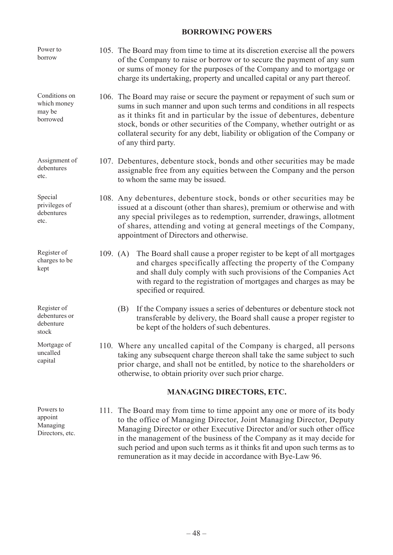# **BORROWING POWERS**

| Power to<br>borrow                                  |            | 105. The Board may from time to time at its discretion exercise all the powers<br>of the Company to raise or borrow or to secure the payment of any sum<br>or sums of money for the purposes of the Company and to mortgage or<br>charge its undertaking, property and uncalled capital or any part thereof.                                                                                                                                |  |
|-----------------------------------------------------|------------|---------------------------------------------------------------------------------------------------------------------------------------------------------------------------------------------------------------------------------------------------------------------------------------------------------------------------------------------------------------------------------------------------------------------------------------------|--|
| Conditions on<br>which money<br>may be<br>borrowed  |            | 106. The Board may raise or secure the payment or repayment of such sum or<br>sums in such manner and upon such terms and conditions in all respects<br>as it thinks fit and in particular by the issue of debentures, debenture<br>stock, bonds or other securities of the Company, whether outright or as<br>collateral security for any debt, liability or obligation of the Company or<br>of any third party.                           |  |
| Assignment of<br>debentures<br>etc.                 |            | 107. Debentures, debenture stock, bonds and other securities may be made<br>assignable free from any equities between the Company and the person<br>to whom the same may be issued.                                                                                                                                                                                                                                                         |  |
| Special<br>privileges of<br>debentures<br>etc.      |            | 108. Any debentures, debenture stock, bonds or other securities may be<br>issued at a discount (other than shares), premium or otherwise and with<br>any special privileges as to redemption, surrender, drawings, allotment<br>of shares, attending and voting at general meetings of the Company,<br>appointment of Directors and otherwise.                                                                                              |  |
| Register of<br>charges to be<br>kept                | 109. $(A)$ | The Board shall cause a proper register to be kept of all mortgages<br>and charges specifically affecting the property of the Company<br>and shall duly comply with such provisions of the Companies Act<br>with regard to the registration of mortgages and charges as may be<br>specified or required.                                                                                                                                    |  |
| Register of<br>debentures or<br>debenture<br>stock  |            | If the Company issues a series of debentures or debenture stock not<br>(B)<br>transferable by delivery, the Board shall cause a proper register to<br>be kept of the holders of such debentures.                                                                                                                                                                                                                                            |  |
| Mortgage of<br>uncalled<br>capital                  |            | 110. Where any uncalled capital of the Company is charged, all persons<br>taking any subsequent charge thereon shall take the same subject to such<br>prior charge, and shall not be entitled, by notice to the shareholders or<br>otherwise, to obtain priority over such prior charge.                                                                                                                                                    |  |
|                                                     |            | <b>MANAGING DIRECTORS, ETC.</b>                                                                                                                                                                                                                                                                                                                                                                                                             |  |
| Powers to<br>appoint<br>Managing<br>Directors, etc. | 111.       | The Board may from time to time appoint any one or more of its body<br>to the office of Managing Director, Joint Managing Director, Deputy<br>Managing Director or other Executive Director and/or such other office<br>in the management of the business of the Company as it may decide for<br>such period and upon such terms as it thinks fit and upon such terms as to<br>remuneration as it may decide in accordance with Bye-Law 96. |  |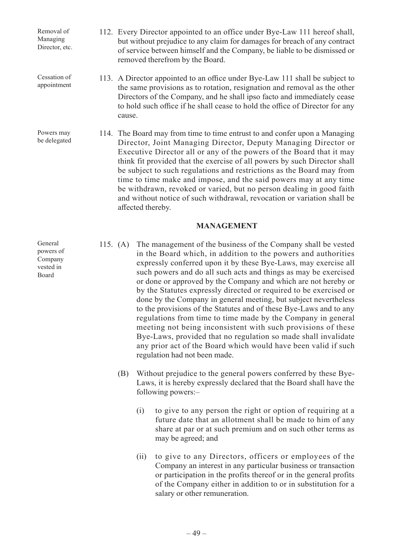Removal of Managing Director, etc.

Cessation of appointment

Powers may be delegated

- 112. Every Director appointed to an office under Bye-Law 111 hereof shall, but without prejudice to any claim for damages for breach of any contract of service between himself and the Company, be liable to be dismissed or removed therefrom by the Board.
- 113. A Director appointed to an office under Bye-Law 111 shall be subject to the same provisions as to rotation, resignation and removal as the other Directors of the Company, and he shall ipso facto and immediately cease to hold such office if he shall cease to hold the office of Director for any cause.
	- 114. The Board may from time to time entrust to and confer upon a Managing Director, Joint Managing Director, Deputy Managing Director or Executive Director all or any of the powers of the Board that it may think fit provided that the exercise of all powers by such Director shall be subject to such regulations and restrictions as the Board may from time to time make and impose, and the said powers may at any time be withdrawn, revoked or varied, but no person dealing in good faith and without notice of such withdrawal, revocation or variation shall be affected thereby.

## **MANAGEMENT**

- 115. (A) The management of the business of the Company shall be vested in the Board which, in addition to the powers and authorities expressly conferred upon it by these Bye-Laws, may exercise all such powers and do all such acts and things as may be exercised or done or approved by the Company and which are not hereby or by the Statutes expressly directed or required to be exercised or done by the Company in general meeting, but subject nevertheless to the provisions of the Statutes and of these Bye-Laws and to any regulations from time to time made by the Company in general meeting not being inconsistent with such provisions of these Bye-Laws, provided that no regulation so made shall invalidate any prior act of the Board which would have been valid if such regulation had not been made.
	- (B) Without prejudice to the general powers conferred by these Bye-Laws, it is hereby expressly declared that the Board shall have the following powers:–
		- (i) to give to any person the right or option of requiring at a future date that an allotment shall be made to him of any share at par or at such premium and on such other terms as may be agreed; and
		- (ii) to give to any Directors, officers or employees of the Company an interest in any particular business or transaction or participation in the profits thereof or in the general profits of the Company either in addition to or in substitution for a salary or other remuneration.

General powers of Company vested in Board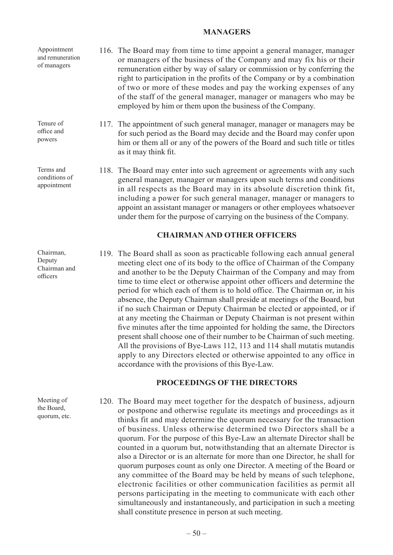#### **MANAGERS**

116. The Board may from time to time appoint a general manager, manager or managers of the business of the Company and may fix his or their remuneration either by way of salary or commission or by conferring the right to participation in the profits of the Company or by a combination of two or more of these modes and pay the working expenses of any of the staff of the general manager, manager or managers who may be employed by him or them upon the business of the Company. 117. The appointment of such general manager, manager or managers may be for such period as the Board may decide and the Board may confer upon him or them all or any of the powers of the Board and such title or titles as it may think fit. Appointment and remuneration of managers Tenure of office and powers Terms and

118. The Board may enter into such agreement or agreements with any such general manager, manager or managers upon such terms and conditions in all respects as the Board may in its absolute discretion think fit, including a power for such general manager, manager or managers to appoint an assistant manager or managers or other employees whatsoever under them for the purpose of carrying on the business of the Company.

## **CHAIRMAN AND OTHER OFFICERS**

119. The Board shall as soon as practicable following each annual general meeting elect one of its body to the office of Chairman of the Company and another to be the Deputy Chairman of the Company and may from time to time elect or otherwise appoint other officers and determine the period for which each of them is to hold office. The Chairman or, in his absence, the Deputy Chairman shall preside at meetings of the Board, but if no such Chairman or Deputy Chairman be elected or appointed, or if at any meeting the Chairman or Deputy Chairman is not present within five minutes after the time appointed for holding the same, the Directors present shall choose one of their number to be Chairman of such meeting. All the provisions of Bye-Laws 112, 113 and 114 shall mutatis mutandis apply to any Directors elected or otherwise appointed to any office in accordance with the provisions of this Bye-Law.

#### **PROCEEDINGS OF THE DIRECTORS**

120. The Board may meet together for the despatch of business, adjourn or postpone and otherwise regulate its meetings and proceedings as it thinks fit and may determine the quorum necessary for the transaction of business. Unless otherwise determined two Directors shall be a quorum. For the purpose of this Bye-Law an alternate Director shall be counted in a quorum but, notwithstanding that an alternate Director is also a Director or is an alternate for more than one Director, he shall for quorum purposes count as only one Director. A meeting of the Board or any committee of the Board may be held by means of such telephone, electronic facilities or other communication facilities as permit all persons participating in the meeting to communicate with each other simultaneously and instantaneously, and participation in such a meeting shall constitute presence in person at such meeting.

Chairman, Deputy Chairman and officers

conditions of appointment

Meeting of the Board, quorum, etc.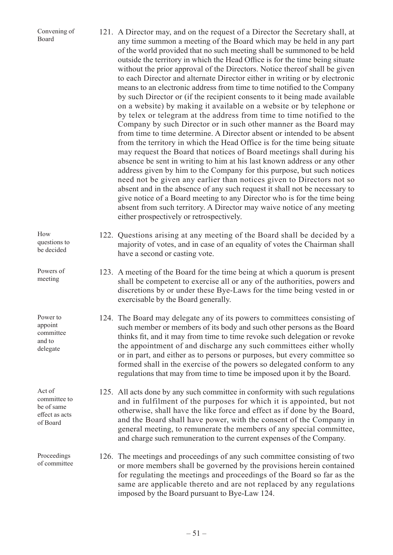| Convening of<br>Board             | 121. A Director may, and on the request of a Director the Secretary shall, at<br>any time summon a meeting of the Board which may be held in any part<br>of the world provided that no such meeting shall be summoned to be held<br>outside the territory in which the Head Office is for the time being situate<br>without the prior approval of the Directors. Notice thereof shall be given<br>to each Director and alternate Director either in writing or by electronic<br>means to an electronic address from time to time notified to the Company<br>by such Director or (if the recipient consents to it being made available<br>on a website) by making it available on a website or by telephone or<br>by telex or telegram at the address from time to time notified to the<br>Company by such Director or in such other manner as the Board may<br>from time to time determine. A Director absent or intended to be absent<br>from the territory in which the Head Office is for the time being situate<br>may request the Board that notices of Board meetings shall during his<br>absence be sent in writing to him at his last known address or any other<br>address given by him to the Company for this purpose, but such notices<br>need not be given any earlier than notices given to Directors not so<br>absent and in the absence of any such request it shall not be necessary to<br>give notice of a Board meeting to any Director who is for the time being<br>absent from such territory. A Director may waive notice of any meeting<br>either prospectively or retrospectively. |
|-----------------------------------|------------------------------------------------------------------------------------------------------------------------------------------------------------------------------------------------------------------------------------------------------------------------------------------------------------------------------------------------------------------------------------------------------------------------------------------------------------------------------------------------------------------------------------------------------------------------------------------------------------------------------------------------------------------------------------------------------------------------------------------------------------------------------------------------------------------------------------------------------------------------------------------------------------------------------------------------------------------------------------------------------------------------------------------------------------------------------------------------------------------------------------------------------------------------------------------------------------------------------------------------------------------------------------------------------------------------------------------------------------------------------------------------------------------------------------------------------------------------------------------------------------------------------------------------------------------------------------------------------------|
| How<br>questions to<br>be decided | 122. Questions arising at any meeting of the Board shall be decided by a<br>majority of votes, and in case of an equality of votes the Chairman shall<br>have a second or casting vote.                                                                                                                                                                                                                                                                                                                                                                                                                                                                                                                                                                                                                                                                                                                                                                                                                                                                                                                                                                                                                                                                                                                                                                                                                                                                                                                                                                                                                    |

Powers of meeting

Power to appoint committee and to delegate

Act of committee to be of same effect as acts of Board

Proceedings of committee

- 123. A meeting of the Board for the time being at which a quorum is present shall be competent to exercise all or any of the authorities, powers and discretions by or under these Bye-Laws for the time being vested in or exercisable by the Board generally.
	- 124. The Board may delegate any of its powers to committees consisting of such member or members of its body and such other persons as the Board thinks fit, and it may from time to time revoke such delegation or revoke the appointment of and discharge any such committees either wholly or in part, and either as to persons or purposes, but every committee so formed shall in the exercise of the powers so delegated conform to any regulations that may from time to time be imposed upon it by the Board.
	- 125. All acts done by any such committee in conformity with such regulations and in fulfilment of the purposes for which it is appointed, but not otherwise, shall have the like force and effect as if done by the Board, and the Board shall have power, with the consent of the Company in general meeting, to remunerate the members of any special committee, and charge such remuneration to the current expenses of the Company.
	- 126. The meetings and proceedings of any such committee consisting of two or more members shall be governed by the provisions herein contained for regulating the meetings and proceedings of the Board so far as the same are applicable thereto and are not replaced by any regulations imposed by the Board pursuant to Bye-Law 124.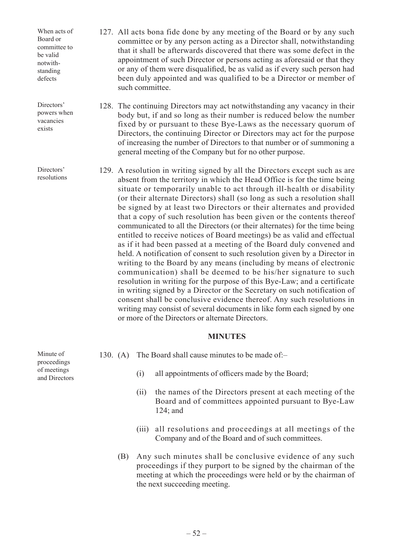When acts of Board or committee to be valid notwithstanding defects

Directors' powers when vacancies exists

Directors' resolutions

- 127. All acts bona fide done by any meeting of the Board or by any such committee or by any person acting as a Director shall, notwithstanding that it shall be afterwards discovered that there was some defect in the appointment of such Director or persons acting as aforesaid or that they or any of them were disqualified, be as valid as if every such person had been duly appointed and was qualified to be a Director or member of such committee.
- 128. The continuing Directors may act notwithstanding any vacancy in their body but, if and so long as their number is reduced below the number fixed by or pursuant to these Bye-Laws as the necessary quorum of Directors, the continuing Director or Directors may act for the purpose of increasing the number of Directors to that number or of summoning a general meeting of the Company but for no other purpose.
- 129. A resolution in writing signed by all the Directors except such as are absent from the territory in which the Head Office is for the time being situate or temporarily unable to act through ill-health or disability (or their alternate Directors) shall (so long as such a resolution shall be signed by at least two Directors or their alternates and provided that a copy of such resolution has been given or the contents thereof communicated to all the Directors (or their alternates) for the time being entitled to receive notices of Board meetings) be as valid and effectual as if it had been passed at a meeting of the Board duly convened and held. A notification of consent to such resolution given by a Director in writing to the Board by any means (including by means of electronic communication) shall be deemed to be his/her signature to such resolution in writing for the purpose of this Bye-Law; and a certificate in writing signed by a Director or the Secretary on such notification of consent shall be conclusive evidence thereof. Any such resolutions in writing may consist of several documents in like form each signed by one or more of the Directors or alternate Directors.

## **MINUTES**

- 130. (A) The Board shall cause minutes to be made of:–
	- (i) all appointments of officers made by the Board;
	- (ii) the names of the Directors present at each meeting of the Board and of committees appointed pursuant to Bye-Law 124; and
	- (iii) all resolutions and proceedings at all meetings of the Company and of the Board and of such committees.
	- (B) Any such minutes shall be conclusive evidence of any such proceedings if they purport to be signed by the chairman of the meeting at which the proceedings were held or by the chairman of the next succeeding meeting.

Minute of proceedings of meetings and Directors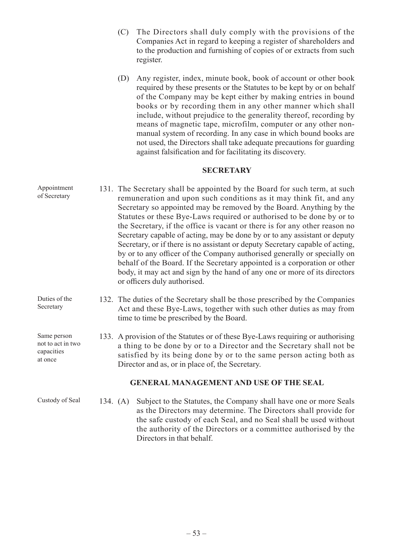- (C) The Directors shall duly comply with the provisions of the Companies Act in regard to keeping a register of shareholders and to the production and furnishing of copies of or extracts from such register.
- (D) Any register, index, minute book, book of account or other book required by these presents or the Statutes to be kept by or on behalf of the Company may be kept either by making entries in bound books or by recording them in any other manner which shall include, without prejudice to the generality thereof, recording by means of magnetic tape, microfilm, computer or any other nonmanual system of recording. In any case in which bound books are not used, the Directors shall take adequate precautions for guarding against falsification and for facilitating its discovery.

## **SECRETARY**

- 131. The Secretary shall be appointed by the Board for such term, at such remuneration and upon such conditions as it may think fit, and any Secretary so appointed may be removed by the Board. Anything by the Statutes or these Bye-Laws required or authorised to be done by or to the Secretary, if the office is vacant or there is for any other reason no Secretary capable of acting, may be done by or to any assistant or deputy Secretary, or if there is no assistant or deputy Secretary capable of acting, by or to any officer of the Company authorised generally or specially on behalf of the Board. If the Secretary appointed is a corporation or other body, it may act and sign by the hand of any one or more of its directors or officers duly authorised. Appointment of Secretary
- 132. The duties of the Secretary shall be those prescribed by the Companies Act and these Bye-Laws, together with such other duties as may from time to time be prescribed by the Board. Duties of the Secretary

133. A provision of the Statutes or of these Bye-Laws requiring or authorising a thing to be done by or to a Director and the Secretary shall not be satisfied by its being done by or to the same person acting both as Director and as, or in place of, the Secretary.

## **GENERAL MANAGEMENT AND USE OF THE SEAL**

134. (A) Subject to the Statutes, the Company shall have one or more Seals as the Directors may determine. The Directors shall provide for the safe custody of each Seal, and no Seal shall be used without the authority of the Directors or a committee authorised by the Directors in that behalf.

– 53 –

Same person not to act in two capacities at once

Custody of Seal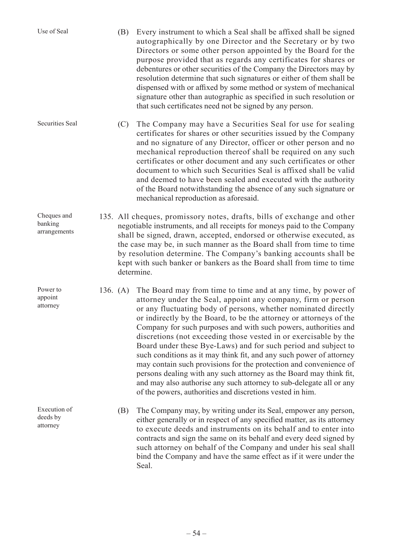| Use of Seal                            | (B)                                                                                                                                                                                                                                                                                                                                                                                                                                                           | Every instrument to which a Seal shall be affixed shall be signed<br>autographically by one Director and the Secretary or by two<br>Directors or some other person appointed by the Board for the<br>purpose provided that as regards any certificates for shares or<br>debentures or other securities of the Company the Directors may by<br>resolution determine that such signatures or either of them shall be<br>dispensed with or affixed by some method or system of mechanical<br>signature other than autographic as specified in such resolution or<br>that such certificates need not be signed by any person.                                                                                                                                                                                                           |
|----------------------------------------|---------------------------------------------------------------------------------------------------------------------------------------------------------------------------------------------------------------------------------------------------------------------------------------------------------------------------------------------------------------------------------------------------------------------------------------------------------------|-------------------------------------------------------------------------------------------------------------------------------------------------------------------------------------------------------------------------------------------------------------------------------------------------------------------------------------------------------------------------------------------------------------------------------------------------------------------------------------------------------------------------------------------------------------------------------------------------------------------------------------------------------------------------------------------------------------------------------------------------------------------------------------------------------------------------------------|
| Securities Seal                        | (C)                                                                                                                                                                                                                                                                                                                                                                                                                                                           | The Company may have a Securities Seal for use for sealing<br>certificates for shares or other securities issued by the Company<br>and no signature of any Director, officer or other person and no<br>mechanical reproduction thereof shall be required on any such<br>certificates or other document and any such certificates or other<br>document to which such Securities Seal is affixed shall be valid<br>and deemed to have been sealed and executed with the authority<br>of the Board notwithstanding the absence of any such signature or<br>mechanical reproduction as aforesaid.                                                                                                                                                                                                                                       |
| Cheques and<br>banking<br>arrangements | 135. All cheques, promissory notes, drafts, bills of exchange and other<br>negotiable instruments, and all receipts for moneys paid to the Company<br>shall be signed, drawn, accepted, endorsed or otherwise executed, as<br>the case may be, in such manner as the Board shall from time to time<br>by resolution determine. The Company's banking accounts shall be<br>kept with such banker or bankers as the Board shall from time to time<br>determine. |                                                                                                                                                                                                                                                                                                                                                                                                                                                                                                                                                                                                                                                                                                                                                                                                                                     |
| Power to<br>appoint<br>attorney        | 136. $(A)$                                                                                                                                                                                                                                                                                                                                                                                                                                                    | The Board may from time to time and at any time, by power of<br>attorney under the Seal, appoint any company, firm or person<br>or any fluctuating body of persons, whether nominated directly<br>or indirectly by the Board, to be the attorney or attorneys of the<br>Company for such purposes and with such powers, authorities and<br>discretions (not exceeding those vested in or exercisable by the<br>Board under these Bye-Laws) and for such period and subject to<br>such conditions as it may think fit, and any such power of attorney<br>may contain such provisions for the protection and convenience of<br>persons dealing with any such attorney as the Board may think fit,<br>and may also authorise any such attorney to sub-delegate all or any<br>of the powers, authorities and discretions vested in him. |
| Execution of<br>deeds by<br>attorney   | (B)                                                                                                                                                                                                                                                                                                                                                                                                                                                           | The Company may, by writing under its Seal, empower any person,<br>either generally or in respect of any specified matter, as its attorney<br>to execute deeds and instruments on its behalf and to enter into<br>contracts and sign the same on its behalf and every deed signed by<br>such attorney on behalf of the Company and under his seal shall<br>bind the Company and have the same effect as if it were under the<br>Seal.                                                                                                                                                                                                                                                                                                                                                                                               |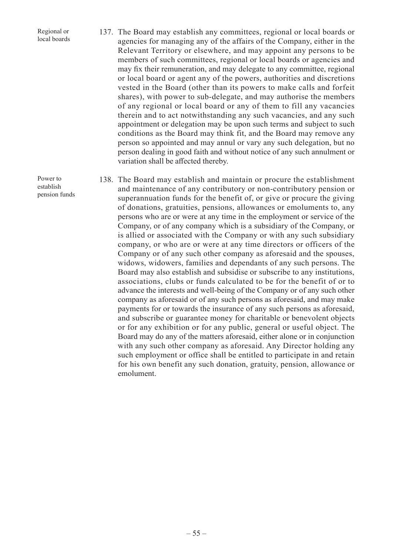Regional or local boards

- 137. The Board may establish any committees, regional or local boards or agencies for managing any of the affairs of the Company, either in the Relevant Territory or elsewhere, and may appoint any persons to be members of such committees, regional or local boards or agencies and may fix their remuneration, and may delegate to any committee, regional or local board or agent any of the powers, authorities and discretions vested in the Board (other than its powers to make calls and forfeit shares), with power to sub-delegate, and may authorise the members of any regional or local board or any of them to fill any vacancies therein and to act notwithstanding any such vacancies, and any such appointment or delegation may be upon such terms and subject to such conditions as the Board may think fit, and the Board may remove any person so appointed and may annul or vary any such delegation, but no person dealing in good faith and without notice of any such annulment or variation shall be affected thereby.
- 138. The Board may establish and maintain or procure the establishment and maintenance of any contributory or non-contributory pension or superannuation funds for the benefit of, or give or procure the giving of donations, gratuities, pensions, allowances or emoluments to, any persons who are or were at any time in the employment or service of the Company, or of any company which is a subsidiary of the Company, or is allied or associated with the Company or with any such subsidiary company, or who are or were at any time directors or officers of the Company or of any such other company as aforesaid and the spouses, widows, widowers, families and dependants of any such persons. The Board may also establish and subsidise or subscribe to any institutions, associations, clubs or funds calculated to be for the benefit of or to advance the interests and well-being of the Company or of any such other company as aforesaid or of any such persons as aforesaid, and may make payments for or towards the insurance of any such persons as aforesaid, and subscribe or guarantee money for charitable or benevolent objects or for any exhibition or for any public, general or useful object. The Board may do any of the matters aforesaid, either alone or in conjunction with any such other company as aforesaid. Any Director holding any such employment or office shall be entitled to participate in and retain for his own benefit any such donation, gratuity, pension, allowance or emolument.

Power to establish pension funds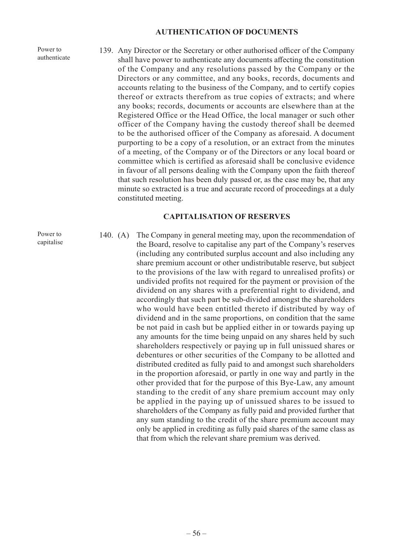#### **AUTHENTICATION OF DOCUMENTS**

Power to authenticate

Power to capitalise 139. Any Director or the Secretary or other authorised officer of the Company shall have power to authenticate any documents affecting the constitution of the Company and any resolutions passed by the Company or the Directors or any committee, and any books, records, documents and accounts relating to the business of the Company, and to certify copies thereof or extracts therefrom as true copies of extracts; and where any books; records, documents or accounts are elsewhere than at the Registered Office or the Head Office, the local manager or such other officer of the Company having the custody thereof shall be deemed to be the authorised officer of the Company as aforesaid. A document purporting to be a copy of a resolution, or an extract from the minutes of a meeting, of the Company or of the Directors or any local board or committee which is certified as aforesaid shall be conclusive evidence in favour of all persons dealing with the Company upon the faith thereof that such resolution has been duly passed or, as the case may be, that any minute so extracted is a true and accurate record of proceedings at a duly constituted meeting.

#### **CAPITALISATION OF RESERVES**

140. (A) The Company in general meeting may, upon the recommendation of the Board, resolve to capitalise any part of the Company's reserves (including any contributed surplus account and also including any share premium account or other undistributable reserve, but subject to the provisions of the law with regard to unrealised profits) or undivided profits not required for the payment or provision of the dividend on any shares with a preferential right to dividend, and accordingly that such part be sub-divided amongst the shareholders who would have been entitled thereto if distributed by way of dividend and in the same proportions, on condition that the same be not paid in cash but be applied either in or towards paying up any amounts for the time being unpaid on any shares held by such shareholders respectively or paying up in full unissued shares or debentures or other securities of the Company to be allotted and distributed credited as fully paid to and amongst such shareholders in the proportion aforesaid, or partly in one way and partly in the other provided that for the purpose of this Bye-Law, any amount standing to the credit of any share premium account may only be applied in the paying up of unissued shares to be issued to shareholders of the Company as fully paid and provided further that any sum standing to the credit of the share premium account may only be applied in crediting as fully paid shares of the same class as that from which the relevant share premium was derived.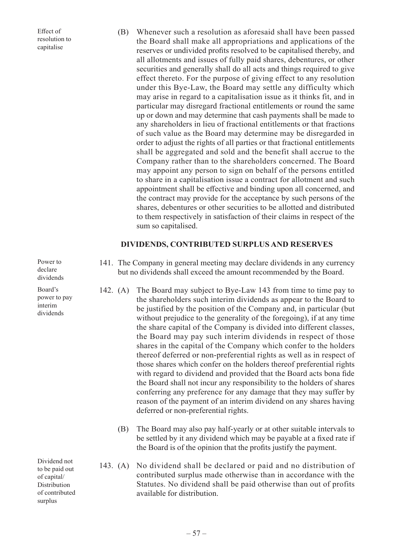Effect of resolution to capitalise

(B) Whenever such a resolution as aforesaid shall have been passed the Board shall make all appropriations and applications of the reserves or undivided profits resolved to be capitalised thereby, and all allotments and issues of fully paid shares, debentures, or other securities and generally shall do all acts and things required to give effect thereto. For the purpose of giving effect to any resolution under this Bye-Law, the Board may settle any difficulty which may arise in regard to a capitalisation issue as it thinks fit, and in particular may disregard fractional entitlements or round the same up or down and may determine that cash payments shall be made to any shareholders in lieu of fractional entitlements or that fractions of such value as the Board may determine may be disregarded in order to adjust the rights of all parties or that fractional entitlements shall be aggregated and sold and the benefit shall accrue to the Company rather than to the shareholders concerned. The Board may appoint any person to sign on behalf of the persons entitled to share in a capitalisation issue a contract for allotment and such appointment shall be effective and binding upon all concerned, and the contract may provide for the acceptance by such persons of the shares, debentures or other securities to be allotted and distributed to them respectively in satisfaction of their claims in respect of the sum so capitalised.

#### **DIVIDENDS, CONTRIBUTED SURPLUS AND RESERVES**

Power to declare dividends

Board's power to pay interim dividends

Dividend not to be paid out of capital/ Distribution of contributed surplus

- 141. The Company in general meeting may declare dividends in any currency but no dividends shall exceed the amount recommended by the Board.
- 142. (A) The Board may subject to Bye-Law 143 from time to time pay to the shareholders such interim dividends as appear to the Board to be justified by the position of the Company and, in particular (but without prejudice to the generality of the foregoing), if at any time the share capital of the Company is divided into different classes, the Board may pay such interim dividends in respect of those shares in the capital of the Company which confer to the holders thereof deferred or non-preferential rights as well as in respect of those shares which confer on the holders thereof preferential rights with regard to dividend and provided that the Board acts bona fide the Board shall not incur any responsibility to the holders of shares conferring any preference for any damage that they may suffer by reason of the payment of an interim dividend on any shares having deferred or non-preferential rights.
	- (B) The Board may also pay half-yearly or at other suitable intervals to be settled by it any dividend which may be payable at a fixed rate if the Board is of the opinion that the profits justify the payment.
- 143. (A) No dividend shall be declared or paid and no distribution of contributed surplus made otherwise than in accordance with the Statutes. No dividend shall be paid otherwise than out of profits available for distribution.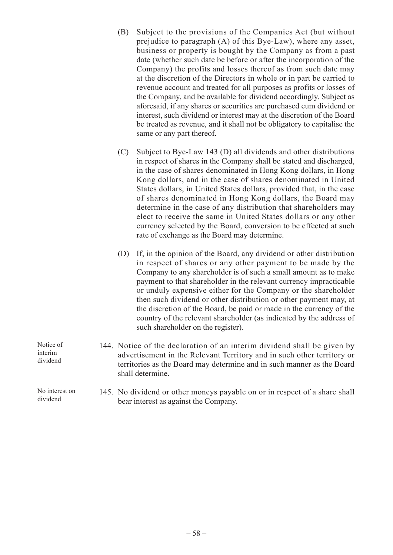- (B) Subject to the provisions of the Companies Act (but without prejudice to paragraph (A) of this Bye-Law), where any asset, business or property is bought by the Company as from a past date (whether such date be before or after the incorporation of the Company) the profits and losses thereof as from such date may at the discretion of the Directors in whole or in part be carried to revenue account and treated for all purposes as profits or losses of the Company, and be available for dividend accordingly. Subject as aforesaid, if any shares or securities are purchased cum dividend or interest, such dividend or interest may at the discretion of the Board be treated as revenue, and it shall not be obligatory to capitalise the same or any part thereof.
- (C) Subject to Bye-Law 143 (D) all dividends and other distributions in respect of shares in the Company shall be stated and discharged, in the case of shares denominated in Hong Kong dollars, in Hong Kong dollars, and in the case of shares denominated in United States dollars, in United States dollars, provided that, in the case of shares denominated in Hong Kong dollars, the Board may determine in the case of any distribution that shareholders may elect to receive the same in United States dollars or any other currency selected by the Board, conversion to be effected at such rate of exchange as the Board may determine.
- (D) If, in the opinion of the Board, any dividend or other distribution in respect of shares or any other payment to be made by the Company to any shareholder is of such a small amount as to make payment to that shareholder in the relevant currency impracticable or unduly expensive either for the Company or the shareholder then such dividend or other distribution or other payment may, at the discretion of the Board, be paid or made in the currency of the country of the relevant shareholder (as indicated by the address of such shareholder on the register).
- 144. Notice of the declaration of an interim dividend shall be given by advertisement in the Relevant Territory and in such other territory or territories as the Board may determine and in such manner as the Board shall determine.
	- 145. No dividend or other moneys payable on or in respect of a share shall bear interest as against the Company.
- Notice of interim dividend

No interest on dividend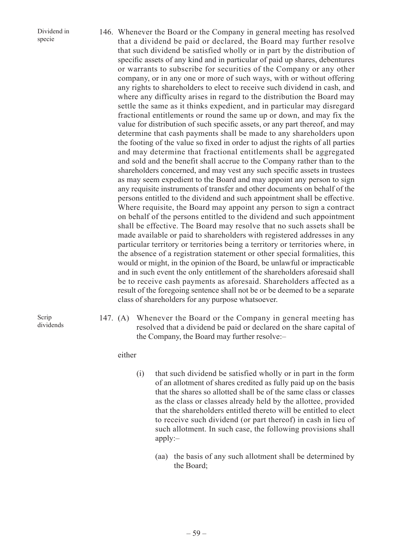Dividend in specie

146. Whenever the Board or the Company in general meeting has resolved that a dividend be paid or declared, the Board may further resolve that such dividend be satisfied wholly or in part by the distribution of specific assets of any kind and in particular of paid up shares, debentures or warrants to subscribe for securities of the Company or any other company, or in any one or more of such ways, with or without offering any rights to shareholders to elect to receive such dividend in cash, and where any difficulty arises in regard to the distribution the Board may settle the same as it thinks expedient, and in particular may disregard fractional entitlements or round the same up or down, and may fix the value for distribution of such specific assets, or any part thereof, and may determine that cash payments shall be made to any shareholders upon the footing of the value so fixed in order to adjust the rights of all parties and may determine that fractional entitlements shall be aggregated and sold and the benefit shall accrue to the Company rather than to the shareholders concerned, and may vest any such specific assets in trustees as may seem expedient to the Board and may appoint any person to sign any requisite instruments of transfer and other documents on behalf of the persons entitled to the dividend and such appointment shall be effective. Where requisite, the Board may appoint any person to sign a contract on behalf of the persons entitled to the dividend and such appointment shall be effective. The Board may resolve that no such assets shall be made available or paid to shareholders with registered addresses in any particular territory or territories being a territory or territories where, in the absence of a registration statement or other special formalities, this would or might, in the opinion of the Board, be unlawful or impracticable and in such event the only entitlement of the shareholders aforesaid shall be to receive cash payments as aforesaid. Shareholders affected as a result of the foregoing sentence shall not be or be deemed to be a separate class of shareholders for any purpose whatsoever.

Scrip dividends 147. (A) Whenever the Board or the Company in general meeting has resolved that a dividend be paid or declared on the share capital of the Company, the Board may further resolve:–

either

- (i) that such dividend be satisfied wholly or in part in the form of an allotment of shares credited as fully paid up on the basis that the shares so allotted shall be of the same class or classes as the class or classes already held by the allottee, provided that the shareholders entitled thereto will be entitled to elect to receive such dividend (or part thereof) in cash in lieu of such allotment. In such case, the following provisions shall apply:–
	- (aa) the basis of any such allotment shall be determined by the Board;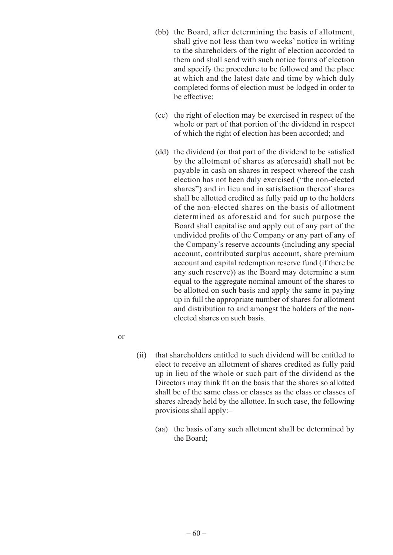- (bb) the Board, after determining the basis of allotment, shall give not less than two weeks' notice in writing to the shareholders of the right of election accorded to them and shall send with such notice forms of election and specify the procedure to be followed and the place at which and the latest date and time by which duly completed forms of election must be lodged in order to be effective;
- (cc) the right of election may be exercised in respect of the whole or part of that portion of the dividend in respect of which the right of election has been accorded; and
- (dd) the dividend (or that part of the dividend to be satisfied by the allotment of shares as aforesaid) shall not be payable in cash on shares in respect whereof the cash election has not been duly exercised ("the non-elected shares") and in lieu and in satisfaction thereof shares shall be allotted credited as fully paid up to the holders of the non-elected shares on the basis of allotment determined as aforesaid and for such purpose the Board shall capitalise and apply out of any part of the undivided profits of the Company or any part of any of the Company's reserve accounts (including any special account, contributed surplus account, share premium account and capital redemption reserve fund (if there be any such reserve)) as the Board may determine a sum equal to the aggregate nominal amount of the shares to be allotted on such basis and apply the same in paying up in full the appropriate number of shares for allotment and distribution to and amongst the holders of the nonelected shares on such basis.
- or
- (ii) that shareholders entitled to such dividend will be entitled to elect to receive an allotment of shares credited as fully paid up in lieu of the whole or such part of the dividend as the Directors may think fit on the basis that the shares so allotted shall be of the same class or classes as the class or classes of shares already held by the allottee. In such case, the following provisions shall apply:–
	- (aa) the basis of any such allotment shall be determined by the Board;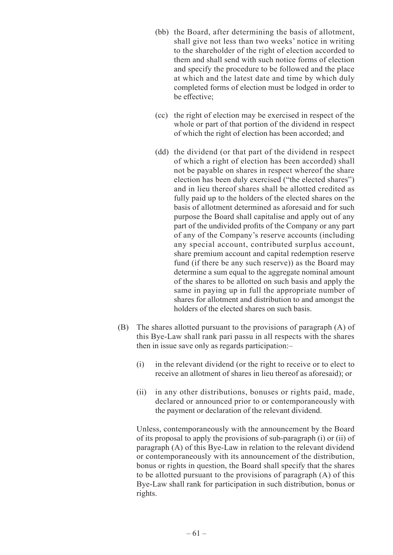- (bb) the Board, after determining the basis of allotment, shall give not less than two weeks' notice in writing to the shareholder of the right of election accorded to them and shall send with such notice forms of election and specify the procedure to be followed and the place at which and the latest date and time by which duly completed forms of election must be lodged in order to be effective;
- (cc) the right of election may be exercised in respect of the whole or part of that portion of the dividend in respect of which the right of election has been accorded; and
- (dd) the dividend (or that part of the dividend in respect of which a right of election has been accorded) shall not be payable on shares in respect whereof the share election has been duly exercised ("the elected shares") and in lieu thereof shares shall be allotted credited as fully paid up to the holders of the elected shares on the basis of allotment determined as aforesaid and for such purpose the Board shall capitalise and apply out of any part of the undivided profits of the Company or any part of any of the Company's reserve accounts (including any special account, contributed surplus account, share premium account and capital redemption reserve fund (if there be any such reserve)) as the Board may determine a sum equal to the aggregate nominal amount of the shares to be allotted on such basis and apply the same in paying up in full the appropriate number of shares for allotment and distribution to and amongst the holders of the elected shares on such basis.
- (B) The shares allotted pursuant to the provisions of paragraph (A) of this Bye-Law shall rank pari passu in all respects with the shares then in issue save only as regards participation:–
	- (i) in the relevant dividend (or the right to receive or to elect to receive an allotment of shares in lieu thereof as aforesaid); or
	- (ii) in any other distributions, bonuses or rights paid, made, declared or announced prior to or contemporaneously with the payment or declaration of the relevant dividend.

Unless, contemporaneously with the announcement by the Board of its proposal to apply the provisions of sub-paragraph (i) or (ii) of paragraph (A) of this Bye-Law in relation to the relevant dividend or contemporaneously with its announcement of the distribution, bonus or rights in question, the Board shall specify that the shares to be allotted pursuant to the provisions of paragraph (A) of this Bye-Law shall rank for participation in such distribution, bonus or rights.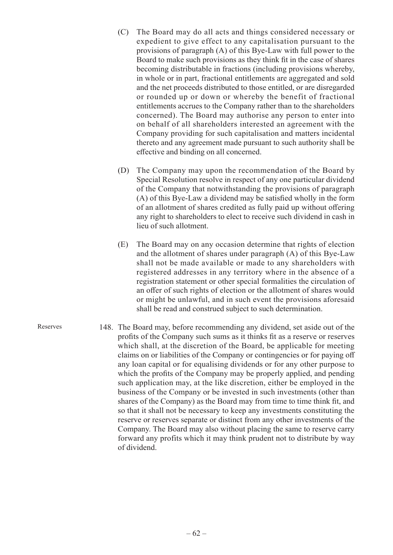- (C) The Board may do all acts and things considered necessary or expedient to give effect to any capitalisation pursuant to the provisions of paragraph (A) of this Bye-Law with full power to the Board to make such provisions as they think fit in the case of shares becoming distributable in fractions (including provisions whereby, in whole or in part, fractional entitlements are aggregated and sold and the net proceeds distributed to those entitled, or are disregarded or rounded up or down or whereby the benefit of fractional entitlements accrues to the Company rather than to the shareholders concerned). The Board may authorise any person to enter into on behalf of all shareholders interested an agreement with the Company providing for such capitalisation and matters incidental thereto and any agreement made pursuant to such authority shall be effective and binding on all concerned.
- (D) The Company may upon the recommendation of the Board by Special Resolution resolve in respect of any one particular dividend of the Company that notwithstanding the provisions of paragraph (A) of this Bye-Law a dividend may be satisfied wholly in the form of an allotment of shares credited as fully paid up without offering any right to shareholders to elect to receive such dividend in cash in lieu of such allotment.
- (E) The Board may on any occasion determine that rights of election and the allotment of shares under paragraph (A) of this Bye-Law shall not be made available or made to any shareholders with registered addresses in any territory where in the absence of a registration statement or other special formalities the circulation of an offer of such rights of election or the allotment of shares would or might be unlawful, and in such event the provisions aforesaid shall be read and construed subject to such determination.
- 148. The Board may, before recommending any dividend, set aside out of the profits of the Company such sums as it thinks fit as a reserve or reserves which shall, at the discretion of the Board, be applicable for meeting claims on or liabilities of the Company or contingencies or for paying off any loan capital or for equalising dividends or for any other purpose to which the profits of the Company may be properly applied, and pending such application may, at the like discretion, either be employed in the business of the Company or be invested in such investments (other than shares of the Company) as the Board may from time to time think fit, and so that it shall not be necessary to keep any investments constituting the reserve or reserves separate or distinct from any other investments of the Company. The Board may also without placing the same to reserve carry forward any profits which it may think prudent not to distribute by way of dividend.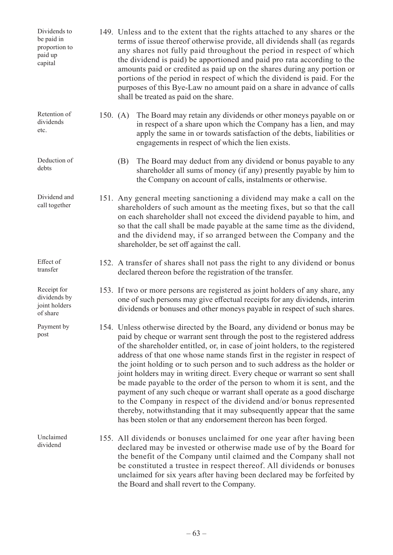149. Unless and to the extent that the rights attached to any shares or the terms of issue thereof otherwise provide, all dividends shall (as regards any shares not fully paid throughout the period in respect of which the dividend is paid) be apportioned and paid pro rata according to the amounts paid or credited as paid up on the shares during any portion or portions of the period in respect of which the dividend is paid. For the purposes of this Bye-Law no amount paid on a share in advance of calls shall be treated as paid on the share. 150. (A) The Board may retain any dividends or other moneys payable on or in respect of a share upon which the Company has a lien, and may apply the same in or towards satisfaction of the debts, liabilities or engagements in respect of which the lien exists. (B) The Board may deduct from any dividend or bonus payable to any shareholder all sums of money (if any) presently payable by him to the Company on account of calls, instalments or otherwise. 151. Any general meeting sanctioning a dividend may make a call on the shareholders of such amount as the meeting fixes, but so that the call on each shareholder shall not exceed the dividend payable to him, and so that the call shall be made payable at the same time as the dividend, and the dividend may, if so arranged between the Company and the shareholder, be set off against the call. 152. A transfer of shares shall not pass the right to any dividend or bonus declared thereon before the registration of the transfer. 153. If two or more persons are registered as joint holders of any share, any one of such persons may give effectual receipts for any dividends, interim dividends or bonuses and other moneys payable in respect of such shares. 154. Unless otherwise directed by the Board, any dividend or bonus may be paid by cheque or warrant sent through the post to the registered address of the shareholder entitled, or, in case of joint holders, to the registered address of that one whose name stands first in the register in respect of the joint holding or to such person and to such address as the holder or joint holders may in writing direct. Every cheque or warrant so sent shall be made payable to the order of the person to whom it is sent, and the payment of any such cheque or warrant shall operate as a good discharge to the Company in respect of the dividend and/or bonus represented thereby, notwithstanding that it may subsequently appear that the same has been stolen or that any endorsement thereon has been forged. 155. All dividends or bonuses unclaimed for one year after having been declared may be invested or otherwise made use of by the Board for the benefit of the Company until claimed and the Company shall not be constituted a trustee in respect thereof. All dividends or bonuses unclaimed for six years after having been declared may be forfeited by Dividends to be paid in proportion to paid up capital Retention of dividends etc. Deduction of debts Dividend and call together Effect of transfer Receipt for dividends by joint holders of share Payment by post Unclaimed dividend

the Board and shall revert to the Company.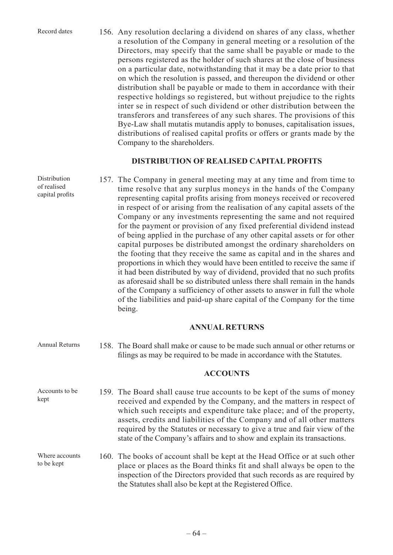Record dates

of realised

156. Any resolution declaring a dividend on shares of any class, whether a resolution of the Company in general meeting or a resolution of the Directors, may specify that the same shall be payable or made to the persons registered as the holder of such shares at the close of business on a particular date, notwithstanding that it may be a date prior to that on which the resolution is passed, and thereupon the dividend or other distribution shall be payable or made to them in accordance with their respective holdings so registered, but without prejudice to the rights inter se in respect of such dividend or other distribution between the transferors and transferees of any such shares. The provisions of this Bye-Law shall mutatis mutandis apply to bonuses, capitalisation issues, distributions of realised capital profits or offers or grants made by the Company to the shareholders.

#### **DISTRIBUTION OF REALISED CAPITAL PROFITS**

157. The Company in general meeting may at any time and from time to time resolve that any surplus moneys in the hands of the Company representing capital profits arising from moneys received or recovered in respect of or arising from the realisation of any capital assets of the Company or any investments representing the same and not required for the payment or provision of any fixed preferential dividend instead of being applied in the purchase of any other capital assets or for other capital purposes be distributed amongst the ordinary shareholders on the footing that they receive the same as capital and in the shares and proportions in which they would have been entitled to receive the same if it had been distributed by way of dividend, provided that no such profits as aforesaid shall be so distributed unless there shall remain in the hands of the Company a sufficiency of other assets to answer in full the whole of the liabilities and paid-up share capital of the Company for the time being. Distribution capital profits

## **ANNUAL RETURNS**

158. The Board shall make or cause to be made such annual or other returns or filings as may be required to be made in accordance with the Statutes. Annual Returns

#### **ACCOUNTS**

159. The Board shall cause true accounts to be kept of the sums of money received and expended by the Company, and the matters in respect of which such receipts and expenditure take place; and of the property, assets, credits and liabilities of the Company and of all other matters required by the Statutes or necessary to give a true and fair view of the state of the Company's affairs and to show and explain its transactions. Accounts to be kept

160. The books of account shall be kept at the Head Office or at such other place or places as the Board thinks fit and shall always be open to the inspection of the Directors provided that such records as are required by the Statutes shall also be kept at the Registered Office. Where accounts to be kept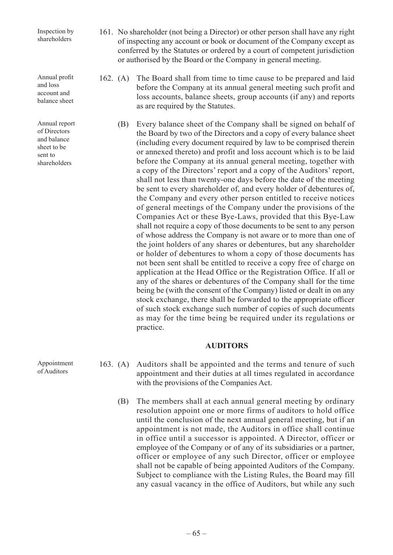Inspection by shareholders

Annual profit and loss account and balance sheet

Annual report of Directors and balance sheet to be sent to shareholders

- 161. No shareholder (not being a Director) or other person shall have any right of inspecting any account or book or document of the Company except as conferred by the Statutes or ordered by a court of competent jurisdiction or authorised by the Board or the Company in general meeting.
- 162. (A) The Board shall from time to time cause to be prepared and laid before the Company at its annual general meeting such profit and loss accounts, balance sheets, group accounts (if any) and reports as are required by the Statutes.
	- (B) Every balance sheet of the Company shall be signed on behalf of the Board by two of the Directors and a copy of every balance sheet (including every document required by law to be comprised therein or annexed thereto) and profit and loss account which is to be laid before the Company at its annual general meeting, together with a copy of the Directors' report and a copy of the Auditors' report, shall not less than twenty-one days before the date of the meeting be sent to every shareholder of, and every holder of debentures of, the Company and every other person entitled to receive notices of general meetings of the Company under the provisions of the Companies Act or these Bye-Laws, provided that this Bye-Law shall not require a copy of those documents to be sent to any person of whose address the Company is not aware or to more than one of the joint holders of any shares or debentures, but any shareholder or holder of debentures to whom a copy of those documents has not been sent shall be entitled to receive a copy free of charge on application at the Head Office or the Registration Office. If all or any of the shares or debentures of the Company shall for the time being be (with the consent of the Company) listed or dealt in on any stock exchange, there shall be forwarded to the appropriate officer of such stock exchange such number of copies of such documents as may for the time being be required under its regulations or practice.

#### **AUDITORS**

- 163. (A) Auditors shall be appointed and the terms and tenure of such appointment and their duties at all times regulated in accordance with the provisions of the Companies Act.
	- (B) The members shall at each annual general meeting by ordinary resolution appoint one or more firms of auditors to hold office until the conclusion of the next annual general meeting, but if an appointment is not made, the Auditors in office shall continue in office until a successor is appointed. A Director, officer or employee of the Company or of any of its subsidiaries or a partner, officer or employee of any such Director, officer or employee shall not be capable of being appointed Auditors of the Company. Subject to compliance with the Listing Rules, the Board may fill any casual vacancy in the office of Auditors, but while any such

Appointment of Auditors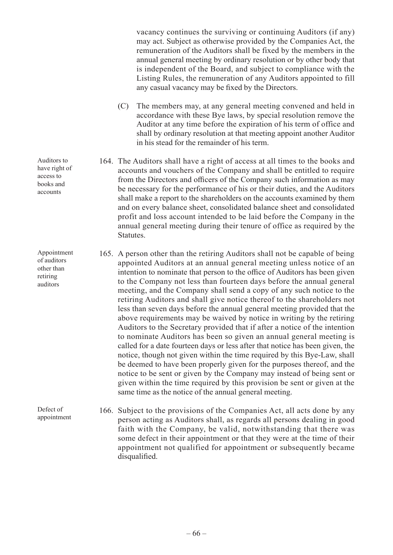vacancy continues the surviving or continuing Auditors (if any) may act. Subject as otherwise provided by the Companies Act, the remuneration of the Auditors shall be fixed by the members in the annual general meeting by ordinary resolution or by other body that is independent of the Board, and subject to compliance with the Listing Rules, the remuneration of any Auditors appointed to fill any casual vacancy may be fixed by the Directors.

- (C) The members may, at any general meeting convened and held in accordance with these Bye laws, by special resolution remove the Auditor at any time before the expiration of his term of office and shall by ordinary resolution at that meeting appoint another Auditor in his stead for the remainder of his term.
- 164. The Auditors shall have a right of access at all times to the books and accounts and vouchers of the Company and shall be entitled to require from the Directors and officers of the Company such information as may be necessary for the performance of his or their duties, and the Auditors shall make a report to the shareholders on the accounts examined by them and on every balance sheet, consolidated balance sheet and consolidated profit and loss account intended to be laid before the Company in the annual general meeting during their tenure of office as required by the Statutes.
- 165. A person other than the retiring Auditors shall not be capable of being appointed Auditors at an annual general meeting unless notice of an intention to nominate that person to the office of Auditors has been given to the Company not less than fourteen days before the annual general meeting, and the Company shall send a copy of any such notice to the retiring Auditors and shall give notice thereof to the shareholders not less than seven days before the annual general meeting provided that the above requirements may be waived by notice in writing by the retiring Auditors to the Secretary provided that if after a notice of the intention to nominate Auditors has been so given an annual general meeting is called for a date fourteen days or less after that notice has been given, the notice, though not given within the time required by this Bye-Law, shall be deemed to have been properly given for the purposes thereof, and the notice to be sent or given by the Company may instead of being sent or given within the time required by this provision be sent or given at the same time as the notice of the annual general meeting.

166. Subject to the provisions of the Companies Act, all acts done by any person acting as Auditors shall, as regards all persons dealing in good faith with the Company, be valid, notwithstanding that there was some defect in their appointment or that they were at the time of their appointment not qualified for appointment or subsequently became disqualified.

Auditors to have right of access to books and accounts

Appointment of auditors other than retiring auditors

Defect of appointment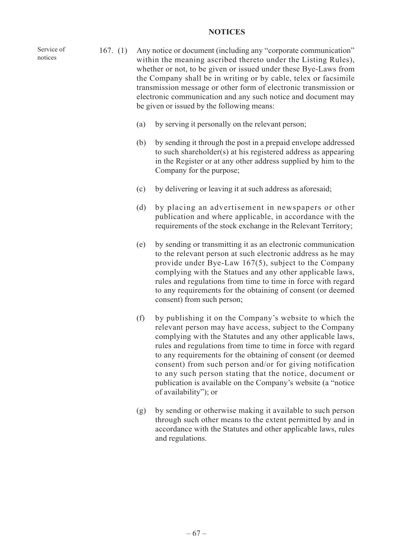#### **NOTICES**

- 167. (1) Any notice or document (including any "corporate communication" within the meaning ascribed thereto under the Listing Rules), whether or not, to be given or issued under these Bye-Laws from the Company shall be in writing or by cable, telex or facsimile transmission message or other form of electronic transmission or electronic communication and any such notice and document may be given or issued by the following means:
	- (a) by serving it personally on the relevant person;
	- (b) by sending it through the post in a prepaid envelope addressed to such shareholder(s) at his registered address as appearing in the Register or at any other address supplied by him to the Company for the purpose;
	- (c) by delivering or leaving it at such address as aforesaid;
	- (d) by placing an advertisement in newspapers or other publication and where applicable, in accordance with the requirements of the stock exchange in the Relevant Territory;
	- (e) by sending or transmitting it as an electronic communication to the relevant person at such electronic address as he may provide under Bye-Law 167(5), subject to the Company complying with the Statues and any other applicable laws, rules and regulations from time to time in force with regard to any requirements for the obtaining of consent (or deemed consent) from such person;
	- (f) by publishing it on the Company's website to which the relevant person may have access, subject to the Company complying with the Statutes and any other applicable laws, rules and regulations from time to time in force with regard to any requirements for the obtaining of consent (or deemed consent) from such person and/or for giving notification to any such person stating that the notice, document or publication is available on the Company's website (a "notice of availability"); or
	- (g) by sending or otherwise making it available to such person through such other means to the extent permitted by and in accordance with the Statutes and other applicable laws, rules and regulations.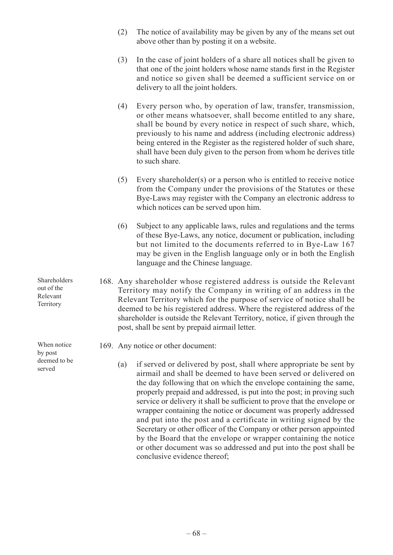- (2) The notice of availability may be given by any of the means set out above other than by posting it on a website.
- (3) In the case of joint holders of a share all notices shall be given to that one of the joint holders whose name stands first in the Register and notice so given shall be deemed a sufficient service on or delivery to all the joint holders.
- (4) Every person who, by operation of law, transfer, transmission, or other means whatsoever, shall become entitled to any share, shall be bound by every notice in respect of such share, which, previously to his name and address (including electronic address) being entered in the Register as the registered holder of such share, shall have been duly given to the person from whom he derives title to such share.
- (5) Every shareholder(s) or a person who is entitled to receive notice from the Company under the provisions of the Statutes or these Bye-Laws may register with the Company an electronic address to which notices can be served upon him.
- (6) Subject to any applicable laws, rules and regulations and the terms of these Bye-Laws, any notice, document or publication, including but not limited to the documents referred to in Bye-Law 167 may be given in the English language only or in both the English language and the Chinese language.
- 168. Any shareholder whose registered address is outside the Relevant Territory may notify the Company in writing of an address in the Relevant Territory which for the purpose of service of notice shall be deemed to be his registered address. Where the registered address of the shareholder is outside the Relevant Territory, notice, if given through the post, shall be sent by prepaid airmail letter.
	- 169. Any notice or other document:
		- (a) if served or delivered by post, shall where appropriate be sent by airmail and shall be deemed to have been served or delivered on the day following that on which the envelope containing the same, properly prepaid and addressed, is put into the post; in proving such service or delivery it shall be sufficient to prove that the envelope or wrapper containing the notice or document was properly addressed and put into the post and a certificate in writing signed by the Secretary or other officer of the Company or other person appointed by the Board that the envelope or wrapper containing the notice or other document was so addressed and put into the post shall be conclusive evidence thereof;

Shareholders out of the Relevant **Territory** 

When notice by post deemed to be served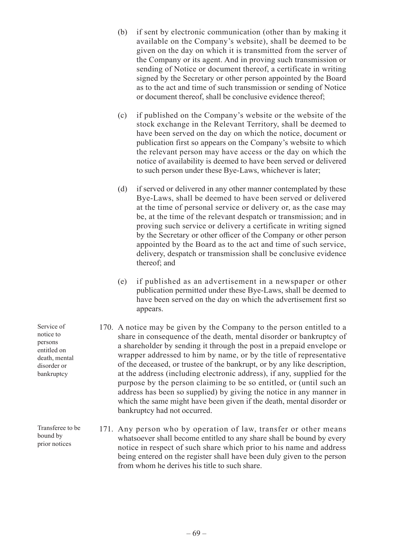- (b) if sent by electronic communication (other than by making it available on the Company's website), shall be deemed to be given on the day on which it is transmitted from the server of the Company or its agent. And in proving such transmission or sending of Notice or document thereof, a certificate in writing signed by the Secretary or other person appointed by the Board as to the act and time of such transmission or sending of Notice or document thereof, shall be conclusive evidence thereof;
- (c) if published on the Company's website or the website of the stock exchange in the Relevant Territory, shall be deemed to have been served on the day on which the notice, document or publication first so appears on the Company's website to which the relevant person may have access or the day on which the notice of availability is deemed to have been served or delivered to such person under these Bye-Laws, whichever is later;
- (d) if served or delivered in any other manner contemplated by these Bye-Laws, shall be deemed to have been served or delivered at the time of personal service or delivery or, as the case may be, at the time of the relevant despatch or transmission; and in proving such service or delivery a certificate in writing signed by the Secretary or other officer of the Company or other person appointed by the Board as to the act and time of such service, delivery, despatch or transmission shall be conclusive evidence thereof; and
- (e) if published as an advertisement in a newspaper or other publication permitted under these Bye-Laws, shall be deemed to have been served on the day on which the advertisement first so appears.
- 170. A notice may be given by the Company to the person entitled to a share in consequence of the death, mental disorder or bankruptcy of a shareholder by sending it through the post in a prepaid envelope or wrapper addressed to him by name, or by the title of representative of the deceased, or trustee of the bankrupt, or by any like description, at the address (including electronic address), if any, supplied for the purpose by the person claiming to be so entitled, or (until such an address has been so supplied) by giving the notice in any manner in which the same might have been given if the death, mental disorder or bankruptcy had not occurred.
- 171. Any person who by operation of law, transfer or other means whatsoever shall become entitled to any share shall be bound by every notice in respect of such share which prior to his name and address being entered on the register shall have been duly given to the person from whom he derives his title to such share.

Service of notice to persons entitled on death, mental disorder or bankruptcy

Transferee to be bound by prior notices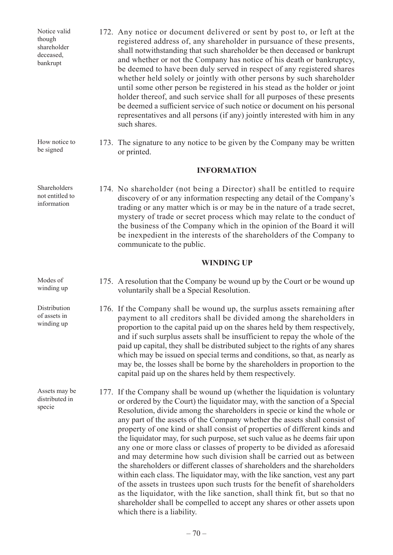| Notice valid<br>though<br>shareholder<br>deceased,<br>bankrupt | 172. Any notice or document delivered or sent by post to, or left at the<br>registered address of, any shareholder in pursuance of these presents,<br>shall notwithstanding that such shareholder be then deceased or bankrupt<br>and whether or not the Company has notice of his death or bankruptcy,<br>be deemed to have been duly served in respect of any registered shares<br>whether held solely or jointly with other persons by such shareholder<br>until some other person be registered in his stead as the holder or joint<br>holder thereof, and such service shall for all purposes of these presents<br>be deemed a sufficient service of such notice or document on his personal<br>representatives and all persons (if any) jointly interested with him in any<br>such shares.                                                                                                                                                                                                                                        |
|----------------------------------------------------------------|-----------------------------------------------------------------------------------------------------------------------------------------------------------------------------------------------------------------------------------------------------------------------------------------------------------------------------------------------------------------------------------------------------------------------------------------------------------------------------------------------------------------------------------------------------------------------------------------------------------------------------------------------------------------------------------------------------------------------------------------------------------------------------------------------------------------------------------------------------------------------------------------------------------------------------------------------------------------------------------------------------------------------------------------|
| How notice to<br>be signed                                     | 173. The signature to any notice to be given by the Company may be written<br>or printed.                                                                                                                                                                                                                                                                                                                                                                                                                                                                                                                                                                                                                                                                                                                                                                                                                                                                                                                                               |
|                                                                | <b>INFORMATION</b>                                                                                                                                                                                                                                                                                                                                                                                                                                                                                                                                                                                                                                                                                                                                                                                                                                                                                                                                                                                                                      |
| Shareholders<br>not entitled to<br>information                 | 174. No shareholder (not being a Director) shall be entitled to require<br>discovery of or any information respecting any detail of the Company's<br>trading or any matter which is or may be in the nature of a trade secret,<br>mystery of trade or secret process which may relate to the conduct of<br>the business of the Company which in the opinion of the Board it will<br>be inexpedient in the interests of the shareholders of the Company to<br>communicate to the public.                                                                                                                                                                                                                                                                                                                                                                                                                                                                                                                                                 |
|                                                                | <b>WINDING UP</b>                                                                                                                                                                                                                                                                                                                                                                                                                                                                                                                                                                                                                                                                                                                                                                                                                                                                                                                                                                                                                       |
| Modes of<br>winding up                                         | 175. A resolution that the Company be wound up by the Court or be wound up<br>voluntarily shall be a Special Resolution.                                                                                                                                                                                                                                                                                                                                                                                                                                                                                                                                                                                                                                                                                                                                                                                                                                                                                                                |
| Distribution<br>of assets in<br>winding up                     | 176. If the Company shall be wound up, the surplus assets remaining after<br>payment to all creditors shall be divided among the shareholders in<br>proportion to the capital paid up on the shares held by them respectively,<br>and if such surplus assets shall be insufficient to repay the whole of the<br>paid up capital, they shall be distributed subject to the rights of any shares<br>which may be issued on special terms and conditions, so that, as nearly as<br>may be, the losses shall be borne by the shareholders in proportion to the<br>capital paid up on the shares held by them respectively.                                                                                                                                                                                                                                                                                                                                                                                                                  |
| Assets may be<br>distributed in<br>specie                      | 177. If the Company shall be wound up (whether the liquidation is voluntary<br>or ordered by the Court) the liquidator may, with the sanction of a Special<br>Resolution, divide among the shareholders in specie or kind the whole or<br>any part of the assets of the Company whether the assets shall consist of<br>property of one kind or shall consist of properties of different kinds and<br>the liquidator may, for such purpose, set such value as he deems fair upon<br>any one or more class or classes of property to be divided as aforesaid<br>and may determine how such division shall be carried out as between<br>the shareholders or different classes of shareholders and the shareholders<br>within each class. The liquidator may, with the like sanction, vest any part<br>of the assets in trustees upon such trusts for the benefit of shareholders<br>as the liquidator, with the like sanction, shall think fit, but so that no<br>shareholder shall be compelled to accept any shares or other assets upon |

which there is a liability.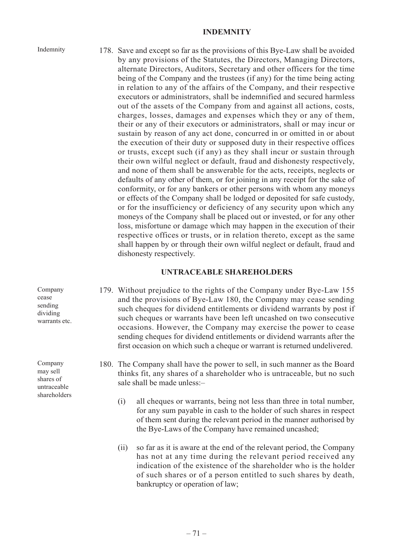#### **INDEMNITY**

Indemnity

178. Save and except so far as the provisions of this Bye-Law shall be avoided by any provisions of the Statutes, the Directors, Managing Directors, alternate Directors, Auditors, Secretary and other officers for the time being of the Company and the trustees (if any) for the time being acting in relation to any of the affairs of the Company, and their respective executors or administrators, shall be indemnified and secured harmless out of the assets of the Company from and against all actions, costs, charges, losses, damages and expenses which they or any of them, their or any of their executors or administrators, shall or may incur or sustain by reason of any act done, concurred in or omitted in or about the execution of their duty or supposed duty in their respective offices or trusts, except such (if any) as they shall incur or sustain through their own wilful neglect or default, fraud and dishonesty respectively, and none of them shall be answerable for the acts, receipts, neglects or defaults of any other of them, or for joining in any receipt for the sake of conformity, or for any bankers or other persons with whom any moneys or effects of the Company shall be lodged or deposited for safe custody, or for the insufficiency or deficiency of any security upon which any moneys of the Company shall be placed out or invested, or for any other loss, misfortune or damage which may happen in the execution of their respective offices or trusts, or in relation thereto, except as the same shall happen by or through their own wilful neglect or default, fraud and dishonesty respectively.

#### **UNTRACEABLE SHAREHOLDERS**

- 179. Without prejudice to the rights of the Company under Bye-Law 155 and the provisions of Bye-Law 180, the Company may cease sending such cheques for dividend entitlements or dividend warrants by post if such cheques or warrants have been left uncashed on two consecutive occasions. However, the Company may exercise the power to cease sending cheques for dividend entitlements or dividend warrants after the first occasion on which such a cheque or warrant is returned undelivered.
- 180. The Company shall have the power to sell, in such manner as the Board thinks fit, any shares of a shareholder who is untraceable, but no such sale shall be made unless:–
	- (i) all cheques or warrants, being not less than three in total number, for any sum payable in cash to the holder of such shares in respect of them sent during the relevant period in the manner authorised by the Bye-Laws of the Company have remained uncashed;
	- (ii) so far as it is aware at the end of the relevant period, the Company has not at any time during the relevant period received any indication of the existence of the shareholder who is the holder of such shares or of a person entitled to such shares by death, bankruptcy or operation of law;

Company cease sending dividing warrants etc.

Company may sell shares of untraceable shareholders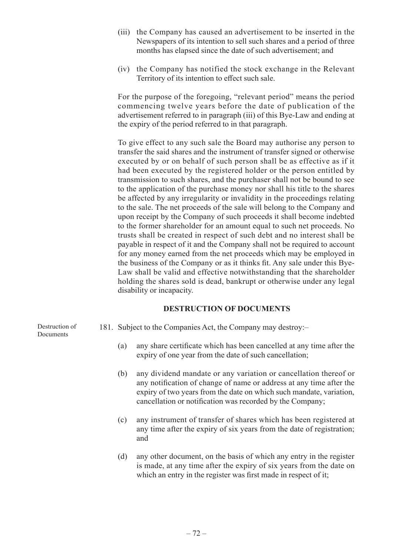- (iii) the Company has caused an advertisement to be inserted in the Newspapers of its intention to sell such shares and a period of three months has elapsed since the date of such advertisement; and
- (iv) the Company has notified the stock exchange in the Relevant Territory of its intention to effect such sale.

For the purpose of the foregoing, "relevant period" means the period commencing twelve years before the date of publication of the advertisement referred to in paragraph (iii) of this Bye-Law and ending at the expiry of the period referred to in that paragraph.

To give effect to any such sale the Board may authorise any person to transfer the said shares and the instrument of transfer signed or otherwise executed by or on behalf of such person shall be as effective as if it had been executed by the registered holder or the person entitled by transmission to such shares, and the purchaser shall not be bound to see to the application of the purchase money nor shall his title to the shares be affected by any irregularity or invalidity in the proceedings relating to the sale. The net proceeds of the sale will belong to the Company and upon receipt by the Company of such proceeds it shall become indebted to the former shareholder for an amount equal to such net proceeds. No trusts shall be created in respect of such debt and no interest shall be payable in respect of it and the Company shall not be required to account for any money earned from the net proceeds which may be employed in the business of the Company or as it thinks fit. Any sale under this Bye-Law shall be valid and effective notwithstanding that the shareholder holding the shares sold is dead, bankrupt or otherwise under any legal disability or incapacity.

## **DESTRUCTION OF DOCUMENTS**

Destruction of Documents

- 181. Subject to the Companies Act, the Company may destroy:–
	- (a) any share certificate which has been cancelled at any time after the expiry of one year from the date of such cancellation;
	- (b) any dividend mandate or any variation or cancellation thereof or any notification of change of name or address at any time after the expiry of two years from the date on which such mandate, variation, cancellation or notification was recorded by the Company;
	- (c) any instrument of transfer of shares which has been registered at any time after the expiry of six years from the date of registration; and
	- (d) any other document, on the basis of which any entry in the register is made, at any time after the expiry of six years from the date on which an entry in the register was first made in respect of it;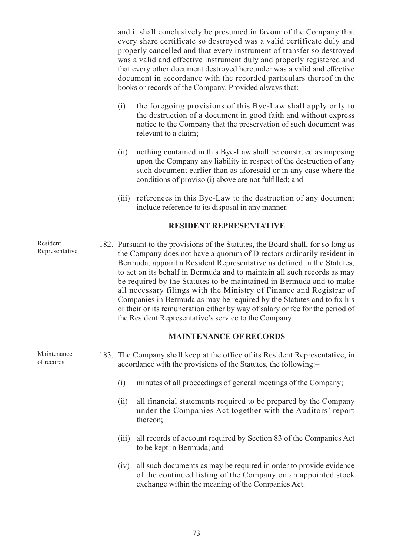and it shall conclusively be presumed in favour of the Company that every share certificate so destroyed was a valid certificate duly and properly cancelled and that every instrument of transfer so destroyed was a valid and effective instrument duly and properly registered and that every other document destroyed hereunder was a valid and effective document in accordance with the recorded particulars thereof in the books or records of the Company. Provided always that:–

- (i) the foregoing provisions of this Bye-Law shall apply only to the destruction of a document in good faith and without express notice to the Company that the preservation of such document was relevant to a claim;
- (ii) nothing contained in this Bye-Law shall be construed as imposing upon the Company any liability in respect of the destruction of any such document earlier than as aforesaid or in any case where the conditions of proviso (i) above are not fulfilled; and
- (iii) references in this Bye-Law to the destruction of any document include reference to its disposal in any manner.

# **RESIDENT REPRESENTATIVE**

182. Pursuant to the provisions of the Statutes, the Board shall, for so long as the Company does not have a quorum of Directors ordinarily resident in Bermuda, appoint a Resident Representative as defined in the Statutes, to act on its behalf in Bermuda and to maintain all such records as may be required by the Statutes to be maintained in Bermuda and to make all necessary filings with the Ministry of Finance and Registrar of Companies in Bermuda as may be required by the Statutes and to fix his or their or its remuneration either by way of salary or fee for the period of the Resident Representative's service to the Company. Resident

#### **MAINTENANCE OF RECORDS**

- 183. The Company shall keep at the office of its Resident Representative, in accordance with the provisions of the Statutes, the following:–
	- (i) minutes of all proceedings of general meetings of the Company;
	- (ii) all financial statements required to be prepared by the Company under the Companies Act together with the Auditors' report thereon;
	- (iii) all records of account required by Section 83 of the Companies Act to be kept in Bermuda; and
	- (iv) all such documents as may be required in order to provide evidence of the continued listing of the Company on an appointed stock exchange within the meaning of the Companies Act.

Representative

Maintenance of records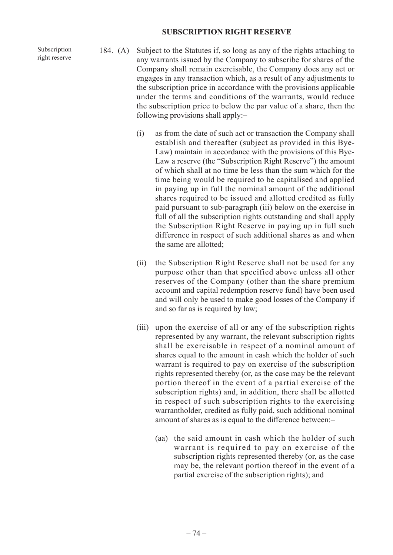#### **SUBSCRIPTION RIGHT RESERVE**

Subscription right reserve

- 184. (A) Subject to the Statutes if, so long as any of the rights attaching to any warrants issued by the Company to subscribe for shares of the Company shall remain exercisable, the Company does any act or engages in any transaction which, as a result of any adjustments to the subscription price in accordance with the provisions applicable under the terms and conditions of the warrants, would reduce the subscription price to below the par value of a share, then the following provisions shall apply:–
	- (i) as from the date of such act or transaction the Company shall establish and thereafter (subject as provided in this Bye-Law) maintain in accordance with the provisions of this Bye-Law a reserve (the "Subscription Right Reserve") the amount of which shall at no time be less than the sum which for the time being would be required to be capitalised and applied in paying up in full the nominal amount of the additional shares required to be issued and allotted credited as fully paid pursuant to sub-paragraph (iii) below on the exercise in full of all the subscription rights outstanding and shall apply the Subscription Right Reserve in paying up in full such difference in respect of such additional shares as and when the same are allotted;
	- (ii) the Subscription Right Reserve shall not be used for any purpose other than that specified above unless all other reserves of the Company (other than the share premium account and capital redemption reserve fund) have been used and will only be used to make good losses of the Company if and so far as is required by law;
	- (iii) upon the exercise of all or any of the subscription rights represented by any warrant, the relevant subscription rights shall be exercisable in respect of a nominal amount of shares equal to the amount in cash which the holder of such warrant is required to pay on exercise of the subscription rights represented thereby (or, as the case may be the relevant portion thereof in the event of a partial exercise of the subscription rights) and, in addition, there shall be allotted in respect of such subscription rights to the exercising warrantholder, credited as fully paid, such additional nominal amount of shares as is equal to the difference between:–
		- (aa) the said amount in cash which the holder of such warrant is required to pay on exercise of the subscription rights represented thereby (or, as the case may be, the relevant portion thereof in the event of a partial exercise of the subscription rights); and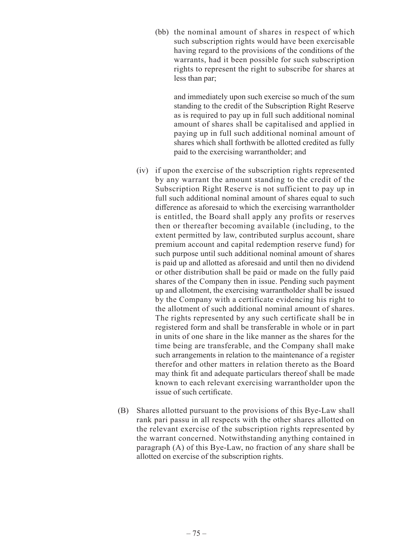(bb) the nominal amount of shares in respect of which such subscription rights would have been exercisable having regard to the provisions of the conditions of the warrants, had it been possible for such subscription rights to represent the right to subscribe for shares at less than par;

and immediately upon such exercise so much of the sum standing to the credit of the Subscription Right Reserve as is required to pay up in full such additional nominal amount of shares shall be capitalised and applied in paying up in full such additional nominal amount of shares which shall forthwith be allotted credited as fully paid to the exercising warrantholder; and

- (iv) if upon the exercise of the subscription rights represented by any warrant the amount standing to the credit of the Subscription Right Reserve is not sufficient to pay up in full such additional nominal amount of shares equal to such difference as aforesaid to which the exercising warrantholder is entitled, the Board shall apply any profits or reserves then or thereafter becoming available (including, to the extent permitted by law, contributed surplus account, share premium account and capital redemption reserve fund) for such purpose until such additional nominal amount of shares is paid up and allotted as aforesaid and until then no dividend or other distribution shall be paid or made on the fully paid shares of the Company then in issue. Pending such payment up and allotment, the exercising warrantholder shall be issued by the Company with a certificate evidencing his right to the allotment of such additional nominal amount of shares. The rights represented by any such certificate shall be in registered form and shall be transferable in whole or in part in units of one share in the like manner as the shares for the time being are transferable, and the Company shall make such arrangements in relation to the maintenance of a register therefor and other matters in relation thereto as the Board may think fit and adequate particulars thereof shall be made known to each relevant exercising warrantholder upon the issue of such certificate.
- (B) Shares allotted pursuant to the provisions of this Bye-Law shall rank pari passu in all respects with the other shares allotted on the relevant exercise of the subscription rights represented by the warrant concerned. Notwithstanding anything contained in paragraph (A) of this Bye-Law, no fraction of any share shall be allotted on exercise of the subscription rights.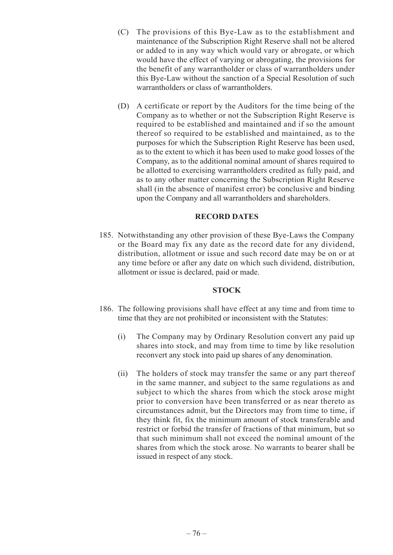- (C) The provisions of this Bye-Law as to the establishment and maintenance of the Subscription Right Reserve shall not be altered or added to in any way which would vary or abrogate, or which would have the effect of varying or abrogating, the provisions for the benefit of any warrantholder or class of warrantholders under this Bye-Law without the sanction of a Special Resolution of such warrantholders or class of warrantholders.
- (D) A certificate or report by the Auditors for the time being of the Company as to whether or not the Subscription Right Reserve is required to be established and maintained and if so the amount thereof so required to be established and maintained, as to the purposes for which the Subscription Right Reserve has been used, as to the extent to which it has been used to make good losses of the Company, as to the additional nominal amount of shares required to be allotted to exercising warrantholders credited as fully paid, and as to any other matter concerning the Subscription Right Reserve shall (in the absence of manifest error) be conclusive and binding upon the Company and all warrantholders and shareholders.

## **RECORD DATES**

185. Notwithstanding any other provision of these Bye-Laws the Company or the Board may fix any date as the record date for any dividend, distribution, allotment or issue and such record date may be on or at any time before or after any date on which such dividend, distribution, allotment or issue is declared, paid or made.

# **STOCK**

- 186. The following provisions shall have effect at any time and from time to time that they are not prohibited or inconsistent with the Statutes:
	- (i) The Company may by Ordinary Resolution convert any paid up shares into stock, and may from time to time by like resolution reconvert any stock into paid up shares of any denomination.
	- (ii) The holders of stock may transfer the same or any part thereof in the same manner, and subject to the same regulations as and subject to which the shares from which the stock arose might prior to conversion have been transferred or as near thereto as circumstances admit, but the Directors may from time to time, if they think fit, fix the minimum amount of stock transferable and restrict or forbid the transfer of fractions of that minimum, but so that such minimum shall not exceed the nominal amount of the shares from which the stock arose. No warrants to bearer shall be issued in respect of any stock.